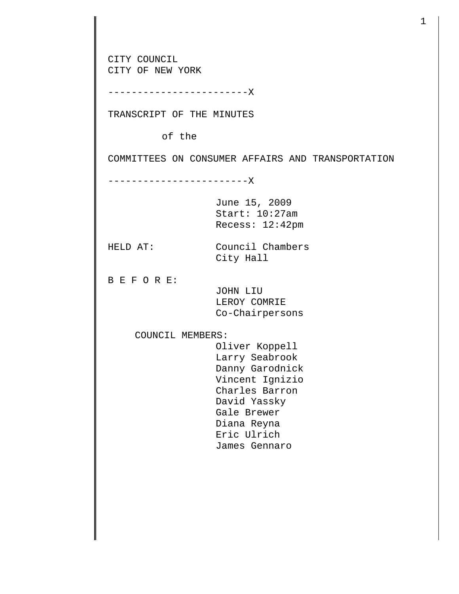CITY COUNCIL CITY OF NEW YORK ------------------------X TRANSCRIPT OF THE MINUTES of the COMMITTEES ON CONSUMER AFFAIRS AND TRANSPORTATION ------------------------X June 15, 2009 Start: 10:27am Recess: 12:42pm HELD AT: Council Chambers City Hall B E F O R E: JOHN LIU LEROY COMRIE Co-Chairpersons COUNCIL MEMBERS: Oliver Koppell Larry Seabrook Danny Garodnick Vincent Ignizio Charles Barron David Yassky Gale Brewer Diana Reyna Eric Ulrich James Gennaro

1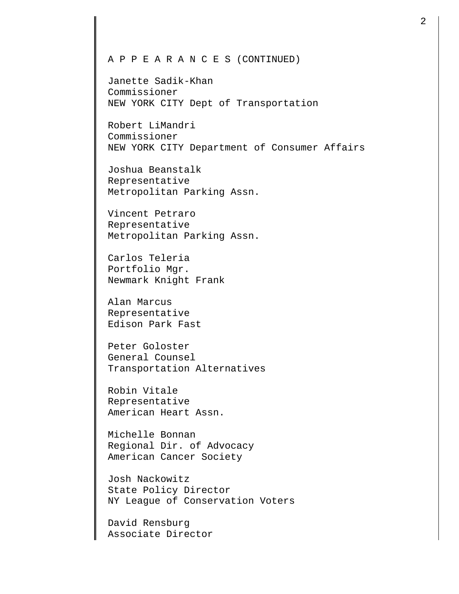## A P P E A R A N C E S (CONTINUED)

Janette Sadik-Khan Commissioner NEW YORK CITY Dept of Transportation

Robert LiMandri Commissioner NEW YORK CITY Department of Consumer Affairs

Joshua Beanstalk Representative Metropolitan Parking Assn.

Vincent Petraro Representative Metropolitan Parking Assn.

Carlos Teleria Portfolio Mgr. Newmark Knight Frank

Alan Marcus Representative Edison Park Fast

Peter Goloster General Counsel Transportation Alternatives

Robin Vitale Representative American Heart Assn.

Michelle Bonnan Regional Dir. of Advocacy American Cancer Society

Josh Nackowitz State Policy Director NY League of Conservation Voters

David Rensburg Associate Director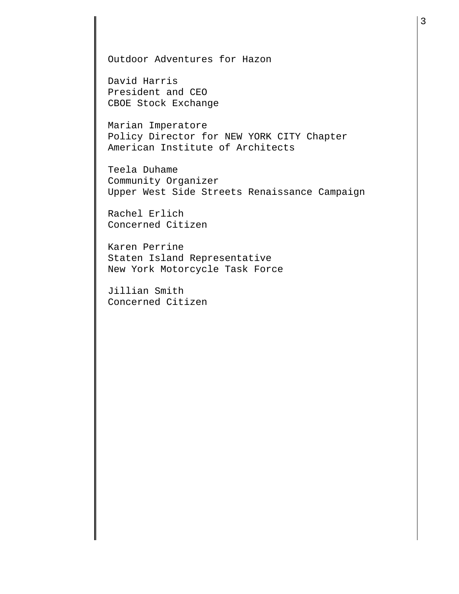Outdoor Adventures for Hazon

David Harris President and CEO CBOE Stock Exchange

Marian Imperatore Policy Director for NEW YORK CITY Chapter American Institute of Architects

Teela Duhame Community Organizer Upper West Side Streets Renaissance Campaign

Rachel Erlich Concerned Citizen

Karen Perrine Staten Island Representative New York Motorcycle Task Force

Jillian Smith Concerned Citizen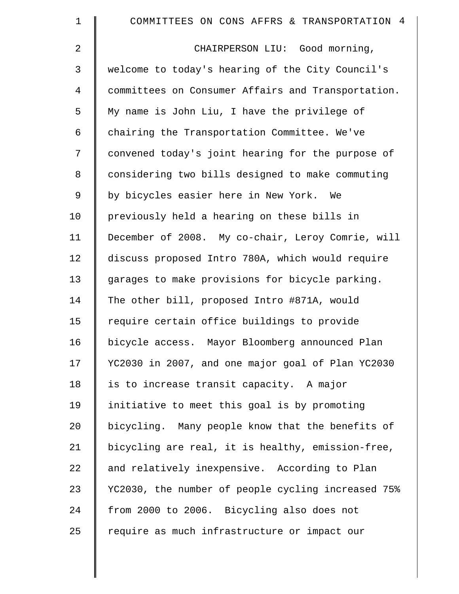| $\mathbf 1$    | COMMITTEES ON CONS AFFRS & TRANSPORTATION 4        |
|----------------|----------------------------------------------------|
| $\overline{2}$ | CHAIRPERSON LIU: Good morning,                     |
| 3              | welcome to today's hearing of the City Council's   |
| 4              | committees on Consumer Affairs and Transportation. |
| 5              | My name is John Liu, I have the privilege of       |
| 6              | chairing the Transportation Committee. We've       |
| 7              | convened today's joint hearing for the purpose of  |
| 8              | considering two bills designed to make commuting   |
| $\mathsf 9$    | by bicycles easier here in New York. We            |
| 10             | previously held a hearing on these bills in        |
| 11             | December of 2008. My co-chair, Leroy Comrie, will  |
| 12             | discuss proposed Intro 780A, which would require   |
| 13             | garages to make provisions for bicycle parking.    |
| 14             | The other bill, proposed Intro #871A, would        |
| 15             | require certain office buildings to provide        |
| 16             | bicycle access. Mayor Bloomberg announced Plan     |
| 17             | YC2030 in 2007, and one major goal of Plan YC2030  |
| 18             | is to increase transit capacity. A major           |
| 19             | initiative to meet this goal is by promoting       |
| 20             | bicycling. Many people know that the benefits of   |
| 21             | bicycling are real, it is healthy, emission-free,  |
| 22             | and relatively inexpensive. According to Plan      |
| 23             | YC2030, the number of people cycling increased 75% |
| 24             | from 2000 to 2006. Bicycling also does not         |
| 25             | require as much infrastructure or impact our       |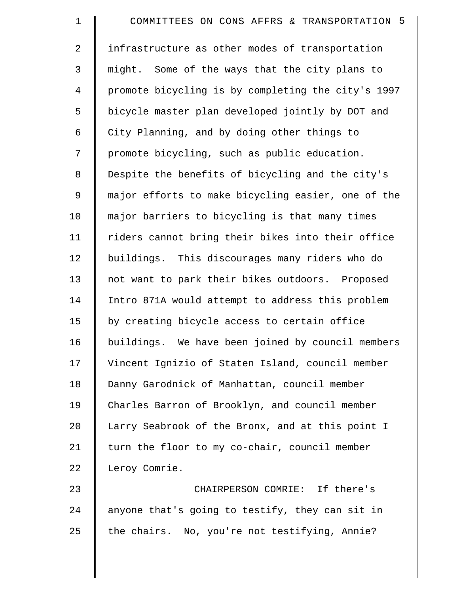| $\mathbf 1$    | COMMITTEES ON CONS AFFRS & TRANSPORTATION 5        |
|----------------|----------------------------------------------------|
| $\overline{2}$ | infrastructure as other modes of transportation    |
| $\mathsf{3}$   | might. Some of the ways that the city plans to     |
| 4              | promote bicycling is by completing the city's 1997 |
| 5              | bicycle master plan developed jointly by DOT and   |
| 6              | City Planning, and by doing other things to        |
| 7              | promote bicycling, such as public education.       |
| 8              | Despite the benefits of bicycling and the city's   |
| 9              | major efforts to make bicycling easier, one of the |
| 10             | major barriers to bicycling is that many times     |
| 11             | riders cannot bring their bikes into their office  |
| 12             | buildings. This discourages many riders who do     |
| 13             | not want to park their bikes outdoors. Proposed    |
| 14             | Intro 871A would attempt to address this problem   |
| 15             | by creating bicycle access to certain office       |
| 16             | buildings. We have been joined by council members  |
| 17             | Vincent Ignizio of Staten Island, council member   |
| 18             | Danny Garodnick of Manhattan, council member       |
| 19             | Charles Barron of Brooklyn, and council member     |
| 20             | Larry Seabrook of the Bronx, and at this point I   |
| 21             | turn the floor to my co-chair, council member      |
| 22             | Leroy Comrie.                                      |
| 23             | CHAIRPERSON COMRIE: If there's                     |
| 24             | anyone that's going to testify, they can sit in    |
| 25             | the chairs. No, you're not testifying, Annie?      |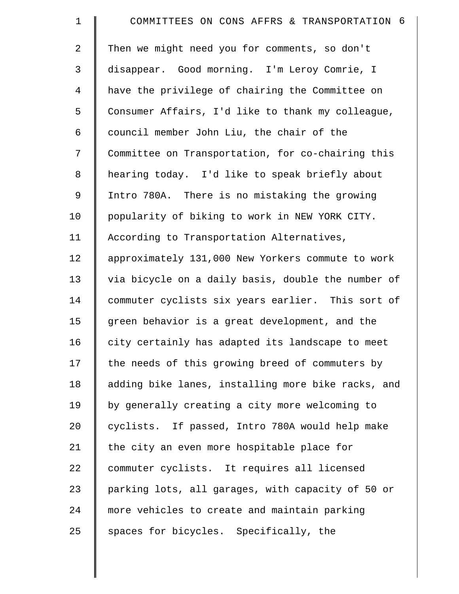| $\mathbf 1$    | COMMITTEES ON CONS AFFRS & TRANSPORTATION 6        |
|----------------|----------------------------------------------------|
| 2              | Then we might need you for comments, so don't      |
| 3              | disappear. Good morning. I'm Leroy Comrie, I       |
| $\overline{4}$ | have the privilege of chairing the Committee on    |
| 5              | Consumer Affairs, I'd like to thank my colleague,  |
| 6              | council member John Liu, the chair of the          |
| 7              | Committee on Transportation, for co-chairing this  |
| 8              | hearing today. I'd like to speak briefly about     |
| 9              | Intro 780A. There is no mistaking the growing      |
| 10             | popularity of biking to work in NEW YORK CITY.     |
| 11             | According to Transportation Alternatives,          |
| 12             | approximately 131,000 New Yorkers commute to work  |
| 13             | via bicycle on a daily basis, double the number of |
| 14             | commuter cyclists six years earlier. This sort of  |
| 15             | green behavior is a great development, and the     |
| 16             | city certainly has adapted its landscape to meet   |
| 17             | the needs of this growing breed of commuters by    |
| 18             | adding bike lanes, installing more bike racks, and |
| 19             | by generally creating a city more welcoming to     |
| 20             | cyclists. If passed, Intro 780A would help make    |
| 21             | the city an even more hospitable place for         |
| 22             | commuter cyclists. It requires all licensed        |
| 23             | parking lots, all garages, with capacity of 50 or  |
| 24             | more vehicles to create and maintain parking       |
| 25             | spaces for bicycles. Specifically, the             |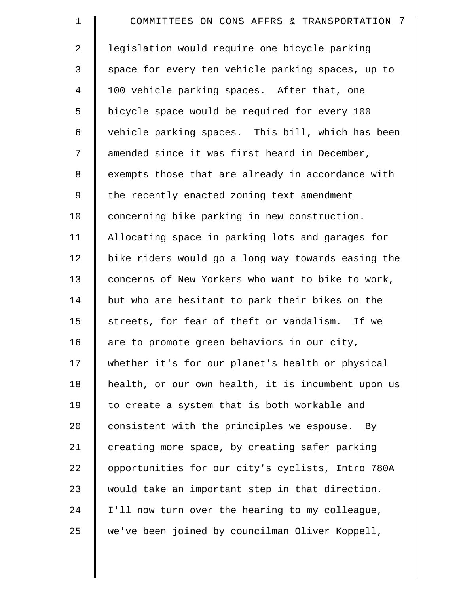| $\mathbf 1$    | COMMITTEES ON CONS AFFRS & TRANSPORTATION 7        |
|----------------|----------------------------------------------------|
| $\overline{a}$ | legislation would require one bicycle parking      |
| 3              | space for every ten vehicle parking spaces, up to  |
| 4              | 100 vehicle parking spaces. After that, one        |
| 5              | bicycle space would be required for every 100      |
| 6              | vehicle parking spaces. This bill, which has been  |
| 7              | amended since it was first heard in December,      |
| 8              | exempts those that are already in accordance with  |
| 9              | the recently enacted zoning text amendment         |
| 10             | concerning bike parking in new construction.       |
| 11             | Allocating space in parking lots and garages for   |
| 12             | bike riders would go a long way towards easing the |
| 13             | concerns of New Yorkers who want to bike to work,  |
| 14             | but who are hesitant to park their bikes on the    |
| 15             | streets, for fear of theft or vandalism. If we     |
| 16             | are to promote green behaviors in our city,        |
| 17             | whether it's for our planet's health or physical   |
| 18             | health, or our own health, it is incumbent upon us |
| 19             | to create a system that is both workable and       |
| 20             | consistent with the principles we espouse. By      |
| 21             | creating more space, by creating safer parking     |
| 22             | opportunities for our city's cyclists, Intro 780A  |
| 23             | would take an important step in that direction.    |
| 24             | I'll now turn over the hearing to my colleague,    |
| 25             | we've been joined by councilman Oliver Koppell,    |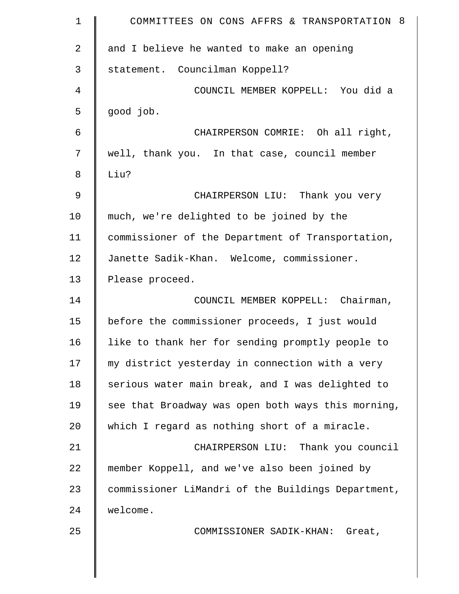| $\mathbf 1$ | COMMITTEES ON CONS AFFRS & TRANSPORTATION 8        |
|-------------|----------------------------------------------------|
| 2           | and I believe he wanted to make an opening         |
| 3           | statement. Councilman Koppell?                     |
| 4           | COUNCIL MEMBER KOPPELL: You did a                  |
| 5           | good job.                                          |
| $\epsilon$  | CHAIRPERSON COMRIE: Oh all right,                  |
| 7           | well, thank you. In that case, council member      |
| 8           | Liu?                                               |
| 9           | CHAIRPERSON LIU: Thank you very                    |
| 10          | much, we're delighted to be joined by the          |
| 11          | commissioner of the Department of Transportation,  |
| 12          | Janette Sadik-Khan. Welcome, commissioner.         |
| 13          | Please proceed.                                    |
| 14          | COUNCIL MEMBER KOPPELL: Chairman,                  |
| 15          | before the commissioner proceeds, I just would     |
| 16          | like to thank her for sending promptly people to   |
| 17          | my district yesterday in connection with a very    |
| 18          | serious water main break, and I was delighted to   |
| 19          | see that Broadway was open both ways this morning, |
| 20          | which I regard as nothing short of a miracle.      |
| 21          | CHAIRPERSON LIU: Thank you council                 |
| 22          | member Koppell, and we've also been joined by      |
| 23          | commissioner LiMandri of the Buildings Department, |
| 24          | welcome.                                           |
| 25          | COMMISSIONER SADIK-KHAN: Great,                    |
|             |                                                    |
|             |                                                    |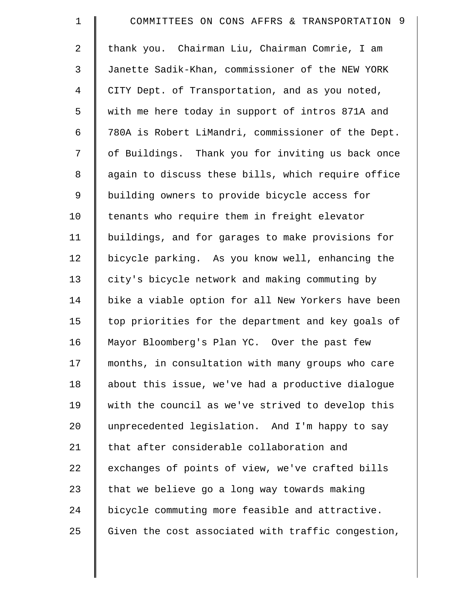| $\mathbf 1$    | COMMITTEES ON CONS AFFRS & TRANSPORTATION 9        |
|----------------|----------------------------------------------------|
| $\overline{a}$ | thank you. Chairman Liu, Chairman Comrie, I am     |
| 3              | Janette Sadik-Khan, commissioner of the NEW YORK   |
| 4              | CITY Dept. of Transportation, and as you noted,    |
| 5              | with me here today in support of intros 871A and   |
| 6              | 780A is Robert LiMandri, commissioner of the Dept. |
| 7              | of Buildings. Thank you for inviting us back once  |
| 8              | again to discuss these bills, which require office |
| $\mathsf 9$    | building owners to provide bicycle access for      |
| 10             | tenants who require them in freight elevator       |
| 11             | buildings, and for garages to make provisions for  |
| 12             | bicycle parking. As you know well, enhancing the   |
| 13             | city's bicycle network and making commuting by     |
| 14             | bike a viable option for all New Yorkers have been |
| 15             | top priorities for the department and key goals of |
| 16             | Mayor Bloomberg's Plan YC. Over the past few       |
| 17             | months, in consultation with many groups who care  |
| 18             | about this issue, we've had a productive dialogue  |
| 19             | with the council as we've strived to develop this  |
| 20             | unprecedented legislation. And I'm happy to say    |
| 21             | that after considerable collaboration and          |
| 22             | exchanges of points of view, we've crafted bills   |
| 23             | that we believe go a long way towards making       |
| 24             | bicycle commuting more feasible and attractive.    |
| 25             | Given the cost associated with traffic congestion, |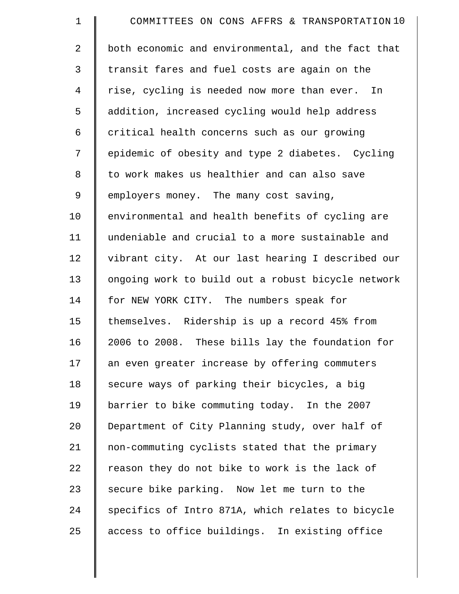| $\mathbf 1$    | COMMITTEES ON CONS AFFRS & TRANSPORTATION 10       |
|----------------|----------------------------------------------------|
| $\overline{2}$ | both economic and environmental, and the fact that |
| 3              | transit fares and fuel costs are again on the      |
| 4              | rise, cycling is needed now more than ever. In     |
| 5              | addition, increased cycling would help address     |
| 6              | critical health concerns such as our growing       |
| 7              | epidemic of obesity and type 2 diabetes. Cycling   |
| 8              | to work makes us healthier and can also save       |
| 9              | employers money. The many cost saving,             |
| 10             | environmental and health benefits of cycling are   |
| 11             | undeniable and crucial to a more sustainable and   |
| 12             | vibrant city. At our last hearing I described our  |
| 13             | ongoing work to build out a robust bicycle network |
| 14             | for NEW YORK CITY. The numbers speak for           |
| 15             | themselves. Ridership is up a record 45% from      |
| 16             | 2006 to 2008. These bills lay the foundation for   |
| 17             | an even greater increase by offering commuters     |
| 18             | secure ways of parking their bicycles, a big       |
| 19             | barrier to bike commuting today. In the 2007       |
| 20             | Department of City Planning study, over half of    |
| 21             | non-commuting cyclists stated that the primary     |
| 22             | reason they do not bike to work is the lack of     |
| 23             | secure bike parking. Now let me turn to the        |
| 24             | specifics of Intro 871A, which relates to bicycle  |
| 25             | access to office buildings. In existing office     |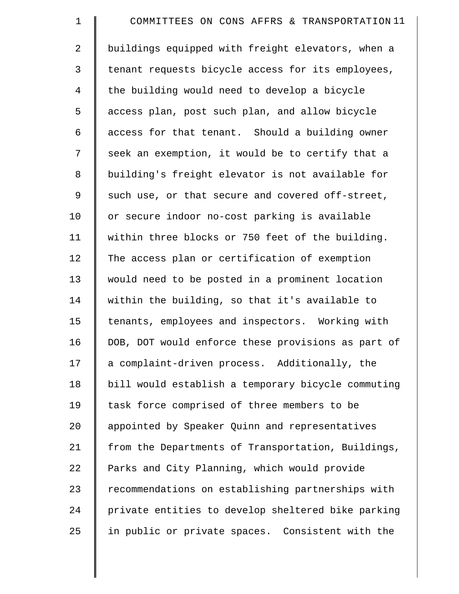| $\mathbf 1$ | COMMITTEES ON CONS AFFRS & TRANSPORTATION 11       |
|-------------|----------------------------------------------------|
| 2           | buildings equipped with freight elevators, when a  |
| 3           | tenant requests bicycle access for its employees,  |
| 4           | the building would need to develop a bicycle       |
| 5           | access plan, post such plan, and allow bicycle     |
| 6           | access for that tenant. Should a building owner    |
| 7           | seek an exemption, it would be to certify that a   |
| $\,8\,$     | building's freight elevator is not available for   |
| 9           | such use, or that secure and covered off-street,   |
| 10          | or secure indoor no-cost parking is available      |
| 11          | within three blocks or 750 feet of the building.   |
| 12          | The access plan or certification of exemption      |
| 13          | would need to be posted in a prominent location    |
| 14          | within the building, so that it's available to     |
| 15          | tenants, employees and inspectors. Working with    |
| 16          | DOB, DOT would enforce these provisions as part of |
| 17          | a complaint-driven process. Additionally, the      |
| 18          | bill would establish a temporary bicycle commuting |
| 19          | task force comprised of three members to be        |
| 20          | appointed by Speaker Quinn and representatives     |
| 21          | from the Departments of Transportation, Buildings, |
| 22          | Parks and City Planning, which would provide       |
| 23          | recommendations on establishing partnerships with  |
| 24          | private entities to develop sheltered bike parking |
| 25          | in public or private spaces. Consistent with the   |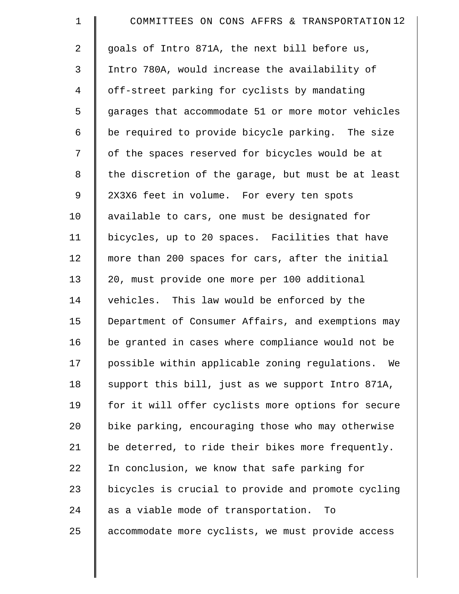| $\mathbf 1$    | COMMITTEES ON CONS AFFRS & TRANSPORTATION 12         |
|----------------|------------------------------------------------------|
| $\overline{2}$ | goals of Intro 871A, the next bill before us,        |
| 3              | Intro 780A, would increase the availability of       |
| 4              | off-street parking for cyclists by mandating         |
| 5              | garages that accommodate 51 or more motor vehicles   |
| 6              | be required to provide bicycle parking. The size     |
| 7              | of the spaces reserved for bicycles would be at      |
| 8              | the discretion of the garage, but must be at least   |
| 9              | 2X3X6 feet in volume. For every ten spots            |
| 10             | available to cars, one must be designated for        |
| 11             | bicycles, up to 20 spaces. Facilities that have      |
| 12             | more than 200 spaces for cars, after the initial     |
| 13             | 20, must provide one more per 100 additional         |
| 14             | vehicles. This law would be enforced by the          |
| 15             | Department of Consumer Affairs, and exemptions may   |
| 16             | be granted in cases where compliance would not be    |
| 17             | possible within applicable zoning regulations.<br>We |
| 18             | support this bill, just as we support Intro 871A,    |
| 19             | for it will offer cyclists more options for secure   |
| 20             | bike parking, encouraging those who may otherwise    |
| 21             | be deterred, to ride their bikes more frequently.    |
| 22             | In conclusion, we know that safe parking for         |
| 23             | bicycles is crucial to provide and promote cycling   |
| 24             | as a viable mode of transportation.<br>To            |
| 25             | accommodate more cyclists, we must provide access    |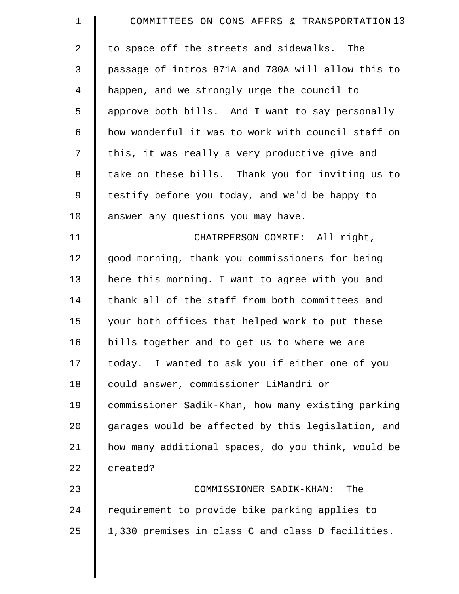| $\mathbf 1$    | COMMITTEES ON CONS AFFRS & TRANSPORTATION 13       |
|----------------|----------------------------------------------------|
| 2              | to space off the streets and sidewalks. The        |
| 3              | passage of intros 871A and 780A will allow this to |
| $\overline{4}$ | happen, and we strongly urge the council to        |
| 5              | approve both bills. And I want to say personally   |
| 6              | how wonderful it was to work with council staff on |
| 7              | this, it was really a very productive give and     |
| 8              | take on these bills. Thank you for inviting us to  |
| $\mathsf 9$    | testify before you today, and we'd be happy to     |
| 10             | answer any questions you may have.                 |
| 11             | CHAIRPERSON COMRIE: All right,                     |
| 12             | good morning, thank you commissioners for being    |
| 13             | here this morning. I want to agree with you and    |
| 14             | thank all of the staff from both committees and    |
| 15             | your both offices that helped work to put these    |
| 16             | bills together and to get us to where we are       |
| 17             | today. I wanted to ask you if either one of you    |
| 18             | could answer, commissioner LiMandri or             |
| 19             | commissioner Sadik-Khan, how many existing parking |
| 20             | garages would be affected by this legislation, and |
| 21             | how many additional spaces, do you think, would be |
| 22             | created?                                           |
| 23             | COMMISSIONER SADIK-KHAN:<br>The                    |
| 24             | requirement to provide bike parking applies to     |
| 25             | 1,330 premises in class C and class D facilities.  |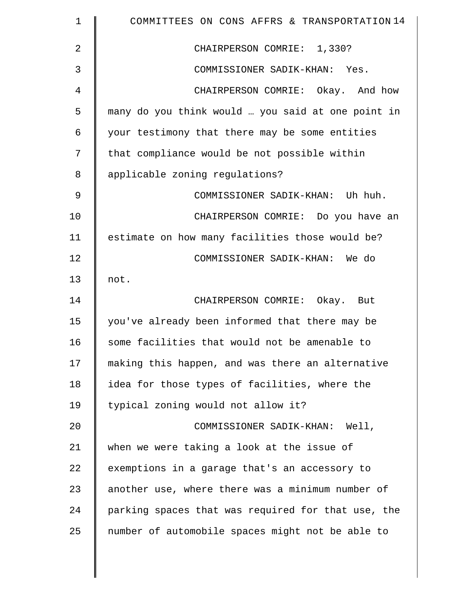| $\mathbf 1$ | COMMITTEES ON CONS AFFRS & TRANSPORTATION 14       |
|-------------|----------------------------------------------------|
| 2           | CHAIRPERSON COMRIE: 1,330?                         |
| 3           | COMMISSIONER SADIK-KHAN: Yes.                      |
| 4           | CHAIRPERSON COMRIE: Okay. And how                  |
| 5           | many do you think would  you said at one point in  |
| 6           | your testimony that there may be some entities     |
| 7           | that compliance would be not possible within       |
| 8           | applicable zoning regulations?                     |
| 9           | COMMISSIONER SADIK-KHAN: Uh huh.                   |
| 10          | CHAIRPERSON COMRIE: Do you have an                 |
| 11          | estimate on how many facilities those would be?    |
| 12          | COMMISSIONER SADIK-KHAN: We do                     |
| 13          | not.                                               |
| 14          | CHAIRPERSON COMRIE: Okay. But                      |
| 15          | you've already been informed that there may be     |
| 16          | some facilities that would not be amenable to      |
| 17          | making this happen, and was there an alternative   |
| 18          | idea for those types of facilities, where the      |
| 19          | typical zoning would not allow it?                 |
| 20          | COMMISSIONER SADIK-KHAN: Well,                     |
| 21          | when we were taking a look at the issue of         |
| 22          | exemptions in a garage that's an accessory to      |
| 23          | another use, where there was a minimum number of   |
| 24          | parking spaces that was required for that use, the |
| 25          | number of automobile spaces might not be able to   |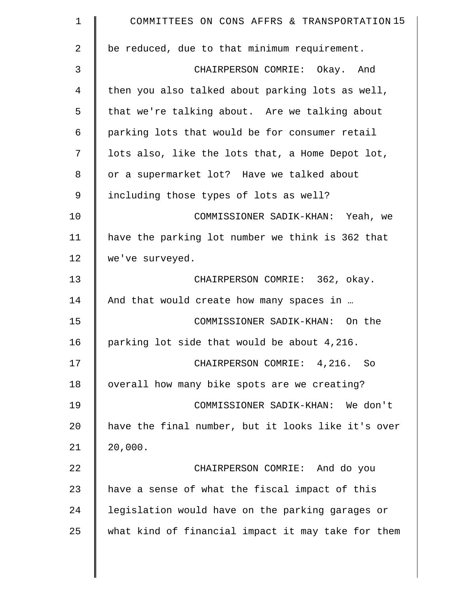| $\mathbf 1$ | COMMITTEES ON CONS AFFRS & TRANSPORTATION 15       |
|-------------|----------------------------------------------------|
| 2           | be reduced, due to that minimum requirement.       |
| 3           | CHAIRPERSON COMRIE: Okay. And                      |
| 4           | then you also talked about parking lots as well,   |
| 5           | that we're talking about. Are we talking about     |
| 6           | parking lots that would be for consumer retail     |
| 7           | lots also, like the lots that, a Home Depot lot,   |
| 8           | or a supermarket lot? Have we talked about         |
| 9           | including those types of lots as well?             |
| 10          | COMMISSIONER SADIK-KHAN: Yeah, we                  |
| 11          | have the parking lot number we think is 362 that   |
| 12          | we've surveyed.                                    |
| 13          | CHAIRPERSON COMRIE: 362, okay.                     |
| 14          | And that would create how many spaces in           |
| 15          | COMMISSIONER SADIK-KHAN: On the                    |
| 16          | parking lot side that would be about 4,216.        |
| 17          | CHAIRPERSON COMRIE: 4,216. So                      |
| 18          | overall how many bike spots are we creating?       |
| 19          | COMMISSIONER SADIK-KHAN: We don't                  |
| 20          | have the final number, but it looks like it's over |
| 21          | 20,000.                                            |
| 22          | CHAIRPERSON COMRIE: And do you                     |
| 23          | have a sense of what the fiscal impact of this     |
| 24          | legislation would have on the parking garages or   |
| 25          | what kind of financial impact it may take for them |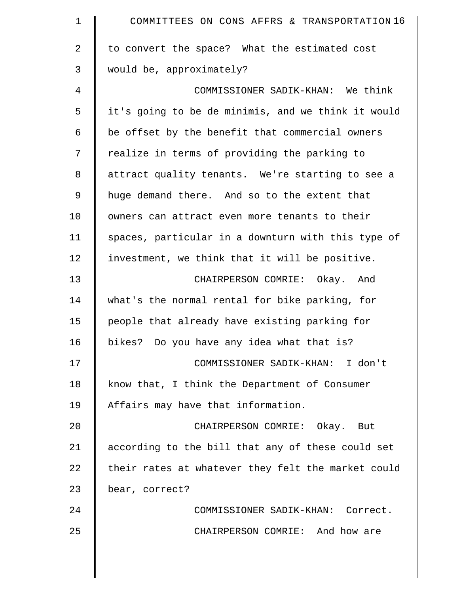| $\mathbf 1$    | COMMITTEES ON CONS AFFRS & TRANSPORTATION 16       |
|----------------|----------------------------------------------------|
| $\overline{2}$ | to convert the space? What the estimated cost      |
| 3              | would be, approximately?                           |
| 4              | COMMISSIONER SADIK-KHAN: We think                  |
| 5              | it's going to be de minimis, and we think it would |
| 6              | be offset by the benefit that commercial owners    |
| 7              | realize in terms of providing the parking to       |
| 8              | attract quality tenants. We're starting to see a   |
| 9              | huge demand there. And so to the extent that       |
| 10             | owners can attract even more tenants to their      |
| 11             | spaces, particular in a downturn with this type of |
| 12             | investment, we think that it will be positive.     |
| 13             | CHAIRPERSON COMRIE: Okay. And                      |
| 14             | what's the normal rental for bike parking, for     |
| 15             | people that already have existing parking for      |
| 16             | bikes? Do you have any idea what that is?          |
| 17             | COMMISSIONER SADIK-KHAN: I don't                   |
| 18             | know that, I think the Department of Consumer      |
| 19             | Affairs may have that information.                 |
| 20             | CHAIRPERSON COMRIE: Okay. But                      |
| 21             | according to the bill that any of these could set  |
| 22             | their rates at whatever they felt the market could |
| 23             | bear, correct?                                     |
| 24             | COMMISSIONER SADIK-KHAN: Correct.                  |
| 25             | CHAIRPERSON COMRIE: And how are                    |
|                |                                                    |
|                |                                                    |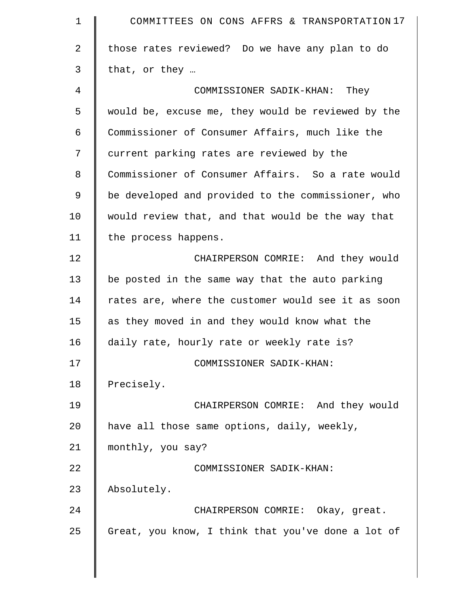| $\mathbf 1$ | COMMITTEES ON CONS AFFRS & TRANSPORTATION 17       |
|-------------|----------------------------------------------------|
| 2           | those rates reviewed? Do we have any plan to do    |
| 3           | that, or they                                      |
| 4           | COMMISSIONER SADIK-KHAN: They                      |
| 5           | would be, excuse me, they would be reviewed by the |
| 6           | Commissioner of Consumer Affairs, much like the    |
| 7           | current parking rates are reviewed by the          |
| 8           | Commissioner of Consumer Affairs. So a rate would  |
| 9           | be developed and provided to the commissioner, who |
| 10          | would review that, and that would be the way that  |
| 11          | the process happens.                               |
| 12          | CHAIRPERSON COMRIE: And they would                 |
| 13          | be posted in the same way that the auto parking    |
| 14          | rates are, where the customer would see it as soon |
| 15          | as they moved in and they would know what the      |
| 16          | daily rate, hourly rate or weekly rate is?         |
| 17          | COMMISSIONER SADIK-KHAN:                           |
| 18          | Precisely.                                         |
| 19          | CHAIRPERSON COMRIE: And they would                 |
| 20          | have all those same options, daily, weekly,        |
| 21          | monthly, you say?                                  |
| 22          | COMMISSIONER SADIK-KHAN:                           |
| 23          | Absolutely.                                        |
| 24          | CHAIRPERSON COMRIE: Okay, great.                   |
| 25          | Great, you know, I think that you've done a lot of |

║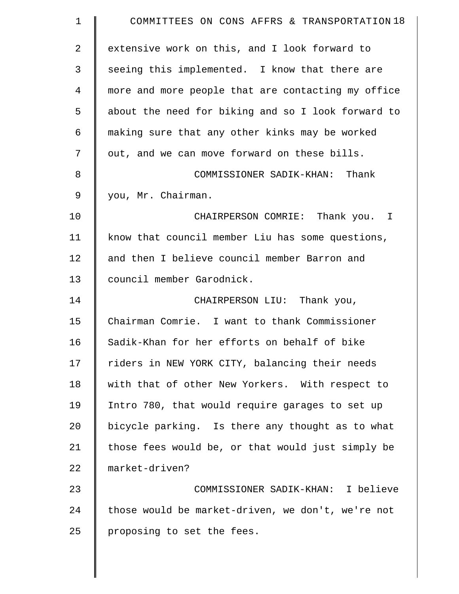| $\mathbf 1$ | COMMITTEES ON CONS AFFRS & TRANSPORTATION 18       |
|-------------|----------------------------------------------------|
| 2           | extensive work on this, and I look forward to      |
| 3           | seeing this implemented. I know that there are     |
| 4           | more and more people that are contacting my office |
| 5           | about the need for biking and so I look forward to |
| 6           | making sure that any other kinks may be worked     |
| 7           | out, and we can move forward on these bills.       |
| 8           | COMMISSIONER SADIK-KHAN: Thank                     |
| 9           | you, Mr. Chairman.                                 |
| 10          | CHAIRPERSON COMRIE: Thank you. I                   |
| 11          | know that council member Liu has some questions,   |
| 12          | and then I believe council member Barron and       |
| 13          | council member Garodnick.                          |
| 14          | CHAIRPERSON LIU: Thank you,                        |
| 15          | Chairman Comrie. I want to thank Commissioner      |
| 16          | Sadik-Khan for her efforts on behalf of bike       |
| 17          | riders in NEW YORK CITY, balancing their needs     |
| 18          | with that of other New Yorkers. With respect to    |
| 19          | Intro 780, that would require garages to set up    |
| 20          | bicycle parking. Is there any thought as to what   |
| 21          | those fees would be, or that would just simply be  |
| 22          | market-driven?                                     |
| 23          | COMMISSIONER SADIK-KHAN: I believe                 |
| 24          | those would be market-driven, we don't, we're not  |
| 25          | proposing to set the fees.                         |
|             |                                                    |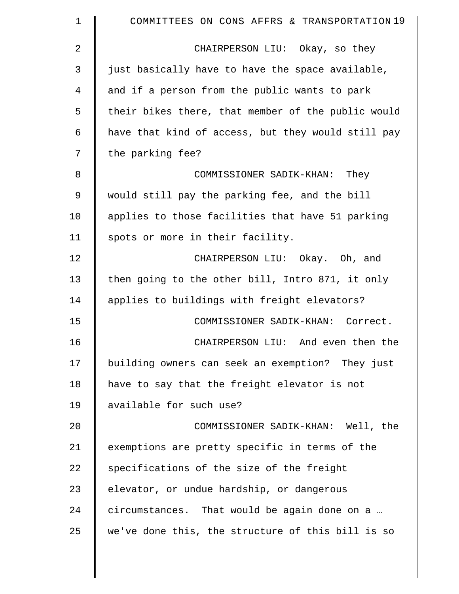| $\mathbf 1$    | COMMITTEES ON CONS AFFRS & TRANSPORTATION 19       |
|----------------|----------------------------------------------------|
| $\overline{2}$ | CHAIRPERSON LIU: Okay, so they                     |
| 3              | just basically have to have the space available,   |
| 4              | and if a person from the public wants to park      |
| 5              | their bikes there, that member of the public would |
| 6              | have that kind of access, but they would still pay |
| 7              | the parking fee?                                   |
| 8              | COMMISSIONER SADIK-KHAN: They                      |
| $\mathsf 9$    | would still pay the parking fee, and the bill      |
| 10             | applies to those facilities that have 51 parking   |
| 11             | spots or more in their facility.                   |
| 12             | CHAIRPERSON LIU: Okay. Oh, and                     |
| 13             | then going to the other bill, Intro 871, it only   |
| 14             | applies to buildings with freight elevators?       |
| 15             | COMMISSIONER SADIK-KHAN: Correct.                  |
| 16             | CHAIRPERSON LIU: And even then the                 |
| 17             | building owners can seek an exemption? They just   |
| 18             | have to say that the freight elevator is not       |
| 19             | available for such use?                            |
| 20             | COMMISSIONER SADIK-KHAN: Well, the                 |
| 21             | exemptions are pretty specific in terms of the     |
| 22             | specifications of the size of the freight          |
| 23             | elevator, or undue hardship, or dangerous          |
| 24             | circumstances. That would be again done on a       |
| 25             | we've done this, the structure of this bill is so  |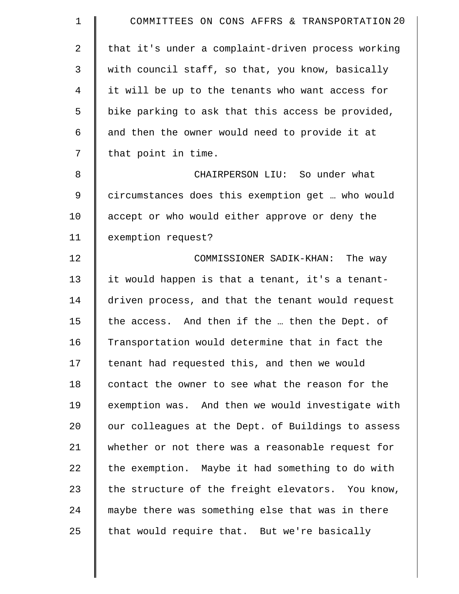| $\mathbf 1$ | COMMITTEES ON CONS AFFRS & TRANSPORTATION 20       |
|-------------|----------------------------------------------------|
| 2           | that it's under a complaint-driven process working |
| 3           | with council staff, so that, you know, basically   |
| 4           | it will be up to the tenants who want access for   |
| 5           | bike parking to ask that this access be provided,  |
| 6           | and then the owner would need to provide it at     |
| 7           | that point in time.                                |
| 8           | CHAIRPERSON LIU: So under what                     |
| 9           | circumstances does this exemption get  who would   |
| 10          | accept or who would either approve or deny the     |
| 11          | exemption request?                                 |
| 12          | COMMISSIONER SADIK-KHAN: The way                   |
| 13          | it would happen is that a tenant, it's a tenant-   |
| 14          | driven process, and that the tenant would request  |
| 15          | the access. And then if the  then the Dept. of     |
| 16          | Transportation would determine that in fact the    |
| 17          | tenant had requested this, and then we would       |
| 18          | contact the owner to see what the reason for the   |
| 19          | exemption was. And then we would investigate with  |
| 20          | our colleagues at the Dept. of Buildings to assess |
| 21          | whether or not there was a reasonable request for  |
| 22          | the exemption. Maybe it had something to do with   |
| 23          | the structure of the freight elevators. You know,  |
| 24          | maybe there was something else that was in there   |
| 25          | that would require that. But we're basically       |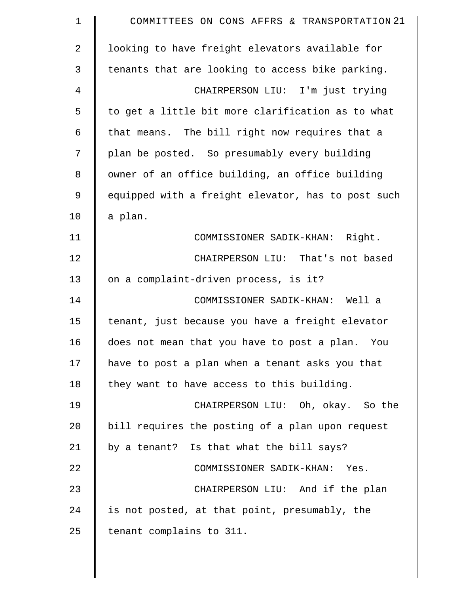| $\mathbf 1$    | COMMITTEES ON CONS AFFRS & TRANSPORTATION 21       |
|----------------|----------------------------------------------------|
| $\overline{2}$ | looking to have freight elevators available for    |
| 3              | tenants that are looking to access bike parking.   |
| 4              | CHAIRPERSON LIU: I'm just trying                   |
| 5              | to get a little bit more clarification as to what  |
| 6              | that means. The bill right now requires that a     |
| 7              | plan be posted. So presumably every building       |
| 8              | owner of an office building, an office building    |
| 9              | equipped with a freight elevator, has to post such |
| 10             | a plan.                                            |
| 11             | COMMISSIONER SADIK-KHAN: Right.                    |
| 12             | CHAIRPERSON LIU: That's not based                  |
| 13             | on a complaint-driven process, is it?              |
| 14             | COMMISSIONER SADIK-KHAN: Well a                    |
| 15             | tenant, just because you have a freight elevator   |
| 16             | does not mean that you have to post a plan. You    |
| 17             | have to post a plan when a tenant asks you that    |
| 18             | they want to have access to this building.         |
| 19             | CHAIRPERSON LIU: Oh, okay. So the                  |
| 20             | bill requires the posting of a plan upon request   |
| 21             | by a tenant? Is that what the bill says?           |
| 22             | COMMISSIONER SADIK-KHAN: Yes.                      |
| 23             | CHAIRPERSON LIU: And if the plan                   |
| 24             | is not posted, at that point, presumably, the      |
| 25             | tenant complains to 311.                           |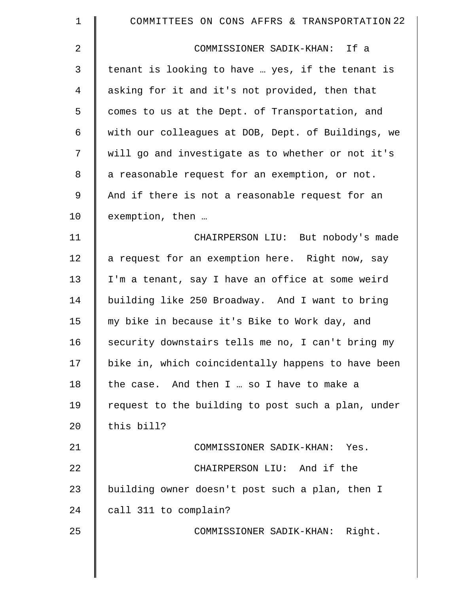| $\mathbf 1$    | COMMITTEES ON CONS AFFRS & TRANSPORTATION 22       |
|----------------|----------------------------------------------------|
| $\overline{a}$ | COMMISSIONER SADIK-KHAN: If a                      |
| 3              | tenant is looking to have  yes, if the tenant is   |
| 4              | asking for it and it's not provided, then that     |
| 5              | comes to us at the Dept. of Transportation, and    |
| 6              | with our colleagues at DOB, Dept. of Buildings, we |
| 7              | will go and investigate as to whether or not it's  |
| 8              | a reasonable request for an exemption, or not.     |
| 9              | And if there is not a reasonable request for an    |
| 10             | exemption, then                                    |
| 11             | CHAIRPERSON LIU: But nobody's made                 |
| 12             | a request for an exemption here. Right now, say    |
| 13             | I'm a tenant, say I have an office at some weird   |
| 14             | building like 250 Broadway. And I want to bring    |
| 15             | my bike in because it's Bike to Work day, and      |
| 16             | security downstairs tells me no, I can't bring my  |
| 17             | bike in, which coincidentally happens to have been |
| 18             | the case. And then I  so I have to make a          |
| 19             | request to the building to post such a plan, under |
| 20             | this bill?                                         |
| 21             | COMMISSIONER SADIK-KHAN: Yes.                      |
| 22             | CHAIRPERSON LIU: And if the                        |
| 23             | building owner doesn't post such a plan, then I    |
| 24             | call 311 to complain?                              |
| 25             | COMMISSIONER SADIK-KHAN: Right.                    |
|                |                                                    |
|                |                                                    |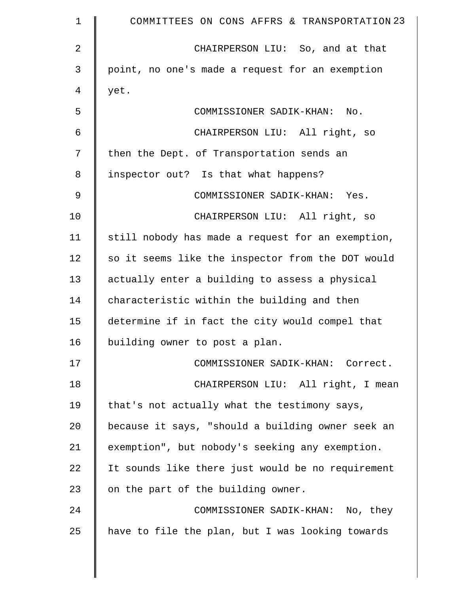| $\mathbf 1$    | COMMITTEES ON CONS AFFRS & TRANSPORTATION 23      |
|----------------|---------------------------------------------------|
| $\overline{2}$ | CHAIRPERSON LIU: So, and at that                  |
| 3              | point, no one's made a request for an exemption   |
| 4              | yet.                                              |
| 5              | COMMISSIONER SADIK-KHAN:<br>No.                   |
| 6              | CHAIRPERSON LIU: All right, so                    |
| 7              | then the Dept. of Transportation sends an         |
| 8              | inspector out? Is that what happens?              |
| 9              | COMMISSIONER SADIK-KHAN: Yes.                     |
| 10             | CHAIRPERSON LIU: All right, so                    |
| 11             | still nobody has made a request for an exemption, |
| 12             | so it seems like the inspector from the DOT would |
| 13             | actually enter a building to assess a physical    |
| 14             | characteristic within the building and then       |
| 15             | determine if in fact the city would compel that   |
| 16             | building owner to post a plan.                    |
| 17             | COMMISSIONER SADIK-KHAN: Correct.                 |
| 18             | CHAIRPERSON LIU: All right, I mean                |
| 19             | that's not actually what the testimony says,      |
| 20             | because it says, "should a building owner seek an |
| 21             | exemption", but nobody's seeking any exemption.   |
| 22             | It sounds like there just would be no requirement |
| 23             | on the part of the building owner.                |
| 24             | COMMISSIONER SADIK-KHAN: No, they                 |
| 25             | have to file the plan, but I was looking towards  |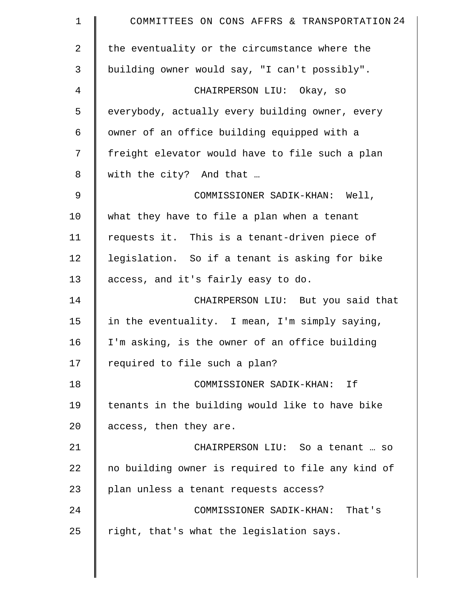| COMMITTEES ON CONS AFFRS & TRANSPORTATION 24      |
|---------------------------------------------------|
| the eventuality or the circumstance where the     |
| building owner would say, "I can't possibly".     |
| CHAIRPERSON LIU: Okay, so                         |
| everybody, actually every building owner, every   |
| owner of an office building equipped with a       |
| freight elevator would have to file such a plan   |
| with the city? And that                           |
| COMMISSIONER SADIK-KHAN: Well,                    |
| what they have to file a plan when a tenant       |
| requests it. This is a tenant-driven piece of     |
| legislation. So if a tenant is asking for bike    |
| access, and it's fairly easy to do.               |
| CHAIRPERSON LIU: But you said that                |
| in the eventuality. I mean, I'm simply saying,    |
| I'm asking, is the owner of an office building    |
| required to file such a plan?                     |
| COMMISSIONER SADIK-KHAN: If                       |
| tenants in the building would like to have bike   |
| access, then they are.                            |
| CHAIRPERSON LIU: So a tenant  so                  |
| no building owner is required to file any kind of |
| plan unless a tenant requests access?             |
| COMMISSIONER SADIK-KHAN: That's                   |
| right, that's what the legislation says.          |
|                                                   |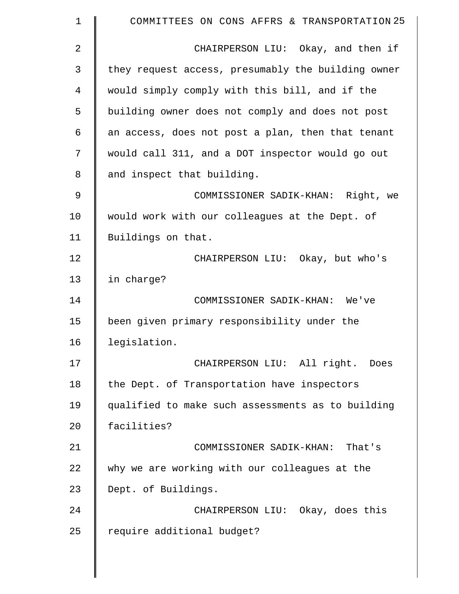| 1             | COMMITTEES ON CONS AFFRS & TRANSPORTATION 25       |
|---------------|----------------------------------------------------|
| 2             | CHAIRPERSON LIU: Okay, and then if                 |
| 3             | they request access, presumably the building owner |
| 4             | would simply comply with this bill, and if the     |
| 5             | building owner does not comply and does not post   |
| 6             | an access, does not post a plan, then that tenant  |
| 7             | would call 311, and a DOT inspector would go out   |
| 8             | and inspect that building.                         |
| $\mathcal{G}$ | COMMISSIONER SADIK-KHAN: Right, we                 |
| 10            | would work with our colleagues at the Dept. of     |
| 11            | Buildings on that.                                 |
| 12            | CHAIRPERSON LIU: Okay, but who's                   |
| 13            | in charge?                                         |
| 14            | COMMISSIONER SADIK-KHAN: We've                     |
| 15            | been given primary responsibility under the        |
| 16            | legislation.                                       |
| 17            | CHAIRPERSON LIU: All right. Does                   |
| 18            | the Dept. of Transportation have inspectors        |
| 19            | qualified to make such assessments as to building  |
| 20            | facilities?                                        |
| 21            | COMMISSIONER SADIK-KHAN: That's                    |
| 22            | why we are working with our colleagues at the      |
| 23            | Dept. of Buildings.                                |
| 24            | CHAIRPERSON LIU: Okay, does this                   |
| 25            | require additional budget?                         |
|               |                                                    |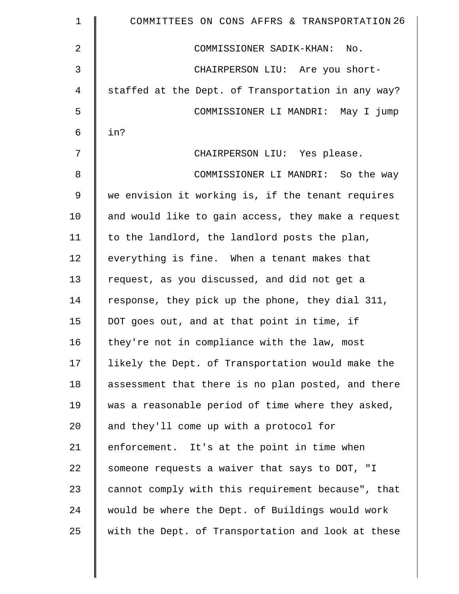| $\mathbf 1$ | COMMITTEES ON CONS AFFRS & TRANSPORTATION 26       |
|-------------|----------------------------------------------------|
| 2           | COMMISSIONER SADIK-KHAN: No.                       |
| 3           | CHAIRPERSON LIU: Are you short-                    |
| 4           | staffed at the Dept. of Transportation in any way? |
| 5           | COMMISSIONER LI MANDRI: May I jump                 |
| 6           | in?                                                |
| 7           | CHAIRPERSON LIU: Yes please.                       |
| 8           | COMMISSIONER LI MANDRI: So the way                 |
| 9           | we envision it working is, if the tenant requires  |
| 10          | and would like to gain access, they make a request |
| 11          | to the landlord, the landlord posts the plan,      |
| 12          | everything is fine. When a tenant makes that       |
| 13          | request, as you discussed, and did not get a       |
| 14          | response, they pick up the phone, they dial 311,   |
| 15          | DOT goes out, and at that point in time, if        |
| 16          | they're not in compliance with the law, most       |
| 17          | likely the Dept. of Transportation would make the  |
| 18          | assessment that there is no plan posted, and there |
| 19          | was a reasonable period of time where they asked,  |
| 20          | and they'll come up with a protocol for            |
| 21          | enforcement. It's at the point in time when        |
| 22          | someone requests a waiver that says to DOT, "I     |
| 23          | cannot comply with this requirement because", that |
| 24          | would be where the Dept. of Buildings would work   |
| 25          | with the Dept. of Transportation and look at these |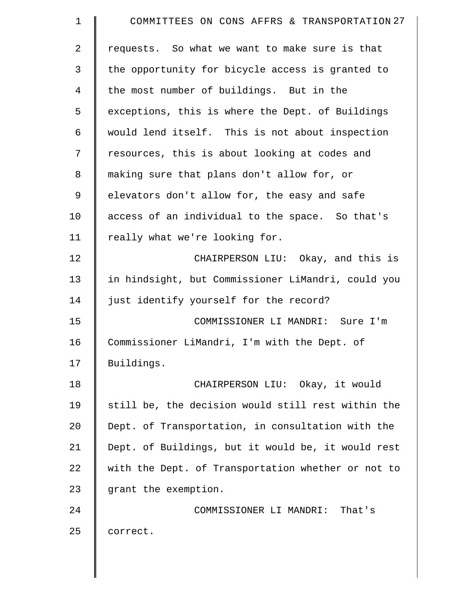| $\mathbf 1$    | COMMITTEES ON CONS AFFRS & TRANSPORTATION 27       |
|----------------|----------------------------------------------------|
| $\overline{2}$ | requests. So what we want to make sure is that     |
| 3              | the opportunity for bicycle access is granted to   |
| $\overline{4}$ | the most number of buildings. But in the           |
| 5              | exceptions, this is where the Dept. of Buildings   |
| 6              | would lend itself. This is not about inspection    |
| 7              | resources, this is about looking at codes and      |
| 8              | making sure that plans don't allow for, or         |
| 9              | elevators don't allow for, the easy and safe       |
| 10             | access of an individual to the space. So that's    |
| 11             | really what we're looking for.                     |
| 12             | CHAIRPERSON LIU: Okay, and this is                 |
| 13             | in hindsight, but Commissioner LiMandri, could you |
| 14             | just identify yourself for the record?             |
| 15             | COMMISSIONER LI MANDRI: Sure I'm                   |
| 16             | Commissioner LiMandri, I'm with the Dept. of       |
| 17             | Buildings.                                         |
| 18             | CHAIRPERSON LIU: Okay, it would                    |
| 19             | still be, the decision would still rest within the |
| 20             | Dept. of Transportation, in consultation with the  |
| 21             | Dept. of Buildings, but it would be, it would rest |
| 22             | with the Dept. of Transportation whether or not to |
| 23             | grant the exemption.                               |
| 24             | COMMISSIONER LI MANDRI:<br>That's                  |
| 25             | correct.                                           |
|                |                                                    |

 $\parallel$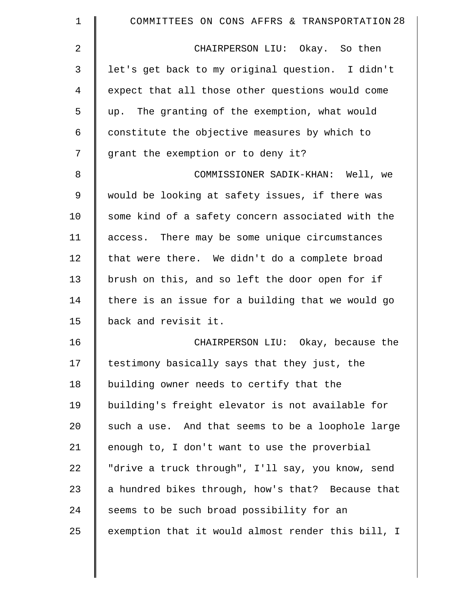| $\mathbf 1$ | COMMITTEES ON CONS AFFRS & TRANSPORTATION 28       |
|-------------|----------------------------------------------------|
| 2           | CHAIRPERSON LIU: Okay. So then                     |
| 3           | let's get back to my original question. I didn't   |
| 4           | expect that all those other questions would come   |
| 5           | up. The granting of the exemption, what would      |
| 6           | constitute the objective measures by which to      |
| 7           | grant the exemption or to deny it?                 |
| 8           | COMMISSIONER SADIK-KHAN: Well, we                  |
| $\mathsf 9$ | would be looking at safety issues, if there was    |
| 10          | some kind of a safety concern associated with the  |
| 11          | access. There may be some unique circumstances     |
| 12          | that were there. We didn't do a complete broad     |
| 13          | brush on this, and so left the door open for if    |
| 14          | there is an issue for a building that we would go  |
| 15          | back and revisit it.                               |
| 16          | CHAIRPERSON LIU: Okay, because the                 |
| 17          | testimony basically says that they just, the       |
| 18          | building owner needs to certify that the           |
| 19          | building's freight elevator is not available for   |
| 20          | such a use. And that seems to be a loophole large  |
| 21          | enough to, I don't want to use the proverbial      |
| 22          | "drive a truck through", I'll say, you know, send  |
| 23          | a hundred bikes through, how's that? Because that  |
| 24          | seems to be such broad possibility for an          |
| 25          | exemption that it would almost render this bill, I |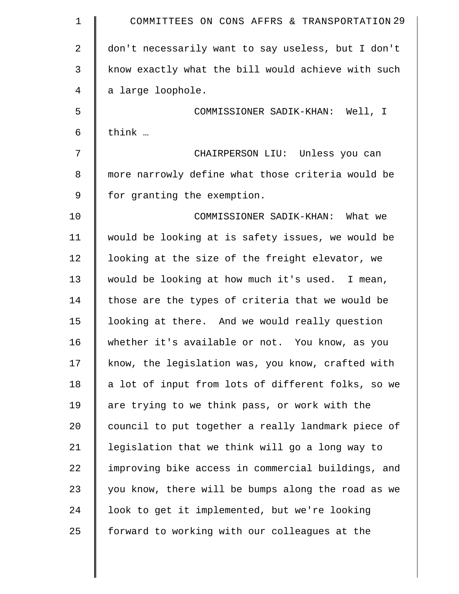| $\mathbf 1$    | COMMITTEES ON CONS AFFRS & TRANSPORTATION 29       |
|----------------|----------------------------------------------------|
| $\overline{2}$ | don't necessarily want to say useless, but I don't |
| 3              | know exactly what the bill would achieve with such |
| 4              | a large loophole.                                  |
| 5              | COMMISSIONER SADIK-KHAN: Well, I                   |
| 6              | think                                              |
| 7              | CHAIRPERSON LIU: Unless you can                    |
| 8              | more narrowly define what those criteria would be  |
| 9              | for granting the exemption.                        |
| 10             | COMMISSIONER SADIK-KHAN: What we                   |
| 11             | would be looking at is safety issues, we would be  |
| 12             | looking at the size of the freight elevator, we    |
| 13             | would be looking at how much it's used. I mean,    |
| 14             | those are the types of criteria that we would be   |
| 15             | looking at there. And we would really question     |
| 16             | whether it's available or not. You know, as you    |
| 17             | know, the legislation was, you know, crafted with  |
| 18             | a lot of input from lots of different folks, so we |
| 19             | are trying to we think pass, or work with the      |
| 20             | council to put together a really landmark piece of |
| 21             | legislation that we think will go a long way to    |
| 22             | improving bike access in commercial buildings, and |
| 23             | you know, there will be bumps along the road as we |
| 24             | look to get it implemented, but we're looking      |
| 25             | forward to working with our colleagues at the      |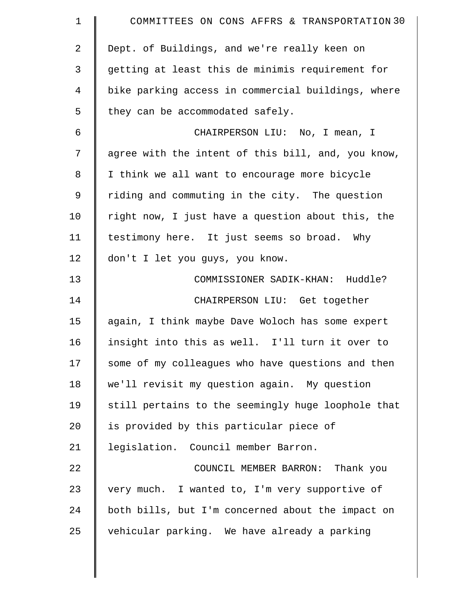| $\mathbf 1$    | COMMITTEES ON CONS AFFRS & TRANSPORTATION 30       |
|----------------|----------------------------------------------------|
| $\overline{2}$ | Dept. of Buildings, and we're really keen on       |
| 3              | getting at least this de minimis requirement for   |
| $\overline{4}$ | bike parking access in commercial buildings, where |
| 5              | they can be accommodated safely.                   |
| 6              | CHAIRPERSON LIU: No, I mean, I                     |
| 7              | agree with the intent of this bill, and, you know, |
| 8              | I think we all want to encourage more bicycle      |
| 9              | riding and commuting in the city. The question     |
| 10             | right now, I just have a question about this, the  |
| 11             | testimony here. It just seems so broad. Why        |
| 12             | don't I let you guys, you know.                    |
| 13             | COMMISSIONER SADIK-KHAN: Huddle?                   |
| 14             | CHAIRPERSON LIU: Get together                      |
| 15             | again, I think maybe Dave Woloch has some expert   |
| 16             | insight into this as well. I'll turn it over to    |
| 17             | some of my colleagues who have questions and then  |
| 18             | we'll revisit my question again. My question       |
| 19             | still pertains to the seemingly huge loophole that |
| 20             | is provided by this particular piece of            |
| 21             | legislation. Council member Barron.                |
| 22             | COUNCIL MEMBER BARRON: Thank you                   |
| 23             | very much. I wanted to, I'm very supportive of     |
| 24             | both bills, but I'm concerned about the impact on  |
| 25             | vehicular parking. We have already a parking       |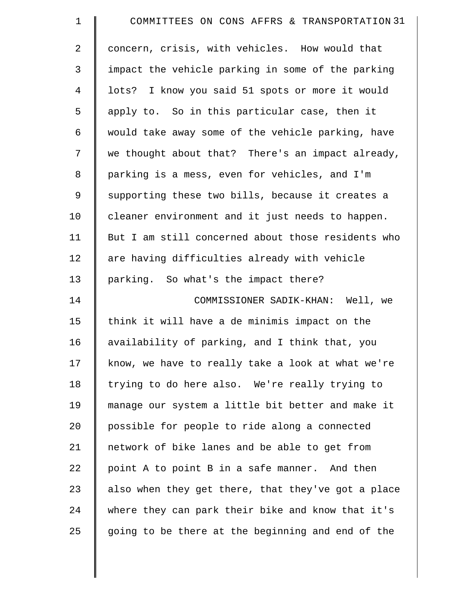| $\mathbf 1$    | COMMITTEES ON CONS AFFRS & TRANSPORTATION 31       |
|----------------|----------------------------------------------------|
| $\overline{2}$ | concern, crisis, with vehicles. How would that     |
| 3              | impact the vehicle parking in some of the parking  |
| $\overline{4}$ | lots? I know you said 51 spots or more it would    |
| 5              | apply to. So in this particular case, then it      |
| 6              | would take away some of the vehicle parking, have  |
| 7              | we thought about that? There's an impact already,  |
| 8              | parking is a mess, even for vehicles, and I'm      |
| 9              | supporting these two bills, because it creates a   |
| 10             | cleaner environment and it just needs to happen.   |
| 11             | But I am still concerned about those residents who |
| 12             | are having difficulties already with vehicle       |
| 13             | parking. So what's the impact there?               |
| 14             | COMMISSIONER SADIK-KHAN: Well, we                  |
| 15             | think it will have a de minimis impact on the      |
| 16             | availability of parking, and I think that, you     |
| 17             | know, we have to really take a look at what we're  |
| 18             | trying to do here also. We're really trying to     |
| 19             | manage our system a little bit better and make it  |
| 20             | possible for people to ride along a connected      |
| 21             | network of bike lanes and be able to get from      |
| 22             | point A to point B in a safe manner. And then      |
| 23             | also when they get there, that they've got a place |
| 24             | where they can park their bike and know that it's  |
| 25             | going to be there at the beginning and end of the  |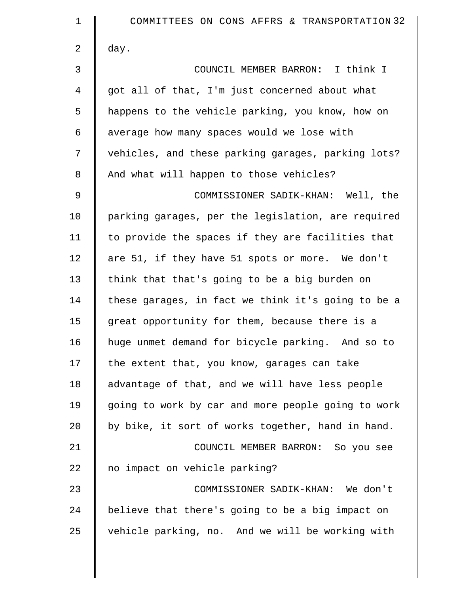| $\mathbf 1$    | COMMITTEES ON CONS AFFRS & TRANSPORTATION 32       |
|----------------|----------------------------------------------------|
| $\overline{2}$ | day.                                               |
| 3              | COUNCIL MEMBER BARRON: I think I                   |
| 4              | got all of that, I'm just concerned about what     |
| 5              | happens to the vehicle parking, you know, how on   |
| 6              | average how many spaces would we lose with         |
| 7              | vehicles, and these parking garages, parking lots? |
| 8              | And what will happen to those vehicles?            |
| 9              | COMMISSIONER SADIK-KHAN: Well, the                 |
| 10             | parking garages, per the legislation, are required |
| 11             | to provide the spaces if they are facilities that  |
| 12             | are 51, if they have 51 spots or more. We don't    |
| 13             | think that that's going to be a big burden on      |
| 14             | these garages, in fact we think it's going to be a |
| 15             | great opportunity for them, because there is a     |
| 16             | huge unmet demand for bicycle parking. And so to   |
| 17             | the extent that, you know, garages can take        |
| 18             | advantage of that, and we will have less people    |
| 19             | going to work by car and more people going to work |
| 20             | by bike, it sort of works together, hand in hand.  |
| 21             | COUNCIL MEMBER BARRON: So you see                  |
| 22             | no impact on vehicle parking?                      |
| 23             | COMMISSIONER SADIK-KHAN: We don't                  |
| 24             | believe that there's going to be a big impact on   |
| 25             | vehicle parking, no. And we will be working with   |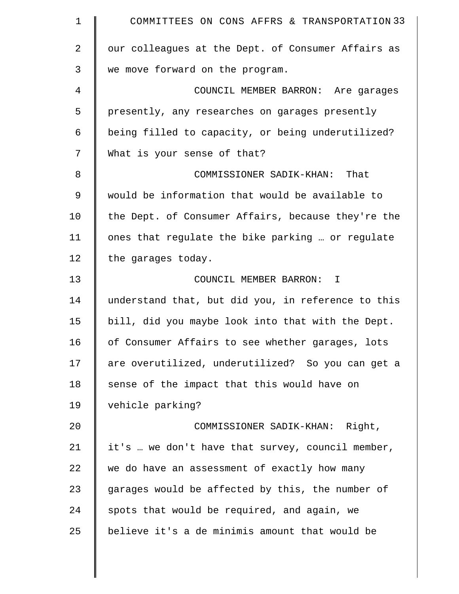| $\mathbf 1$ | COMMITTEES ON CONS AFFRS & TRANSPORTATION 33       |
|-------------|----------------------------------------------------|
| 2           | our colleagues at the Dept. of Consumer Affairs as |
| 3           | we move forward on the program.                    |
| 4           | COUNCIL MEMBER BARRON: Are garages                 |
| 5           | presently, any researches on garages presently     |
| 6           | being filled to capacity, or being underutilized?  |
| 7           | What is your sense of that?                        |
| 8           | COMMISSIONER SADIK-KHAN: That                      |
| 9           | would be information that would be available to    |
| 10          | the Dept. of Consumer Affairs, because they're the |
| 11          | ones that regulate the bike parking  or regulate   |
| 12          | the garages today.                                 |
| 13          | COUNCIL MEMBER BARRON: I                           |
| 14          | understand that, but did you, in reference to this |
| 15          | bill, did you maybe look into that with the Dept.  |
| 16          | of Consumer Affairs to see whether garages, lots   |
| 17          | are overutilized, underutilized? So you can get a  |
| 18          | sense of the impact that this would have on        |
| 19          | vehicle parking?                                   |
| 20          | COMMISSIONER SADIK-KHAN: Right,                    |
| 21          | it's  we don't have that survey, council member,   |
| 22          | we do have an assessment of exactly how many       |
| 23          | garages would be affected by this, the number of   |
| 24          | spots that would be required, and again, we        |
| 25          | believe it's a de minimis amount that would be     |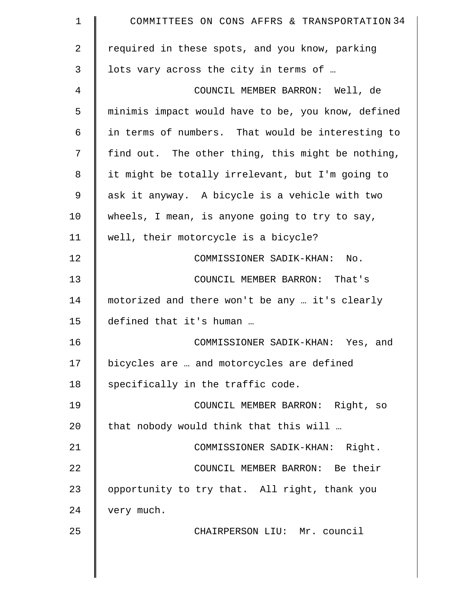| 1  | COMMITTEES ON CONS AFFRS & TRANSPORTATION 34       |
|----|----------------------------------------------------|
| 2  | required in these spots, and you know, parking     |
| 3  | lots vary across the city in terms of              |
| 4  | COUNCIL MEMBER BARRON: Well, de                    |
| 5  | minimis impact would have to be, you know, defined |
| 6  | in terms of numbers. That would be interesting to  |
| 7  | find out. The other thing, this might be nothing,  |
| 8  | it might be totally irrelevant, but I'm going to   |
| 9  | ask it anyway. A bicycle is a vehicle with two     |
| 10 | wheels, I mean, is anyone going to try to say,     |
| 11 | well, their motorcycle is a bicycle?               |
| 12 | COMMISSIONER SADIK-KHAN:<br>No.                    |
| 13 | COUNCIL MEMBER BARRON: That's                      |
| 14 | motorized and there won't be any  it's clearly     |
| 15 | defined that it's human                            |
| 16 | COMMISSIONER SADIK-KHAN: Yes, and                  |
| 17 | bicycles are  and motorcycles are defined          |
| 18 | specifically in the traffic code.                  |
| 19 | COUNCIL MEMBER BARRON: Right, so                   |
| 20 | that nobody would think that this will             |
| 21 | COMMISSIONER SADIK-KHAN: Right.                    |
| 22 | COUNCIL MEMBER BARRON: Be their                    |
| 23 | opportunity to try that. All right, thank you      |
| 24 | very much.                                         |
| 25 | CHAIRPERSON LIU: Mr. council                       |
|    |                                                    |
|    |                                                    |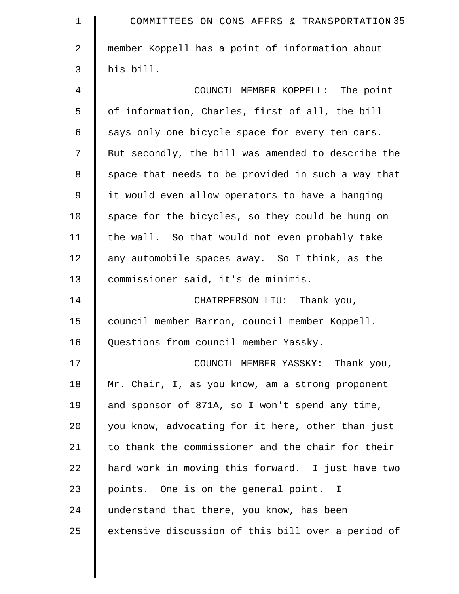| $\mathbf 1$    | COMMITTEES ON CONS AFFRS & TRANSPORTATION 35       |
|----------------|----------------------------------------------------|
| $\overline{2}$ | member Koppell has a point of information about    |
| 3              | his bill.                                          |
| 4              | COUNCIL MEMBER KOPPELL: The point                  |
| 5              | of information, Charles, first of all, the bill    |
| 6              | says only one bicycle space for every ten cars.    |
| 7              | But secondly, the bill was amended to describe the |
| 8              | space that needs to be provided in such a way that |
| 9              | it would even allow operators to have a hanging    |
| 10             | space for the bicycles, so they could be hung on   |
| 11             | the wall. So that would not even probably take     |
| 12             | any automobile spaces away. So I think, as the     |
| 13             | commissioner said, it's de minimis.                |
| 14             | CHAIRPERSON LIU: Thank you,                        |
| 15             | council member Barron, council member Koppell.     |
| 16             | Questions from council member Yassky.              |
| 17             | COUNCIL MEMBER YASSKY: Thank you,                  |
| 18             | Mr. Chair, I, as you know, am a strong proponent   |
| 19             | and sponsor of 871A, so I won't spend any time,    |
| 20             | you know, advocating for it here, other than just  |
| 21             | to thank the commissioner and the chair for their  |
| 22             | hard work in moving this forward. I just have two  |
| 23             | points. One is on the general point. I             |
| 24             | understand that there, you know, has been          |
| 25             | extensive discussion of this bill over a period of |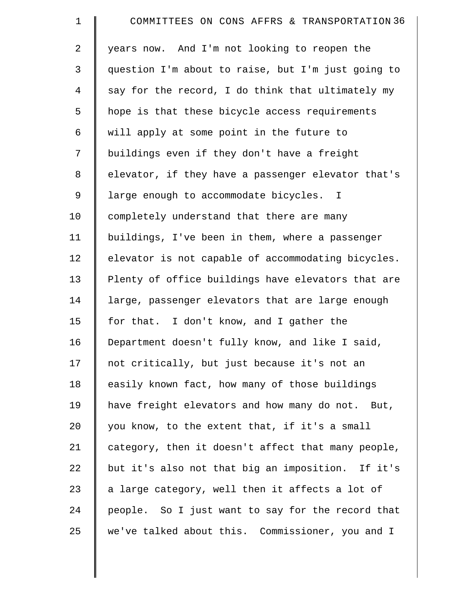| $\mathbf 1$ | COMMITTEES ON CONS AFFRS & TRANSPORTATION 36       |
|-------------|----------------------------------------------------|
| 2           | years now. And I'm not looking to reopen the       |
| 3           | question I'm about to raise, but I'm just going to |
| 4           | say for the record, I do think that ultimately my  |
| 5           | hope is that these bicycle access requirements     |
| 6           | will apply at some point in the future to          |
| 7           | buildings even if they don't have a freight        |
| 8           | elevator, if they have a passenger elevator that's |
| 9           | large enough to accommodate bicycles. I            |
| 10          | completely understand that there are many          |
| 11          | buildings, I've been in them, where a passenger    |
| 12          | elevator is not capable of accommodating bicycles. |
| 13          | Plenty of office buildings have elevators that are |
| 14          | large, passenger elevators that are large enough   |
| 15          | for that. I don't know, and I gather the           |
| 16          | Department doesn't fully know, and like I said,    |
| 17          | not critically, but just because it's not an       |
| 18          | easily known fact, how many of those buildings     |
| 19          | have freight elevators and how many do not. But,   |
| 20          | you know, to the extent that, if it's a small      |
| 21          | category, then it doesn't affect that many people, |
| 22          | but it's also not that big an imposition. If it's  |
| 23          | a large category, well then it affects a lot of    |
| 24          | people. So I just want to say for the record that  |
| 25          | we've talked about this. Commissioner, you and I   |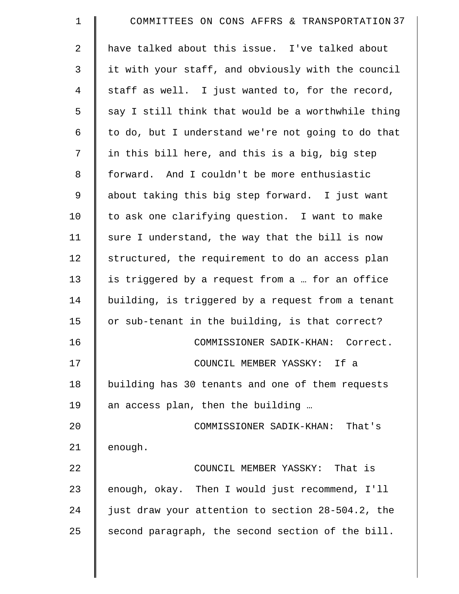| COMMITTEES ON CONS AFFRS & TRANSPORTATION 37       |
|----------------------------------------------------|
| have talked about this issue. I've talked about    |
| it with your staff, and obviously with the council |
| staff as well. I just wanted to, for the record,   |
| say I still think that would be a worthwhile thing |
| to do, but I understand we're not going to do that |
| in this bill here, and this is a big, big step     |
| forward. And I couldn't be more enthusiastic       |
| about taking this big step forward. I just want    |
| to ask one clarifying question. I want to make     |
| sure I understand, the way that the bill is now    |
| structured, the requirement to do an access plan   |
| is triggered by a request from a  for an office    |
| building, is triggered by a request from a tenant  |
| or sub-tenant in the building, is that correct?    |
| COMMISSIONER SADIK-KHAN: Correct.                  |
| COUNCIL MEMBER YASSKY: If a                        |
| building has 30 tenants and one of them requests   |
| an access plan, then the building                  |
| COMMISSIONER SADIK-KHAN: That's                    |
| enough.                                            |
| COUNCIL MEMBER YASSKY: That is                     |
| enough, okay. Then I would just recommend, I'll    |
| just draw your attention to section 28-504.2, the  |
| second paragraph, the second section of the bill.  |
|                                                    |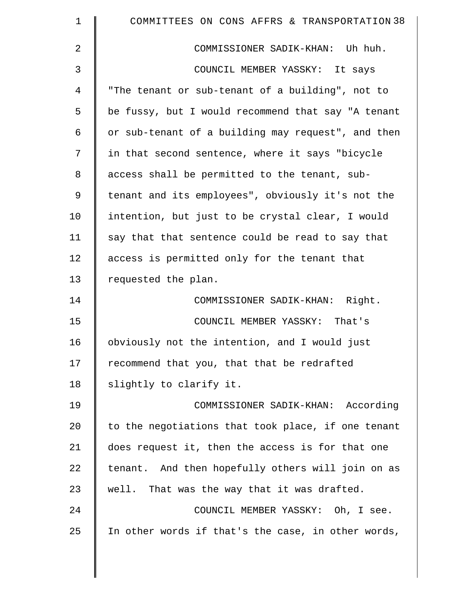| $\mathbf 1$    | COMMITTEES ON CONS AFFRS & TRANSPORTATION 38       |
|----------------|----------------------------------------------------|
| 2              | COMMISSIONER SADIK-KHAN: Uh huh.                   |
| 3              | COUNCIL MEMBER YASSKY: It says                     |
| $\overline{4}$ | "The tenant or sub-tenant of a building", not to   |
| 5              | be fussy, but I would recommend that say "A tenant |
| 6              | or sub-tenant of a building may request", and then |
| 7              | in that second sentence, where it says "bicycle    |
| 8              | access shall be permitted to the tenant, sub-      |
| 9              | tenant and its employees", obviously it's not the  |
| 10             | intention, but just to be crystal clear, I would   |
| 11             | say that that sentence could be read to say that   |
| 12             | access is permitted only for the tenant that       |
| 13             | requested the plan.                                |
| 14             | COMMISSIONER SADIK-KHAN: Right.                    |
| 15             | COUNCIL MEMBER YASSKY: That's                      |
| 16             | obviously not the intention, and I would just      |
| 17             | recommend that you, that that be redrafted         |
| 18             | slightly to clarify it.                            |
| 19             | COMMISSIONER SADIK-KHAN: According                 |
| 20             | to the negotiations that took place, if one tenant |
| 21             | does request it, then the access is for that one   |
| 22             | tenant. And then hopefully others will join on as  |
| 23             | well. That was the way that it was drafted.        |
| 24             | COUNCIL MEMBER YASSKY: Oh, I see.                  |
| 25             | In other words if that's the case, in other words, |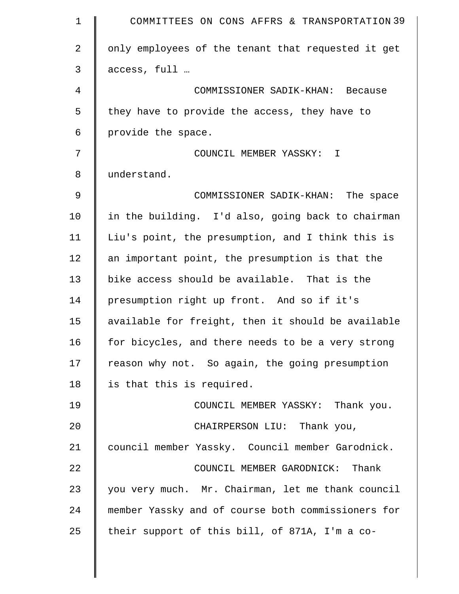| $\mathbf 1$    | COMMITTEES ON CONS AFFRS & TRANSPORTATION 39       |
|----------------|----------------------------------------------------|
| $\overline{a}$ | only employees of the tenant that requested it get |
| 3              | access, full                                       |
| $\overline{4}$ | COMMISSIONER SADIK-KHAN: Because                   |
| 5              | they have to provide the access, they have to      |
| 6              | provide the space.                                 |
| 7              | COUNCIL MEMBER YASSKY: I                           |
| 8              | understand.                                        |
| 9              | COMMISSIONER SADIK-KHAN: The space                 |
| 10             | in the building. I'd also, going back to chairman  |
| 11             | Liu's point, the presumption, and I think this is  |
| 12             | an important point, the presumption is that the    |
| 13             | bike access should be available. That is the       |
| 14             | presumption right up front. And so if it's         |
| 15             | available for freight, then it should be available |
| 16             | for bicycles, and there needs to be a very strong  |
| 17             | reason why not. So again, the going presumption    |
| 18             | is that this is required.                          |
| 19             | COUNCIL MEMBER YASSKY: Thank you.                  |
| 20             | CHAIRPERSON LIU: Thank you,                        |
| 21             | council member Yassky. Council member Garodnick.   |
| 22             | COUNCIL MEMBER GARODNICK: Thank                    |
| 23             | you very much. Mr. Chairman, let me thank council  |
| 24             | member Yassky and of course both commissioners for |
| 25             | their support of this bill, of 871A, I'm a co-     |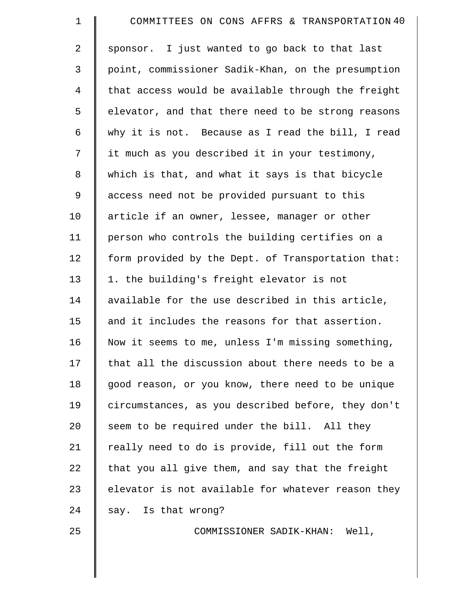| $\mathbf 1$    | COMMITTEES ON CONS AFFRS & TRANSPORTATION 40       |
|----------------|----------------------------------------------------|
| $\overline{2}$ | sponsor. I just wanted to go back to that last     |
| 3              | point, commissioner Sadik-Khan, on the presumption |
| $\overline{4}$ | that access would be available through the freight |
| 5              | elevator, and that there need to be strong reasons |
| 6              | why it is not. Because as I read the bill, I read  |
| 7              | it much as you described it in your testimony,     |
| 8              | which is that, and what it says is that bicycle    |
| 9              | access need not be provided pursuant to this       |
| 10             | article if an owner, lessee, manager or other      |
| 11             | person who controls the building certifies on a    |
| 12             | form provided by the Dept. of Transportation that: |
| 13             | 1. the building's freight elevator is not          |
| 14             | available for the use described in this article,   |
| 15             | and it includes the reasons for that assertion.    |
| 16             | Now it seems to me, unless I'm missing something,  |
| 17             | that all the discussion about there needs to be a  |
| 18             | good reason, or you know, there need to be unique  |
| 19             | circumstances, as you described before, they don't |
| 20             | seem to be required under the bill. All they       |
| 21             | really need to do is provide, fill out the form    |
| 22             | that you all give them, and say that the freight   |
| 23             | elevator is not available for whatever reason they |
| 24             | say. Is that wrong?                                |
| 25             | COMMISSIONER SADIK-KHAN: Well,                     |
|                |                                                    |

 $\parallel$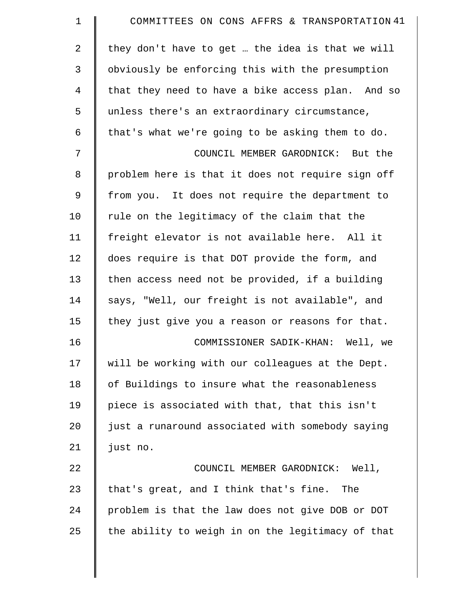| 1  | COMMITTEES ON CONS AFFRS & TRANSPORTATION 41      |
|----|---------------------------------------------------|
| 2  | they don't have to get  the idea is that we will  |
| 3  | obviously be enforcing this with the presumption  |
| 4  | that they need to have a bike access plan. And so |
| 5  | unless there's an extraordinary circumstance,     |
| 6  | that's what we're going to be asking them to do.  |
| 7  | COUNCIL MEMBER GARODNICK: But the                 |
| 8  | problem here is that it does not require sign off |
| 9  | from you. It does not require the department to   |
| 10 | rule on the legitimacy of the claim that the      |
| 11 | freight elevator is not available here. All it    |
| 12 | does require is that DOT provide the form, and    |
| 13 | then access need not be provided, if a building   |
| 14 | says, "Well, our freight is not available", and   |
| 15 | they just give you a reason or reasons for that.  |
| 16 | COMMISSIONER SADIK-KHAN: Well, we                 |
| 17 | will be working with our colleagues at the Dept.  |
| 18 | of Buildings to insure what the reasonableness    |
| 19 | piece is associated with that, that this isn't    |
| 20 | just a runaround associated with somebody saying  |
| 21 | just no.                                          |
| 22 | COUNCIL MEMBER GARODNICK: Well,                   |
| 23 | that's great, and I think that's fine. The        |
| 24 | problem is that the law does not give DOB or DOT  |
| 25 | the ability to weigh in on the legitimacy of that |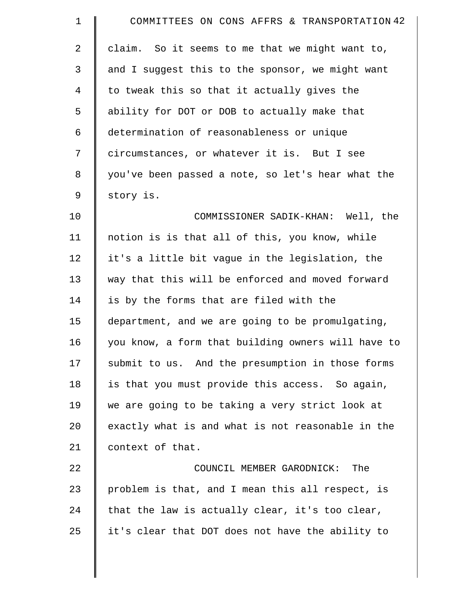| $\mathbf 1$    | COMMITTEES ON CONS AFFRS & TRANSPORTATION 42       |
|----------------|----------------------------------------------------|
| $\overline{a}$ | claim. So it seems to me that we might want to,    |
| 3              | and I suggest this to the sponsor, we might want   |
| $\overline{4}$ | to tweak this so that it actually gives the        |
| 5              | ability for DOT or DOB to actually make that       |
| 6              | determination of reasonableness or unique          |
| 7              | circumstances, or whatever it is. But I see        |
| 8              | you've been passed a note, so let's hear what the  |
| $\mathsf 9$    | story is.                                          |
| 10             | COMMISSIONER SADIK-KHAN: Well, the                 |
| 11             | notion is is that all of this, you know, while     |
| 12             | it's a little bit vague in the legislation, the    |
| 13             | way that this will be enforced and moved forward   |
| 14             | is by the forms that are filed with the            |
| 15             | department, and we are going to be promulgating,   |
| 16             | you know, a form that building owners will have to |
| 17             | submit to us. And the presumption in those forms   |
| 18             | is that you must provide this access. So again,    |
| 19             | we are going to be taking a very strict look at    |
| 20             | exactly what is and what is not reasonable in the  |
| 21             | context of that.                                   |
| 22             | COUNCIL MEMBER GARODNICK:<br>The                   |
| 23             | problem is that, and I mean this all respect, is   |
| 24             | that the law is actually clear, it's too clear,    |
| 25             | it's clear that DOT does not have the ability to   |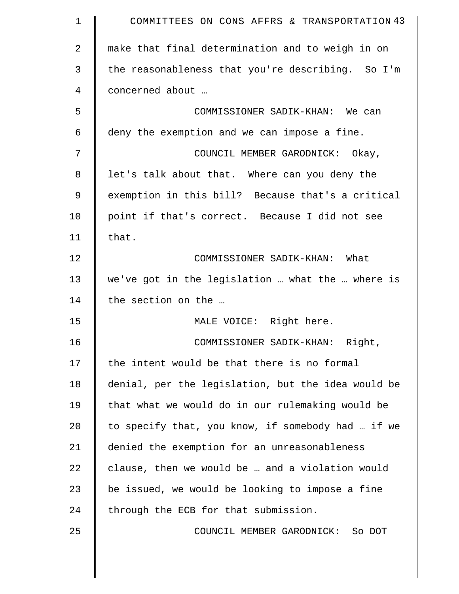| $\mathbf 1$    | COMMITTEES ON CONS AFFRS & TRANSPORTATION 43       |
|----------------|----------------------------------------------------|
| $\overline{2}$ | make that final determination and to weigh in on   |
| 3              | the reasonableness that you're describing. So I'm  |
| 4              | concerned about                                    |
| 5              | COMMISSIONER SADIK-KHAN: We can                    |
| 6              | deny the exemption and we can impose a fine.       |
| 7              | COUNCIL MEMBER GARODNICK: Okay,                    |
| 8              | let's talk about that. Where can you deny the      |
| 9              | exemption in this bill? Because that's a critical  |
| 10             | point if that's correct. Because I did not see     |
| 11             | that.                                              |
| 12             | COMMISSIONER SADIK-KHAN: What                      |
| 13             | we've got in the legislation  what the  where is   |
| 14             | the section on the                                 |
| 15             | MALE VOICE: Right here.                            |
| 16             | COMMISSIONER SADIK-KHAN: Right,                    |
| 17             | the intent would be that there is no formal        |
| 18             | denial, per the legislation, but the idea would be |
| 19             | that what we would do in our rulemaking would be   |
| 20             | to specify that, you know, if somebody had  if we  |
| 21             | denied the exemption for an unreasonableness       |
| 22             | clause, then we would be  and a violation would    |
| 23             | be issued, we would be looking to impose a fine    |
| 24             | through the ECB for that submission.               |
| 25             | COUNCIL MEMBER GARODNICK: So DOT                   |
|                |                                                    |

 $\parallel$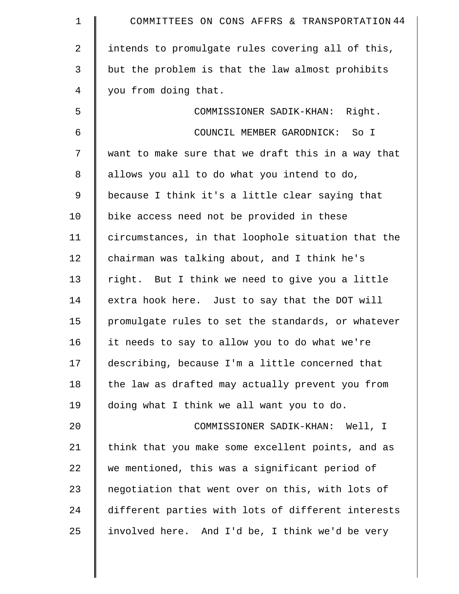| $\mathbf 1$ | COMMITTEES ON CONS AFFRS & TRANSPORTATION 44       |
|-------------|----------------------------------------------------|
| 2           | intends to promulgate rules covering all of this,  |
| 3           | but the problem is that the law almost prohibits   |
| 4           | you from doing that.                               |
| 5           | COMMISSIONER SADIK-KHAN: Right.                    |
| 6           | COUNCIL MEMBER GARODNICK: So I                     |
| 7           | want to make sure that we draft this in a way that |
| 8           | allows you all to do what you intend to do,        |
| $\mathsf 9$ | because I think it's a little clear saying that    |
| 10          | bike access need not be provided in these          |
| 11          | circumstances, in that loophole situation that the |
| 12          | chairman was talking about, and I think he's       |
| 13          | right. But I think we need to give you a little    |
| 14          | extra hook here. Just to say that the DOT will     |
| 15          | promulgate rules to set the standards, or whatever |
| 16          | it needs to say to allow you to do what we're      |
| 17          | describing, because I'm a little concerned that    |
| 18          | the law as drafted may actually prevent you from   |
| 19          | doing what I think we all want you to do.          |
| 20          | COMMISSIONER SADIK-KHAN: Well, I                   |
| 21          | think that you make some excellent points, and as  |
| 22          | we mentioned, this was a significant period of     |
| 23          | negotiation that went over on this, with lots of   |
| 24          | different parties with lots of different interests |
| 25          | involved here. And I'd be, I think we'd be very    |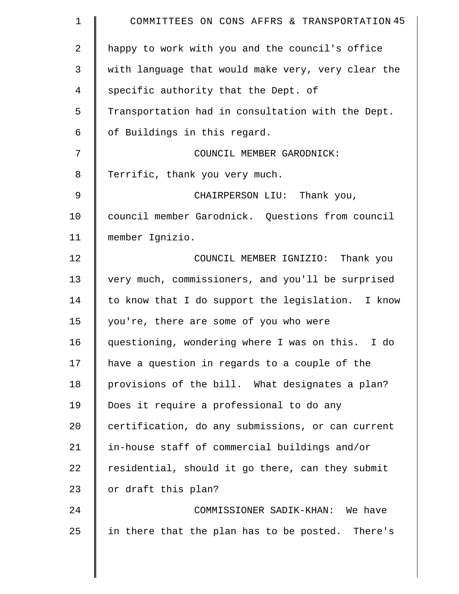| $\mathbf 1$    | COMMITTEES ON CONS AFFRS & TRANSPORTATION 45       |
|----------------|----------------------------------------------------|
| 2              | happy to work with you and the council's office    |
| 3              | with language that would make very, very clear the |
| 4              | specific authority that the Dept. of               |
| 5              | Transportation had in consultation with the Dept.  |
| 6              | of Buildings in this regard.                       |
| 7              | COUNCIL MEMBER GARODNICK:                          |
| 8              | Terrific, thank you very much.                     |
| $\mathfrak{g}$ | CHAIRPERSON LIU: Thank you,                        |
| 10             | council member Garodnick. Questions from council   |
| 11             | member Ignizio.                                    |
| 12             | COUNCIL MEMBER IGNIZIO: Thank you                  |
| 13             | very much, commissioners, and you'll be surprised  |
| 14             | to know that I do support the legislation. I know  |
| 15             | you're, there are some of you who were             |
| 16             | questioning, wondering where I was on this. I do   |
| 17             | have a question in regards to a couple of the      |
| 18             | provisions of the bill. What designates a plan?    |
| 19             | Does it require a professional to do any           |
| 20             | certification, do any submissions, or can current  |
| 21             | in-house staff of commercial buildings and/or      |
| 22             | residential, should it go there, can they submit   |
| 23             | or draft this plan?                                |
| 24             | COMMISSIONER SADIK-KHAN: We have                   |
| 25             | in there that the plan has to be posted. There's   |
|                |                                                    |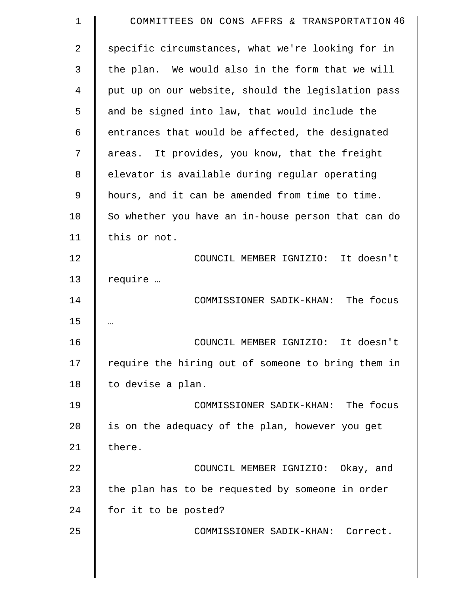| 1  | COMMITTEES ON CONS AFFRS & TRANSPORTATION 46       |
|----|----------------------------------------------------|
| 2  | specific circumstances, what we're looking for in  |
| 3  | the plan. We would also in the form that we will   |
| 4  | put up on our website, should the legislation pass |
| 5  | and be signed into law, that would include the     |
| 6  | entrances that would be affected, the designated   |
| 7  | areas. It provides, you know, that the freight     |
| 8  | elevator is available during regular operating     |
| 9  | hours, and it can be amended from time to time.    |
| 10 | So whether you have an in-house person that can do |
| 11 | this or not.                                       |
| 12 | COUNCIL MEMBER IGNIZIO: It doesn't                 |
| 13 | require                                            |
| 14 | COMMISSIONER SADIK-KHAN: The focus                 |
| 15 |                                                    |
| 16 | COUNCIL MEMBER IGNIZIO: It doesn't                 |
| 17 | require the hiring out of someone to bring them in |
| 18 | to devise a plan.                                  |
| 19 | COMMISSIONER SADIK-KHAN: The focus                 |
| 20 | is on the adequacy of the plan, however you get    |
| 21 | there.                                             |
| 22 | COUNCIL MEMBER IGNIZIO: Okay, and                  |
| 23 | the plan has to be requested by someone in order   |
| 24 | for it to be posted?                               |
| 25 | COMMISSIONER SADIK-KHAN: Correct.                  |
|    |                                                    |
|    |                                                    |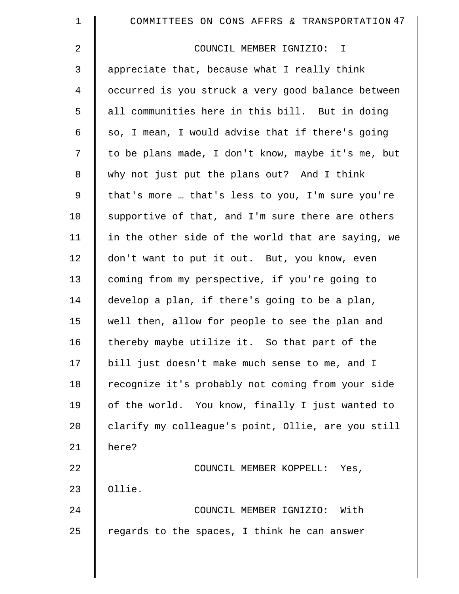| $\mathbf 1$    | COMMITTEES ON CONS AFFRS & TRANSPORTATION 47       |
|----------------|----------------------------------------------------|
| 2              | COUNCIL MEMBER IGNIZIO: I                          |
| 3              | appreciate that, because what I really think       |
| $\overline{4}$ | occurred is you struck a very good balance between |
| 5              | all communities here in this bill. But in doing    |
| 6              | so, I mean, I would advise that if there's going   |
| 7              | to be plans made, I don't know, maybe it's me, but |
| 8              | why not just put the plans out? And I think        |
| 9              | that's more  that's less to you, I'm sure you're   |
| 10             | supportive of that, and I'm sure there are others  |
| 11             | in the other side of the world that are saying, we |
| 12             | don't want to put it out. But, you know, even      |
| 13             | coming from my perspective, if you're going to     |
| 14             | develop a plan, if there's going to be a plan,     |
| 15             | well then, allow for people to see the plan and    |
| 16             | thereby maybe utilize it. So that part of the      |
| 17             | bill just doesn't make much sense to me, and I     |
| 18             | recognize it's probably not coming from your side  |
| 19             | of the world. You know, finally I just wanted to   |
| 20             | clarify my colleague's point, Ollie, are you still |
| 21             | here?                                              |
| 22             | COUNCIL MEMBER KOPPELL: Yes,                       |
| 23             | Ollie.                                             |
| 24             | COUNCIL MEMBER IGNIZIO: With                       |
| 25             | regards to the spaces, I think he can answer       |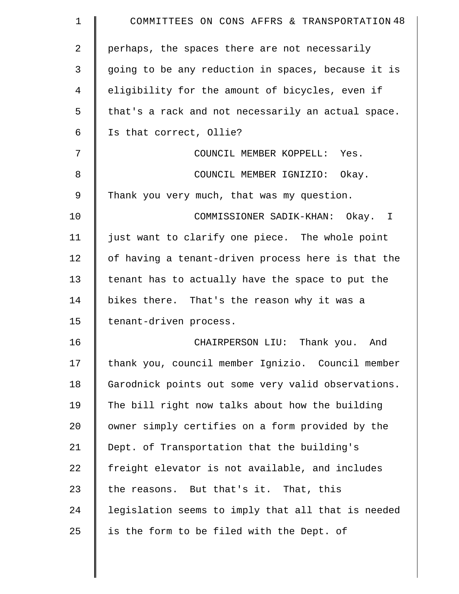| 1  | COMMITTEES ON CONS AFFRS & TRANSPORTATION 48       |
|----|----------------------------------------------------|
| 2  | perhaps, the spaces there are not necessarily      |
| 3  | going to be any reduction in spaces, because it is |
| 4  | eligibility for the amount of bicycles, even if    |
| 5  | that's a rack and not necessarily an actual space. |
| 6  | Is that correct, Ollie?                            |
| 7  | COUNCIL MEMBER KOPPELL: Yes.                       |
| 8  | COUNCIL MEMBER IGNIZIO: Okay.                      |
| 9  | Thank you very much, that was my question.         |
| 10 | COMMISSIONER SADIK-KHAN: Okay. I                   |
| 11 | just want to clarify one piece. The whole point    |
| 12 | of having a tenant-driven process here is that the |
| 13 | tenant has to actually have the space to put the   |
| 14 | bikes there. That's the reason why it was a        |
| 15 | tenant-driven process.                             |
| 16 | CHAIRPERSON LIU: Thank you. And                    |
| 17 | thank you, council member Ignizio. Council member  |
| 18 | Garodnick points out some very valid observations. |
| 19 | The bill right now talks about how the building    |
| 20 | owner simply certifies on a form provided by the   |
| 21 | Dept. of Transportation that the building's        |
| 22 | freight elevator is not available, and includes    |
| 23 | the reasons. But that's it. That, this             |
| 24 | legislation seems to imply that all that is needed |
| 25 | is the form to be filed with the Dept. of          |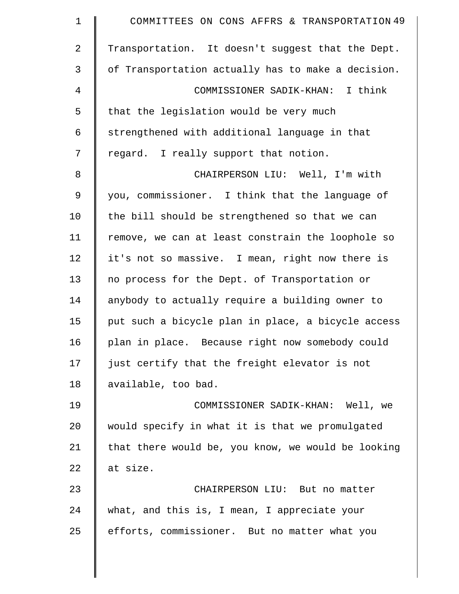| $\mathbf 1$    | COMMITTEES ON CONS AFFRS & TRANSPORTATION 49       |
|----------------|----------------------------------------------------|
| $\overline{2}$ | Transportation. It doesn't suggest that the Dept.  |
| 3              | of Transportation actually has to make a decision. |
| $\overline{4}$ | COMMISSIONER SADIK-KHAN: I think                   |
| 5              | that the legislation would be very much            |
| 6              | strengthened with additional language in that      |
| 7              | regard. I really support that notion.              |
| $\,8\,$        | CHAIRPERSON LIU: Well, I'm with                    |
| 9              | you, commissioner. I think that the language of    |
| 10             | the bill should be strengthened so that we can     |
| 11             | remove, we can at least constrain the loophole so  |
| 12             | it's not so massive. I mean, right now there is    |
| 13             | no process for the Dept. of Transportation or      |
| 14             | anybody to actually require a building owner to    |
| 15             | put such a bicycle plan in place, a bicycle access |
| 16             | plan in place. Because right now somebody could    |
| 17             | just certify that the freight elevator is not      |
| 18             | available, too bad.                                |
| 19             | COMMISSIONER SADIK-KHAN: Well, we                  |
| 20             | would specify in what it is that we promulgated    |
| 21             | that there would be, you know, we would be looking |
| 22             | at size.                                           |
| 23             | CHAIRPERSON LIU: But no matter                     |
| 24             | what, and this is, I mean, I appreciate your       |
| 25             | efforts, commissioner. But no matter what you      |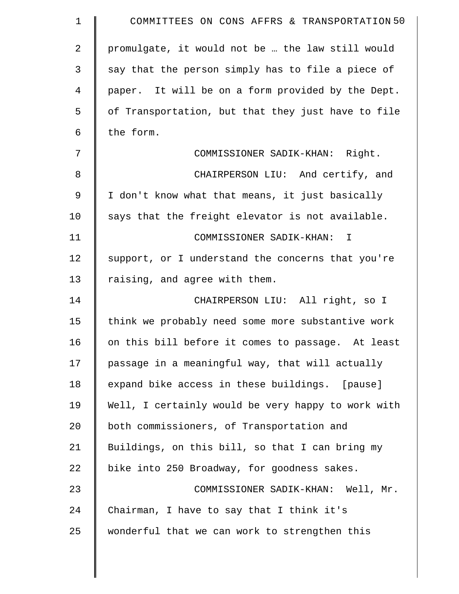| $\mathbf 1$    | COMMITTEES ON CONS AFFRS & TRANSPORTATION 50       |
|----------------|----------------------------------------------------|
| $\overline{2}$ | promulgate, it would not be  the law still would   |
| 3              | say that the person simply has to file a piece of  |
| $\overline{4}$ | paper. It will be on a form provided by the Dept.  |
| 5              | of Transportation, but that they just have to file |
| 6              | the form.                                          |
| 7              | COMMISSIONER SADIK-KHAN: Right.                    |
| 8              | CHAIRPERSON LIU: And certify, and                  |
| 9              | I don't know what that means, it just basically    |
| 10             | says that the freight elevator is not available.   |
| 11             | COMMISSIONER SADIK-KHAN: I                         |
| 12             | support, or I understand the concerns that you're  |
| 13             | raising, and agree with them.                      |
| 14             | CHAIRPERSON LIU: All right, so I                   |
| 15             | think we probably need some more substantive work  |
| 16             | on this bill before it comes to passage. At least  |
| 17             | passage in a meaningful way, that will actually    |
| 18             | expand bike access in these buildings. [pause]     |
| 19             | Well, I certainly would be very happy to work with |
| 20             | both commissioners, of Transportation and          |
| 21             | Buildings, on this bill, so that I can bring my    |
| 22             | bike into 250 Broadway, for goodness sakes.        |
| 23             | COMMISSIONER SADIK-KHAN: Well, Mr.                 |
| 24             | Chairman, I have to say that I think it's          |
| 25             | wonderful that we can work to strengthen this      |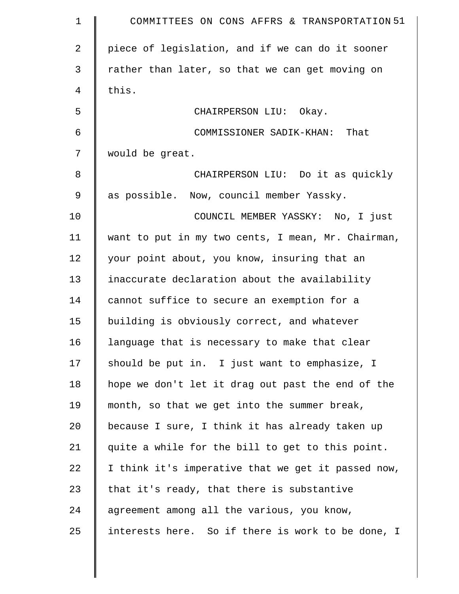| $\mathbf 1$    | COMMITTEES ON CONS AFFRS & TRANSPORTATION 51       |
|----------------|----------------------------------------------------|
| $\overline{2}$ | piece of legislation, and if we can do it sooner   |
| 3              | rather than later, so that we can get moving on    |
| 4              | this.                                              |
| 5              | CHAIRPERSON LIU: Okay.                             |
| 6              | COMMISSIONER SADIK-KHAN: That                      |
| 7              | would be great.                                    |
| 8              | CHAIRPERSON LIU: Do it as quickly                  |
| 9              | as possible. Now, council member Yassky.           |
| 10             | COUNCIL MEMBER YASSKY: No, I just                  |
| 11             | want to put in my two cents, I mean, Mr. Chairman, |
| 12             | your point about, you know, insuring that an       |
| 13             | inaccurate declaration about the availability      |
| 14             | cannot suffice to secure an exemption for a        |
| 15             | building is obviously correct, and whatever        |
| 16             | language that is necessary to make that clear      |
| 17             | should be put in. I just want to emphasize, I      |
| 18             | hope we don't let it drag out past the end of the  |
| 19             | month, so that we get into the summer break,       |
| 20             | because I sure, I think it has already taken up    |
| 21             | quite a while for the bill to get to this point.   |
| 22             | I think it's imperative that we get it passed now, |
| 23             | that it's ready, that there is substantive         |
| 24             | agreement among all the various, you know,         |
| 25             | interests here. So if there is work to be done, I  |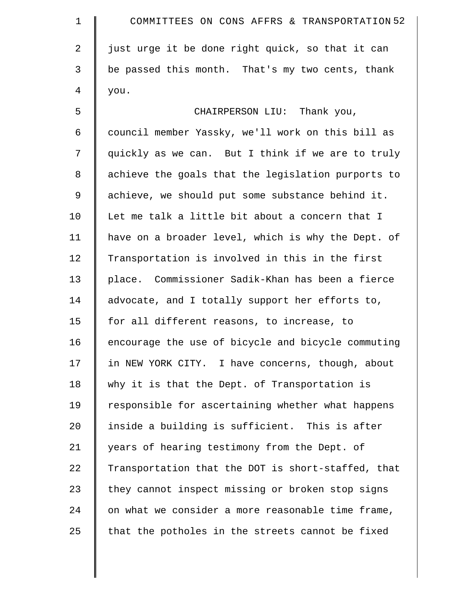| $\mathbf 1$ | COMMITTEES ON CONS AFFRS & TRANSPORTATION 52       |
|-------------|----------------------------------------------------|
| 2           | just urge it be done right quick, so that it can   |
| 3           | be passed this month. That's my two cents, thank   |
| 4           | you.                                               |
| 5           | CHAIRPERSON LIU: Thank you,                        |
| 6           | council member Yassky, we'll work on this bill as  |
| 7           | quickly as we can. But I think if we are to truly  |
| 8           | achieve the goals that the legislation purports to |
| 9           | achieve, we should put some substance behind it.   |
| 10          | Let me talk a little bit about a concern that I    |
| 11          | have on a broader level, which is why the Dept. of |
| 12          | Transportation is involved in this in the first    |
| 13          | place. Commissioner Sadik-Khan has been a fierce   |
| 14          | advocate, and I totally support her efforts to,    |
| 15          | for all different reasons, to increase, to         |
| 16          | encourage the use of bicycle and bicycle commuting |
| 17          | in NEW YORK CITY. I have concerns, though, about   |
| 18          | why it is that the Dept. of Transportation is      |
| 19          | responsible for ascertaining whether what happens  |
| 20          | inside a building is sufficient. This is after     |
| 21          | years of hearing testimony from the Dept. of       |
| 22          | Transportation that the DOT is short-staffed, that |
| 23          | they cannot inspect missing or broken stop signs   |
| 24          | on what we consider a more reasonable time frame,  |
| 25          | that the potholes in the streets cannot be fixed   |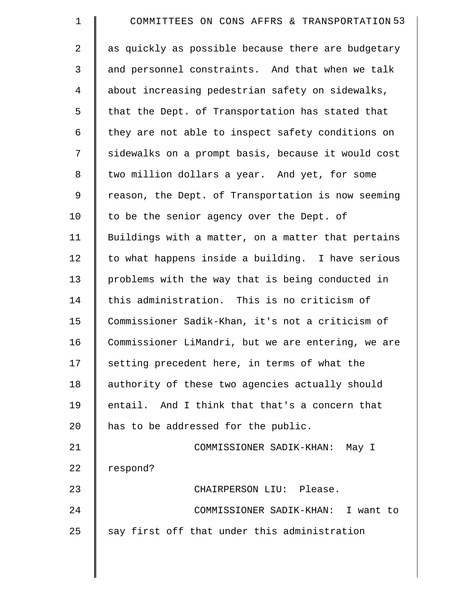| 1              | COMMITTEES ON CONS AFFRS & TRANSPORTATION 53       |
|----------------|----------------------------------------------------|
| 2              | as quickly as possible because there are budgetary |
| 3              | and personnel constraints. And that when we talk   |
| $\overline{4}$ | about increasing pedestrian safety on sidewalks,   |
| 5              | that the Dept. of Transportation has stated that   |
| 6              | they are not able to inspect safety conditions on  |
| 7              | sidewalks on a prompt basis, because it would cost |
| 8              | two million dollars a year. And yet, for some      |
| $\mathsf 9$    | reason, the Dept. of Transportation is now seeming |
| 10             | to be the senior agency over the Dept. of          |
| 11             | Buildings with a matter, on a matter that pertains |
| 12             | to what happens inside a building. I have serious  |
| 13             | problems with the way that is being conducted in   |
| 14             | this administration. This is no criticism of       |
| 15             | Commissioner Sadik-Khan, it's not a criticism of   |
| 16             | Commissioner LiMandri, but we are entering, we are |
| 17             | setting precedent here, in terms of what the       |
| 18             | authority of these two agencies actually should    |
| 19             | entail. And I think that that's a concern that     |
| 20             | has to be addressed for the public.                |
| 21             | COMMISSIONER SADIK-KHAN: May I                     |
| 22             | respond?                                           |
| 23             | CHAIRPERSON LIU: Please.                           |
| 24             | COMMISSIONER SADIK-KHAN: I want to                 |
| 25             | say first off that under this administration       |
|                |                                                    |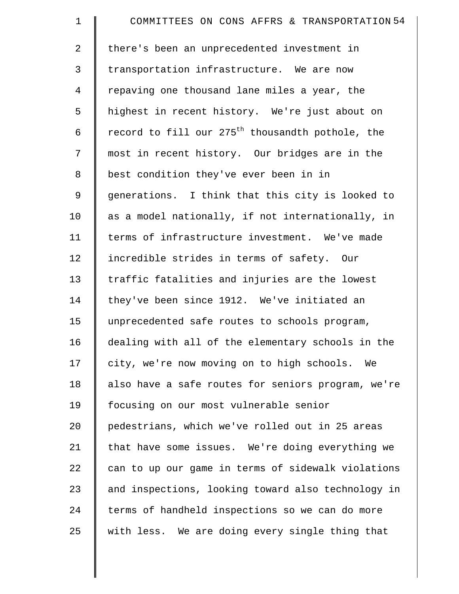| $\mathbf 1$    | COMMITTEES ON CONS AFFRS & TRANSPORTATION 54                 |
|----------------|--------------------------------------------------------------|
| 2              | there's been an unprecedented investment in                  |
| 3              | transportation infrastructure. We are now                    |
| $\overline{4}$ | repaving one thousand lane miles a year, the                 |
| 5              | highest in recent history. We're just about on               |
| 6              | record to fill our 275 <sup>th</sup> thousandth pothole, the |
| 7              | most in recent history. Our bridges are in the               |
| 8              | best condition they've ever been in in                       |
| 9              | generations. I think that this city is looked to             |
| 10             | as a model nationally, if not internationally, in            |
| 11             | terms of infrastructure investment. We've made               |
| 12             | incredible strides in terms of safety. Our                   |
| 13             | traffic fatalities and injuries are the lowest               |
| 14             | they've been since 1912. We've initiated an                  |
| 15             | unprecedented safe routes to schools program,                |
| 16             | dealing with all of the elementary schools in the            |
| 17             | city, we're now moving on to high schools. We                |
| 18             | also have a safe routes for seniors program, we're           |
| 19             | focusing on our most vulnerable senior                       |
| 20             | pedestrians, which we've rolled out in 25 areas              |
| 21             | that have some issues. We're doing everything we             |
| 22             | can to up our game in terms of sidewalk violations           |
| 23             | and inspections, looking toward also technology in           |
| 24             | terms of handheld inspections so we can do more              |
| 25             | with less. We are doing every single thing that              |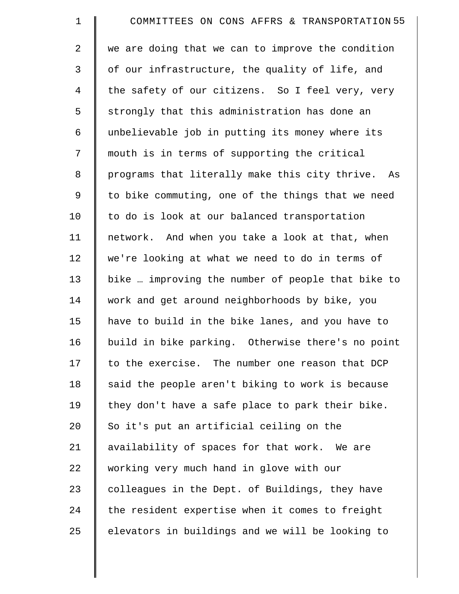| $\mathbf 1$    | COMMITTEES ON CONS AFFRS & TRANSPORTATION 55      |
|----------------|---------------------------------------------------|
| $\overline{a}$ | we are doing that we can to improve the condition |
| 3              | of our infrastructure, the quality of life, and   |
| 4              | the safety of our citizens. So I feel very, very  |
| 5              | strongly that this administration has done an     |
| 6              | unbelievable job in putting its money where its   |
| 7              | mouth is in terms of supporting the critical      |
| 8              | programs that literally make this city thrive. As |
| 9              | to bike commuting, one of the things that we need |
| 10             | to do is look at our balanced transportation      |
| 11             | network. And when you take a look at that, when   |
| 12             | we're looking at what we need to do in terms of   |
| 13             | bike  improving the number of people that bike to |
| 14             | work and get around neighborhoods by bike, you    |
| 15             | have to build in the bike lanes, and you have to  |
| 16             | build in bike parking. Otherwise there's no point |
| 17             | to the exercise. The number one reason that DCP   |
| 18             | said the people aren't biking to work is because  |
| 19             | they don't have a safe place to park their bike.  |
| 20             | So it's put an artificial ceiling on the          |
| 21             | availability of spaces for that work. We are      |
| 22             | working very much hand in glove with our          |
| 23             | colleagues in the Dept. of Buildings, they have   |
| 24             | the resident expertise when it comes to freight   |
| 25             | elevators in buildings and we will be looking to  |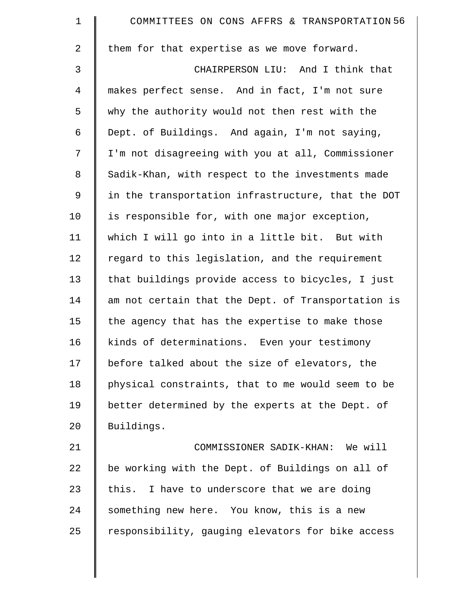| $\mathbf 1$    | COMMITTEES ON CONS AFFRS & TRANSPORTATION 56       |
|----------------|----------------------------------------------------|
| $\overline{2}$ | them for that expertise as we move forward.        |
| $\mathfrak{Z}$ | CHAIRPERSON LIU: And I think that                  |
| $\overline{4}$ | makes perfect sense. And in fact, I'm not sure     |
| 5              | why the authority would not then rest with the     |
| 6              | Dept. of Buildings. And again, I'm not saying,     |
| 7              | I'm not disagreeing with you at all, Commissioner  |
| $8\,$          | Sadik-Khan, with respect to the investments made   |
| 9              | in the transportation infrastructure, that the DOT |
| 10             | is responsible for, with one major exception,      |
| 11             | which I will go into in a little bit. But with     |
| 12             | regard to this legislation, and the requirement    |
| 13             | that buildings provide access to bicycles, I just  |
| 14             | am not certain that the Dept. of Transportation is |
| 15             | the agency that has the expertise to make those    |
| 16             | kinds of determinations. Even your testimony       |
| 17             | before talked about the size of elevators, the     |
| 18             | physical constraints, that to me would seem to be  |
| 19             | better determined by the experts at the Dept. of   |
| 20             | Buildings.                                         |
| 21             | COMMISSIONER SADIK-KHAN: We will                   |
| 22             | be working with the Dept. of Buildings on all of   |
| 23             | this. I have to underscore that we are doing       |
| 24             | something new here. You know, this is a new        |
| 25             | responsibility, gauging elevators for bike access  |
|                |                                                    |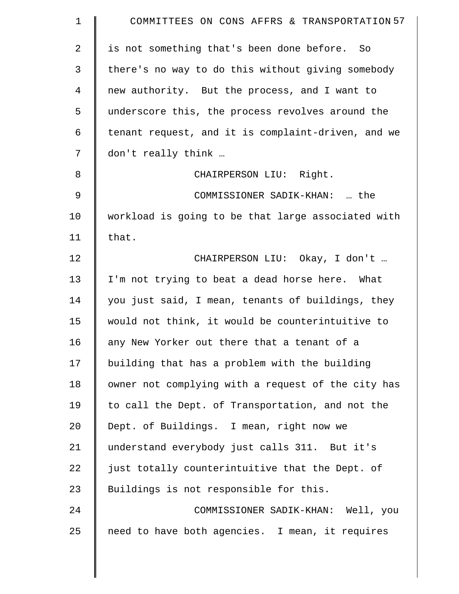| $\mathbf 1$  | COMMITTEES ON CONS AFFRS & TRANSPORTATION 57       |
|--------------|----------------------------------------------------|
| $\mathbf{2}$ | is not something that's been done before. So       |
| 3            | there's no way to do this without giving somebody  |
| 4            | new authority. But the process, and I want to      |
| 5            | underscore this, the process revolves around the   |
| 6            | tenant request, and it is complaint-driven, and we |
| 7            | don't really think                                 |
| 8            | CHAIRPERSON LIU: Right.                            |
| 9            | COMMISSIONER SADIK-KHAN:  the                      |
| 10           | workload is going to be that large associated with |
| 11           | that.                                              |
| 12           | CHAIRPERSON LIU: Okay, I don't                     |
| 13           | I'm not trying to beat a dead horse here. What     |
| 14           | you just said, I mean, tenants of buildings, they  |
| 15           | would not think, it would be counterintuitive to   |
| 16           | any New Yorker out there that a tenant of a        |
| 17           | building that has a problem with the building      |
| 18           | owner not complying with a request of the city has |
| 19           | to call the Dept. of Transportation, and not the   |
| 20           | Dept. of Buildings. I mean, right now we           |
| 21           | understand everybody just calls 311. But it's      |
| 22           | just totally counterintuitive that the Dept. of    |
| 23           | Buildings is not responsible for this.             |
| 24           | COMMISSIONER SADIK-KHAN: Well, you                 |
| 25           | need to have both agencies. I mean, it requires    |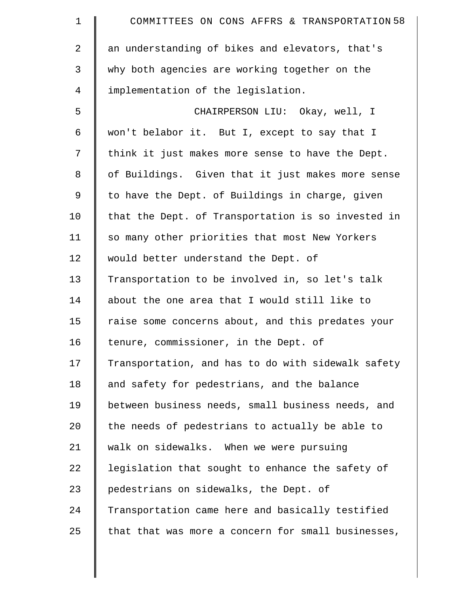| $\mathbf 1$ | COMMITTEES ON CONS AFFRS & TRANSPORTATION 58       |
|-------------|----------------------------------------------------|
| 2           | an understanding of bikes and elevators, that's    |
| 3           | why both agencies are working together on the      |
| 4           | implementation of the legislation.                 |
| 5           | CHAIRPERSON LIU: Okay, well, I                     |
| 6           | won't belabor it. But I, except to say that I      |
| 7           | think it just makes more sense to have the Dept.   |
| $\,8\,$     | of Buildings. Given that it just makes more sense  |
| $\mathsf 9$ | to have the Dept. of Buildings in charge, given    |
| 10          | that the Dept. of Transportation is so invested in |
| 11          | so many other priorities that most New Yorkers     |
| 12          | would better understand the Dept. of               |
| 13          | Transportation to be involved in, so let's talk    |
| 14          | about the one area that I would still like to      |
| 15          | raise some concerns about, and this predates your  |
| 16          | tenure, commissioner, in the Dept. of              |
| 17          | Transportation, and has to do with sidewalk safety |
| 18          | and safety for pedestrians, and the balance        |
| 19          | between business needs, small business needs, and  |
| 20          | the needs of pedestrians to actually be able to    |
| 21          | walk on sidewalks. When we were pursuing           |
| 22          | legislation that sought to enhance the safety of   |
| 23          | pedestrians on sidewalks, the Dept. of             |
| 24          | Transportation came here and basically testified   |
| 25          | that that was more a concern for small businesses, |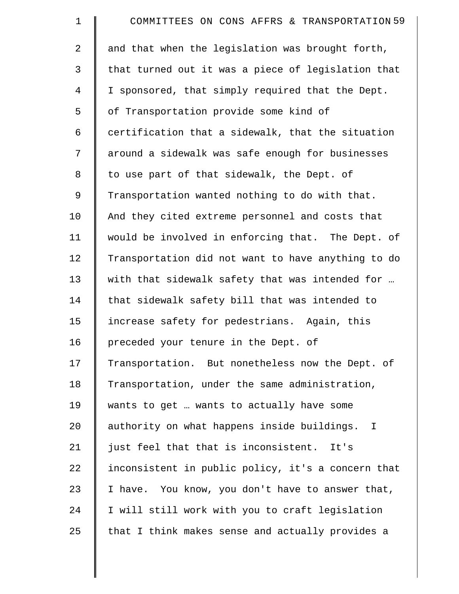| $\mathbf 1$ | COMMITTEES ON CONS AFFRS & TRANSPORTATION 59       |
|-------------|----------------------------------------------------|
| 2           | and that when the legislation was brought forth,   |
| 3           | that turned out it was a piece of legislation that |
| 4           | I sponsored, that simply required that the Dept.   |
| 5           | of Transportation provide some kind of             |
| 6           | certification that a sidewalk, that the situation  |
| 7           | around a sidewalk was safe enough for businesses   |
| 8           | to use part of that sidewalk, the Dept. of         |
| 9           | Transportation wanted nothing to do with that.     |
| 10          | And they cited extreme personnel and costs that    |
| 11          | would be involved in enforcing that. The Dept. of  |
| 12          | Transportation did not want to have anything to do |
| 13          | with that sidewalk safety that was intended for    |
| 14          | that sidewalk safety bill that was intended to     |
| 15          | increase safety for pedestrians. Again, this       |
| 16          | preceded your tenure in the Dept. of               |
| 17          | Transportation. But nonetheless now the Dept. of   |
| 18          | Transportation, under the same administration,     |
| 19          | wants to get  wants to actually have some          |
| 20          | authority on what happens inside buildings. I      |
| 21          | just feel that that is inconsistent. It's          |
| 22          | inconsistent in public policy, it's a concern that |
| 23          | I have. You know, you don't have to answer that,   |
| 24          | I will still work with you to craft legislation    |
| 25          | that I think makes sense and actually provides a   |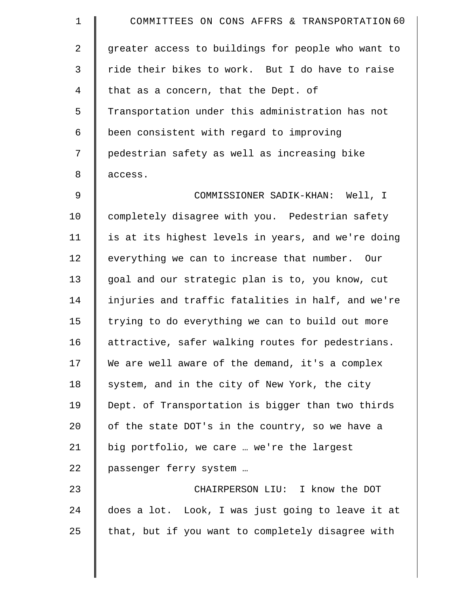| $\mathbf 1$ | COMMITTEES ON CONS AFFRS & TRANSPORTATION 60       |
|-------------|----------------------------------------------------|
| 2           | greater access to buildings for people who want to |
| 3           | ride their bikes to work. But I do have to raise   |
| 4           | that as a concern, that the Dept. of               |
| 5           | Transportation under this administration has not   |
| 6           | been consistent with regard to improving           |
| 7           | pedestrian safety as well as increasing bike       |
| 8           | access.                                            |
| 9           | COMMISSIONER SADIK-KHAN: Well, I                   |
| 10          | completely disagree with you. Pedestrian safety    |
| 11          | is at its highest levels in years, and we're doing |
| 12          | everything we can to increase that number. Our     |
| 13          | goal and our strategic plan is to, you know, cut   |
| 14          | injuries and traffic fatalities in half, and we're |
| 15          | trying to do everything we can to build out more   |
| 16          | attractive, safer walking routes for pedestrians.  |
| 17          | We are well aware of the demand, it's a complex    |
| 18          | system, and in the city of New York, the city      |
| 19          | Dept. of Transportation is bigger than two thirds  |
| 20          | of the state DOT's in the country, so we have a    |
| 21          | big portfolio, we care  we're the largest          |
| 22          | passenger ferry system                             |
| 23          | CHAIRPERSON LIU: I know the DOT                    |
| 24          | does a lot. Look, I was just going to leave it at  |
| 25          | that, but if you want to completely disagree with  |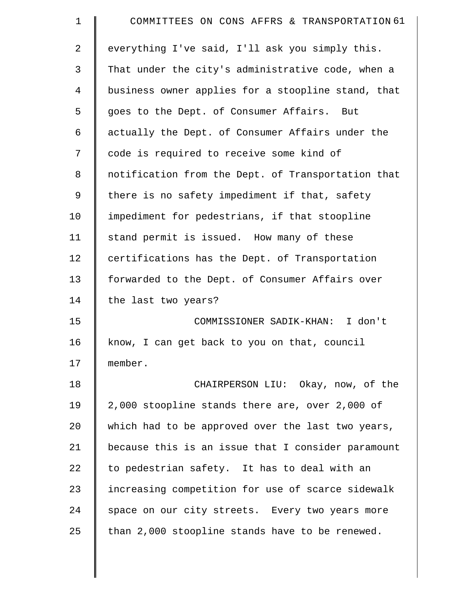| $\mathbf 1$    | COMMITTEES ON CONS AFFRS & TRANSPORTATION 61       |
|----------------|----------------------------------------------------|
| $\overline{a}$ | everything I've said, I'll ask you simply this.    |
| 3              | That under the city's administrative code, when a  |
| 4              | business owner applies for a stoopline stand, that |
| 5              | goes to the Dept. of Consumer Affairs. But         |
| 6              | actually the Dept. of Consumer Affairs under the   |
| 7              | code is required to receive some kind of           |
| 8              | notification from the Dept. of Transportation that |
| 9              | there is no safety impediment if that, safety      |
| 10             | impediment for pedestrians, if that stoopline      |
| 11             | stand permit is issued. How many of these          |
| 12             | certifications has the Dept. of Transportation     |
| 13             | forwarded to the Dept. of Consumer Affairs over    |
| 14             | the last two years?                                |
| 15             | COMMISSIONER SADIK-KHAN: I don't                   |
| 16             | know, I can get back to you on that, council       |
| 17             | member.                                            |
| 18             | CHAIRPERSON LIU: Okay, now, of the                 |
| 19             | 2,000 stoopline stands there are, over 2,000 of    |
| 20             | which had to be approved over the last two years,  |
| 21             | because this is an issue that I consider paramount |
| 22             | to pedestrian safety. It has to deal with an       |
| 23             | increasing competition for use of scarce sidewalk  |
| 24             | space on our city streets. Every two years more    |
| 25             | than 2,000 stoopline stands have to be renewed.    |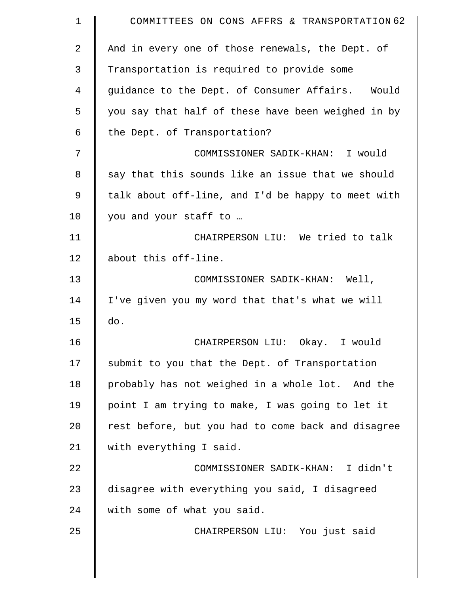| $\mathbf 1$    | COMMITTEES ON CONS AFFRS & TRANSPORTATION 62       |
|----------------|----------------------------------------------------|
| $\overline{a}$ | And in every one of those renewals, the Dept. of   |
| 3              | Transportation is required to provide some         |
| 4              | guidance to the Dept. of Consumer Affairs. Would   |
| 5              | you say that half of these have been weighed in by |
| 6              | the Dept. of Transportation?                       |
| 7              | COMMISSIONER SADIK-KHAN: I would                   |
| 8              | say that this sounds like an issue that we should  |
| 9              | talk about off-line, and I'd be happy to meet with |
| 10             | you and your staff to                              |
| 11             | CHAIRPERSON LIU: We tried to talk                  |
| 12             | about this off-line.                               |
| 13             | COMMISSIONER SADIK-KHAN: Well,                     |
| 14             | I've given you my word that that's what we will    |
| 15             | do.                                                |
| 16             | CHAIRPERSON LIU: Okay. I would                     |
| 17             | submit to you that the Dept. of Transportation     |
| 18             | probably has not weighed in a whole lot. And the   |
| 19             | point I am trying to make, I was going to let it   |
| 20             | rest before, but you had to come back and disagree |
| 21             | with everything I said.                            |
| 22             | COMMISSIONER SADIK-KHAN: I didn't                  |
| 23             | disagree with everything you said, I disagreed     |
| 24             | with some of what you said.                        |
| 25             | CHAIRPERSON LIU: You just said                     |
|                |                                                    |

 $\parallel$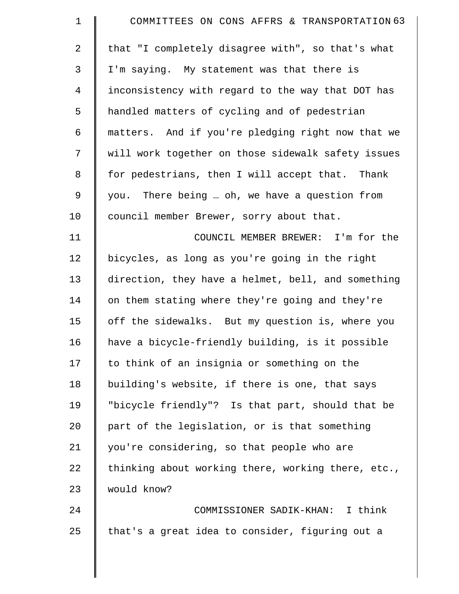| $\mathbf 1$    | COMMITTEES ON CONS AFFRS & TRANSPORTATION 63       |
|----------------|----------------------------------------------------|
| $\overline{2}$ | that "I completely disagree with", so that's what  |
| 3              | I'm saying. My statement was that there is         |
| $\overline{4}$ | inconsistency with regard to the way that DOT has  |
| 5              | handled matters of cycling and of pedestrian       |
| 6              | matters. And if you're pledging right now that we  |
| 7              | will work together on those sidewalk safety issues |
| 8              | for pedestrians, then I will accept that. Thank    |
| 9              | you. There being  oh, we have a question from      |
| 10             | council member Brewer, sorry about that.           |
| 11             | COUNCIL MEMBER BREWER: I'm for the                 |
| 12             | bicycles, as long as you're going in the right     |
| 13             | direction, they have a helmet, bell, and something |
| 14             | on them stating where they're going and they're    |
| 15             | off the sidewalks. But my question is, where you   |
| 16             | have a bicycle-friendly building, is it possible   |
| 17             | to think of an insignia or something on the        |
| 18             | building's website, if there is one, that says     |
| 19             | "bicycle friendly"? Is that part, should that be   |
| 20             | part of the legislation, or is that something      |
| 21             | you're considering, so that people who are         |
| 22             | thinking about working there, working there, etc., |
| 23             | would know?                                        |
| 24             | COMMISSIONER SADIK-KHAN: I think                   |
| 25             | that's a great idea to consider, figuring out a    |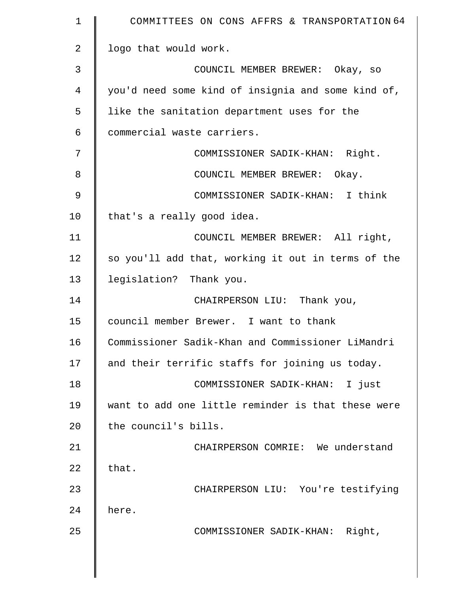| $\mathbf 1$    | COMMITTEES ON CONS AFFRS & TRANSPORTATION 64       |
|----------------|----------------------------------------------------|
| $\overline{2}$ | logo that would work.                              |
| 3              | COUNCIL MEMBER BREWER: Okay, so                    |
| 4              | you'd need some kind of insignia and some kind of, |
| 5              | like the sanitation department uses for the        |
| 6              | commercial waste carriers.                         |
| 7              | COMMISSIONER SADIK-KHAN: Right.                    |
| 8              | COUNCIL MEMBER BREWER: Okay.                       |
| 9              | COMMISSIONER SADIK-KHAN: I think                   |
| 10             | that's a really good idea.                         |
| 11             | COUNCIL MEMBER BREWER: All right,                  |
| 12             | so you'll add that, working it out in terms of the |
| 13             | legislation? Thank you.                            |
| 14             | CHAIRPERSON LIU: Thank you,                        |
| 15             | council member Brewer. I want to thank             |
| 16             | Commissioner Sadik-Khan and Commissioner LiMandri  |
| 17             | and their terrific staffs for joining us today.    |
| 18             | COMMISSIONER SADIK-KHAN: I just                    |
| 19             | want to add one little reminder is that these were |
| 20             | the council's bills.                               |
| 21             | CHAIRPERSON COMRIE: We understand                  |
| 22             | that.                                              |
| 23             | CHAIRPERSON LIU: You're testifying                 |
| 24             | here.                                              |
| 25             | COMMISSIONER SADIK-KHAN: Right,                    |
|                |                                                    |
|                |                                                    |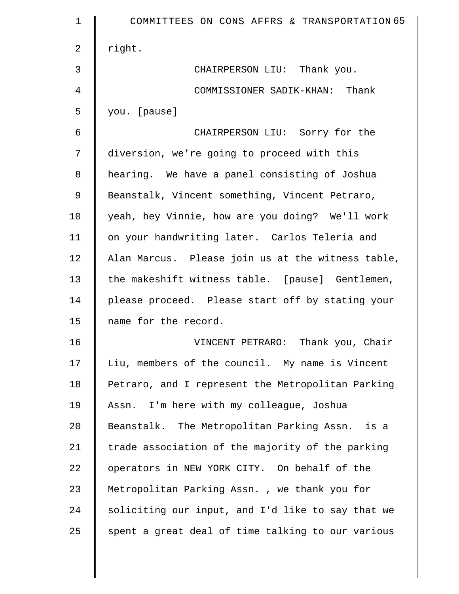| $\mathbf 1$    | COMMITTEES ON CONS AFFRS & TRANSPORTATION 65      |
|----------------|---------------------------------------------------|
| $\overline{a}$ | right.                                            |
| 3              | CHAIRPERSON LIU: Thank you.                       |
| 4              | COMMISSIONER SADIK-KHAN: Thank                    |
| 5              | you. [pause]                                      |
| 6              | CHAIRPERSON LIU: Sorry for the                    |
| 7              | diversion, we're going to proceed with this       |
| 8              | hearing. We have a panel consisting of Joshua     |
| $\mathsf 9$    | Beanstalk, Vincent something, Vincent Petraro,    |
| 10             | yeah, hey Vinnie, how are you doing? We'll work   |
| 11             | on your handwriting later. Carlos Teleria and     |
| 12             | Alan Marcus. Please join us at the witness table, |
| 13             | the makeshift witness table. [pause] Gentlemen,   |
| 14             | please proceed. Please start off by stating your  |
| 15             | name for the record.                              |
| 16             | VINCENT PETRARO: Thank you, Chair                 |
| 17             | Liu, members of the council. My name is Vincent   |
| 18             | Petraro, and I represent the Metropolitan Parking |
| 19             | Assn. I'm here with my colleague, Joshua          |
| 20             | Beanstalk. The Metropolitan Parking Assn. is a    |
| 21             | trade association of the majority of the parking  |
| 22             | operators in NEW YORK CITY. On behalf of the      |
| 23             | Metropolitan Parking Assn., we thank you for      |
| 24             | soliciting our input, and I'd like to say that we |
| 25             | spent a great deal of time talking to our various |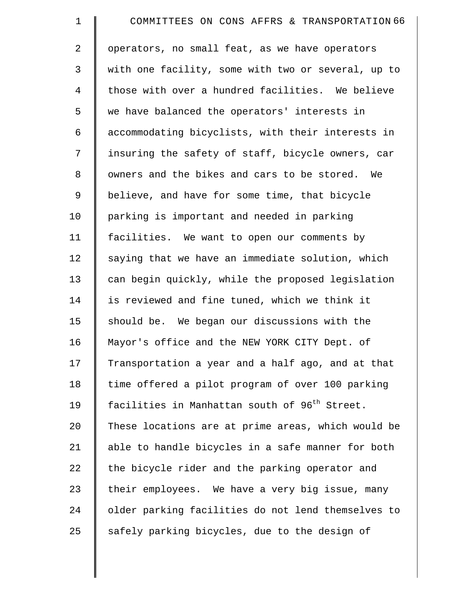| $\mathbf 1$    | COMMITTEES ON CONS AFFRS & TRANSPORTATION 66              |
|----------------|-----------------------------------------------------------|
| $\overline{a}$ | operators, no small feat, as we have operators            |
| 3              | with one facility, some with two or several, up to        |
| $\overline{4}$ | those with over a hundred facilities. We believe          |
| 5              | we have balanced the operators' interests in              |
| 6              | accommodating bicyclists, with their interests in         |
| 7              | insuring the safety of staff, bicycle owners, car         |
| 8              | owners and the bikes and cars to be stored. We            |
| 9              | believe, and have for some time, that bicycle             |
| 10             | parking is important and needed in parking                |
| 11             | facilities. We want to open our comments by               |
| 12             | saying that we have an immediate solution, which          |
| 13             | can begin quickly, while the proposed legislation         |
| 14             | is reviewed and fine tuned, which we think it             |
| 15             | should be. We began our discussions with the              |
| 16             | Mayor's office and the NEW YORK CITY Dept. of             |
| 17             | Transportation a year and a half ago, and at that         |
| 18             | time offered a pilot program of over 100 parking          |
| 19             | facilities in Manhattan south of 96 <sup>th</sup> Street. |
| 20             | These locations are at prime areas, which would be        |
| 21             | able to handle bicycles in a safe manner for both         |
| 22             | the bicycle rider and the parking operator and            |
| 23             | their employees. We have a very big issue, many           |
| 24             | older parking facilities do not lend themselves to        |
| 25             | safely parking bicycles, due to the design of             |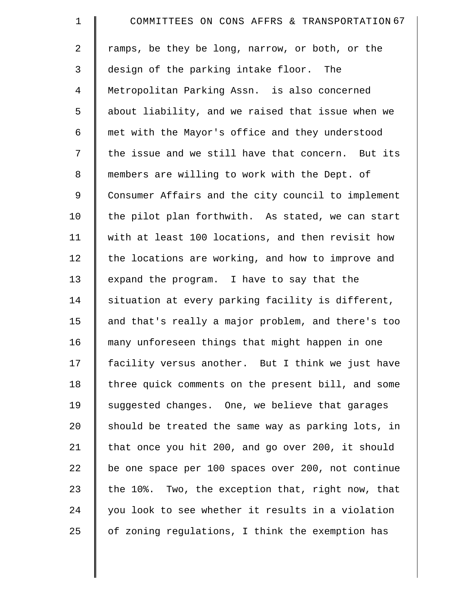| $\mathbf 1$    | COMMITTEES ON CONS AFFRS & TRANSPORTATION 67       |
|----------------|----------------------------------------------------|
| $\overline{a}$ | ramps, be they be long, narrow, or both, or the    |
| 3              | design of the parking intake floor. The            |
| 4              | Metropolitan Parking Assn. is also concerned       |
| 5              | about liability, and we raised that issue when we  |
| 6              | met with the Mayor's office and they understood    |
| 7              | the issue and we still have that concern. But its  |
| 8              | members are willing to work with the Dept. of      |
| 9              | Consumer Affairs and the city council to implement |
| 10             | the pilot plan forthwith. As stated, we can start  |
| 11             | with at least 100 locations, and then revisit how  |
| 12             | the locations are working, and how to improve and  |
| 13             | expand the program. I have to say that the         |
| 14             | situation at every parking facility is different,  |
| 15             | and that's really a major problem, and there's too |
| 16             | many unforeseen things that might happen in one    |
| 17             | facility versus another. But I think we just have  |
| 18             | three quick comments on the present bill, and some |
| 19             | suggested changes. One, we believe that garages    |
| 20             | should be treated the same way as parking lots, in |
| 21             | that once you hit 200, and go over 200, it should  |
| 22             | be one space per 100 spaces over 200, not continue |
| 23             | the 10%. Two, the exception that, right now, that  |
| 24             | you look to see whether it results in a violation  |
| 25             | of zoning regulations, I think the exemption has   |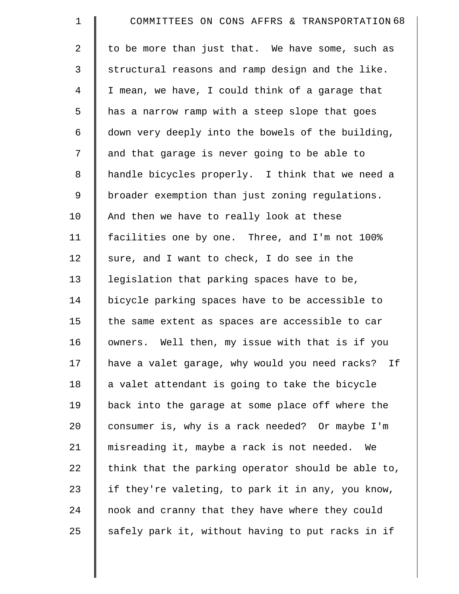| $\mathbf 1$ | COMMITTEES ON CONS AFFRS & TRANSPORTATION 68         |
|-------------|------------------------------------------------------|
| 2           | to be more than just that. We have some, such as     |
| 3           | structural reasons and ramp design and the like.     |
| 4           | I mean, we have, I could think of a garage that      |
| 5           | has a narrow ramp with a steep slope that goes       |
| 6           | down very deeply into the bowels of the building,    |
| 7           | and that garage is never going to be able to         |
| 8           | handle bicycles properly. I think that we need a     |
| 9           | broader exemption than just zoning regulations.      |
| 10          | And then we have to really look at these             |
| 11          | facilities one by one. Three, and I'm not 100%       |
| 12          | sure, and I want to check, I do see in the           |
| 13          | legislation that parking spaces have to be,          |
| 14          | bicycle parking spaces have to be accessible to      |
| 15          | the same extent as spaces are accessible to car      |
| 16          | owners. Well then, my issue with that is if you      |
| 17          | have a valet garage, why would you need racks?<br>If |
| 18          | a valet attendant is going to take the bicycle       |
| 19          | back into the garage at some place off where the     |
| 20          | consumer is, why is a rack needed? Or maybe I'm      |
| 21          | misreading it, maybe a rack is not needed.<br>We     |
| 22          | think that the parking operator should be able to,   |
| 23          | if they're valeting, to park it in any, you know,    |
| 24          | nook and cranny that they have where they could      |
| 25          | safely park it, without having to put racks in if    |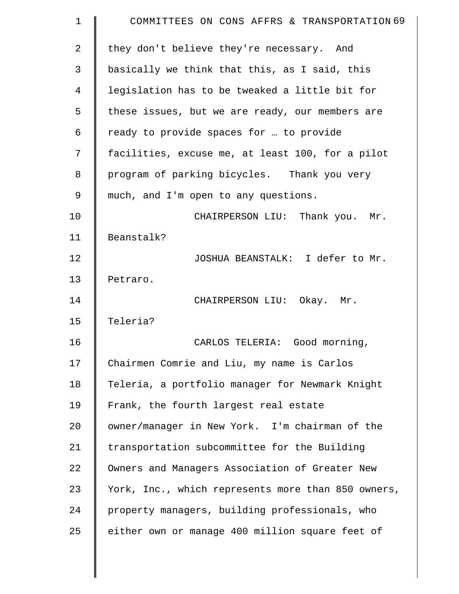| $\mathbf 1$    | COMMITTEES ON CONS AFFRS & TRANSPORTATION 69       |
|----------------|----------------------------------------------------|
| $\overline{2}$ | they don't believe they're necessary. And          |
| 3              | basically we think that this, as I said, this      |
| 4              | legislation has to be tweaked a little bit for     |
| 5              | these issues, but we are ready, our members are    |
| 6              | ready to provide spaces for  to provide            |
| 7              | facilities, excuse me, at least 100, for a pilot   |
| 8              | program of parking bicycles. Thank you very        |
| 9              | much, and I'm open to any questions.               |
| 10             | CHAIRPERSON LIU: Thank you. Mr.                    |
| 11             | Beanstalk?                                         |
| 12             | JOSHUA BEANSTALK: I defer to Mr.                   |
| 13             | Petraro.                                           |
| 14             | CHAIRPERSON LIU: Okay. Mr.                         |
| 15             | Teleria?                                           |
| 16             | CARLOS TELERIA: Good morning,                      |
| 17             | Chairmen Comrie and Liu, my name is Carlos         |
| 18             | Teleria, a portfolio manager for Newmark Knight    |
| 19             | Frank, the fourth largest real estate              |
| 20             | owner/manager in New York. I'm chairman of the     |
| 21             | transportation subcommittee for the Building       |
| 22             | Owners and Managers Association of Greater New     |
| 23             | York, Inc., which represents more than 850 owners, |
| 24             | property managers, building professionals, who     |
| 25             | either own or manage 400 million square feet of    |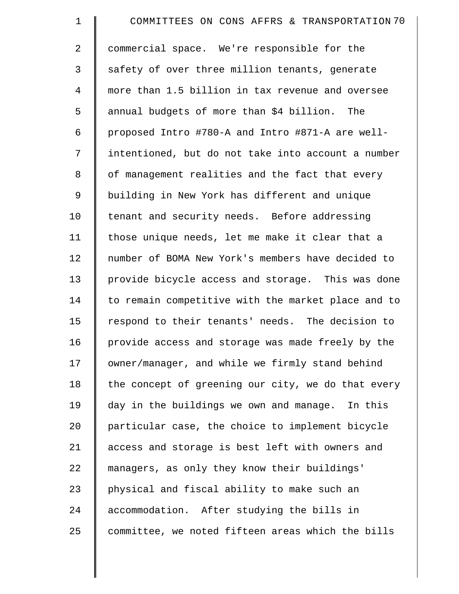| $\mathbf 1$    | COMMITTEES ON CONS AFFRS & TRANSPORTATION 70       |
|----------------|----------------------------------------------------|
| $\overline{2}$ | commercial space. We're responsible for the        |
| 3              | safety of over three million tenants, generate     |
| $\overline{4}$ | more than 1.5 billion in tax revenue and oversee   |
| 5              | annual budgets of more than \$4 billion. The       |
| 6              | proposed Intro #780-A and Intro #871-A are well-   |
| 7              | intentioned, but do not take into account a number |
| 8              | of management realities and the fact that every    |
| 9              | building in New York has different and unique      |
| 10             | tenant and security needs. Before addressing       |
| 11             | those unique needs, let me make it clear that a    |
| 12             | number of BOMA New York's members have decided to  |
| 13             | provide bicycle access and storage. This was done  |
| 14             | to remain competitive with the market place and to |
| 15             | respond to their tenants' needs. The decision to   |
| 16             | provide access and storage was made freely by the  |
| 17             | owner/manager, and while we firmly stand behind    |
| 18             | the concept of greening our city, we do that every |
| 19             | day in the buildings we own and manage. In this    |
| 20             | particular case, the choice to implement bicycle   |
| 21             | access and storage is best left with owners and    |
| 22             | managers, as only they know their buildings'       |
| 23             | physical and fiscal ability to make such an        |
| 24             | accommodation. After studying the bills in         |
| 25             | committee, we noted fifteen areas which the bills  |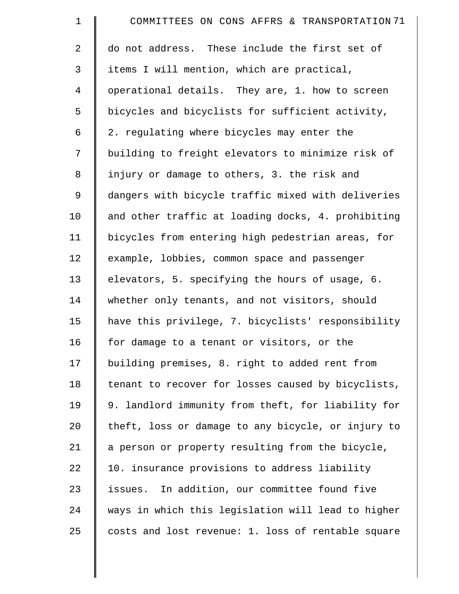| $\mathbf 1$    | COMMITTEES ON CONS AFFRS & TRANSPORTATION 71       |
|----------------|----------------------------------------------------|
| 2              | do not address. These include the first set of     |
| 3              | items I will mention, which are practical,         |
| $\overline{4}$ | operational details. They are, 1. how to screen    |
| 5              | bicycles and bicyclists for sufficient activity,   |
| 6              | 2. regulating where bicycles may enter the         |
| 7              | building to freight elevators to minimize risk of  |
| 8              | injury or damage to others, 3. the risk and        |
| 9              | dangers with bicycle traffic mixed with deliveries |
| 10             | and other traffic at loading docks, 4. prohibiting |
| 11             | bicycles from entering high pedestrian areas, for  |
| 12             | example, lobbies, common space and passenger       |
| 13             | elevators, 5. specifying the hours of usage, 6.    |
| 14             | whether only tenants, and not visitors, should     |
| 15             | have this privilege, 7. bicyclists' responsibility |
| 16             | for damage to a tenant or visitors, or the         |
| 17             | building premises, 8. right to added rent from     |
| 18             | tenant to recover for losses caused by bicyclists, |
| 19             | 9. landlord immunity from theft, for liability for |
| 20             | theft, loss or damage to any bicycle, or injury to |
| 21             | a person or property resulting from the bicycle,   |
| 22             | 10. insurance provisions to address liability      |
| 23             | issues. In addition, our committee found five      |
| 24             | ways in which this legislation will lead to higher |
| 25             | costs and lost revenue: 1. loss of rentable square |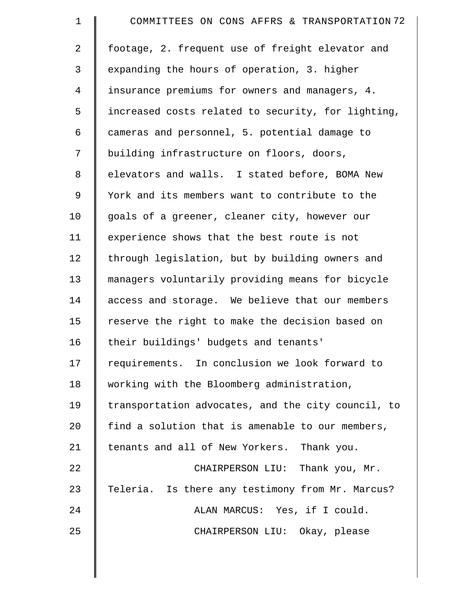| $\mathbf 1$    | COMMITTEES ON CONS AFFRS & TRANSPORTATION 72       |
|----------------|----------------------------------------------------|
| $\overline{a}$ | footage, 2. frequent use of freight elevator and   |
| 3              | expanding the hours of operation, 3. higher        |
| $\overline{4}$ | insurance premiums for owners and managers, 4.     |
| 5              | increased costs related to security, for lighting, |
| 6              | cameras and personnel, 5. potential damage to      |
| 7              | building infrastructure on floors, doors,          |
| 8              | elevators and walls. I stated before, BOMA New     |
| 9              | York and its members want to contribute to the     |
| 10             | goals of a greener, cleaner city, however our      |
| 11             | experience shows that the best route is not        |
| 12             | through legislation, but by building owners and    |
| 13             | managers voluntarily providing means for bicycle   |
| 14             | access and storage. We believe that our members    |
| 15             | reserve the right to make the decision based on    |
| 16             | their buildings' budgets and tenants'              |
| 17             | requirements. In conclusion we look forward to     |
| 18             | working with the Bloomberg administration,         |
| 19             | transportation advocates, and the city council, to |
| 20             | find a solution that is amenable to our members,   |
| 21             | tenants and all of New Yorkers. Thank you.         |
| 22             | CHAIRPERSON LIU: Thank you, Mr.                    |
| 23             | Teleria. Is there any testimony from Mr. Marcus?   |
| 24             | ALAN MARCUS: Yes, if I could.                      |
| 25             | CHAIRPERSON LIU: Okay, please                      |
|                |                                                    |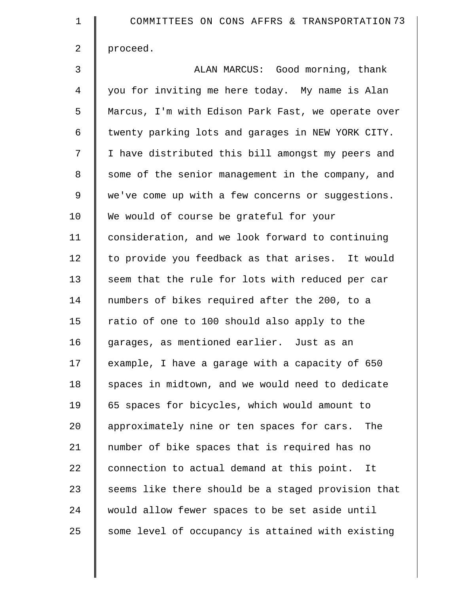| $\mathbf 1$ | COMMITTEES ON CONS AFFRS & TRANSPORTATION 73       |
|-------------|----------------------------------------------------|
| 2           | proceed.                                           |
| 3           | ALAN MARCUS: Good morning, thank                   |
| 4           | you for inviting me here today. My name is Alan    |
| 5           | Marcus, I'm with Edison Park Fast, we operate over |
| 6           | twenty parking lots and garages in NEW YORK CITY.  |
| 7           | I have distributed this bill amongst my peers and  |
| 8           | some of the senior management in the company, and  |
| 9           | we've come up with a few concerns or suggestions.  |
| 10          | We would of course be grateful for your            |
| 11          | consideration, and we look forward to continuing   |
| 12          | to provide you feedback as that arises. It would   |
| 13          | seem that the rule for lots with reduced per car   |
| 14          | numbers of bikes required after the 200, to a      |
| 15          | ratio of one to 100 should also apply to the       |
| 16          | garages, as mentioned earlier. Just as an          |
| 17          | example, I have a garage with a capacity of 650    |
| 18          | spaces in midtown, and we would need to dedicate   |
| 19          | 65 spaces for bicycles, which would amount to      |
| 20          | approximately nine or ten spaces for cars. The     |
| 21          | number of bike spaces that is required has no      |
| 22          | connection to actual demand at this point. It      |
| 23          | seems like there should be a staged provision that |
| 24          | would allow fewer spaces to be set aside until     |
| 25          | some level of occupancy is attained with existing  |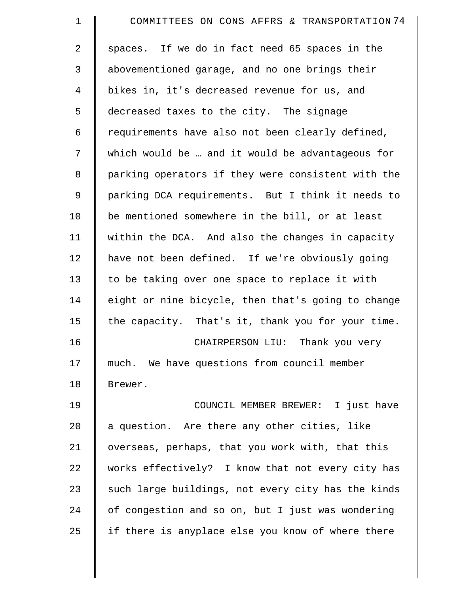| 1           | COMMITTEES ON CONS AFFRS & TRANSPORTATION 74       |
|-------------|----------------------------------------------------|
| 2           | spaces. If we do in fact need 65 spaces in the     |
| 3           | abovementioned garage, and no one brings their     |
| 4           | bikes in, it's decreased revenue for us, and       |
| 5           | decreased taxes to the city. The signage           |
| 6           | requirements have also not been clearly defined,   |
| 7           | which would be  and it would be advantageous for   |
| 8           | parking operators if they were consistent with the |
| $\mathsf 9$ | parking DCA requirements. But I think it needs to  |
| 10          | be mentioned somewhere in the bill, or at least    |
| 11          | within the DCA. And also the changes in capacity   |
| 12          | have not been defined. If we're obviously going    |
| 13          | to be taking over one space to replace it with     |
| 14          | eight or nine bicycle, then that's going to change |
| 15          | the capacity. That's it, thank you for your time.  |
| 16          | CHAIRPERSON LIU: Thank you very                    |
| 17          | much. We have questions from council member        |
| 18          | Brewer.                                            |
| 19          | COUNCIL MEMBER BREWER: I just have                 |
| 20          | a question. Are there any other cities, like       |
| 21          | overseas, perhaps, that you work with, that this   |
| 22          | works effectively? I know that not every city has  |
| 23          | such large buildings, not every city has the kinds |
| 24          | of congestion and so on, but I just was wondering  |
| 25          | if there is anyplace else you know of where there  |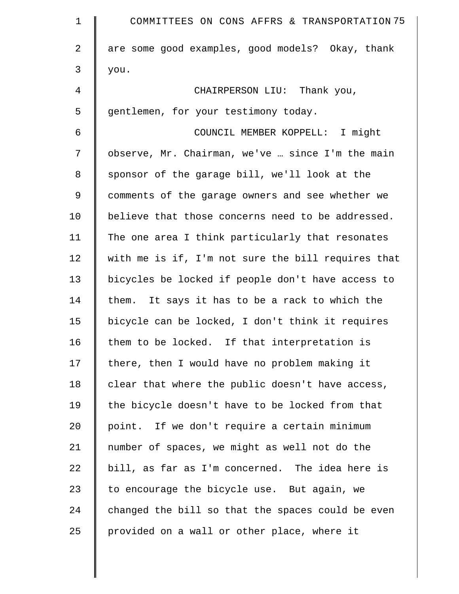| $\mathbf 1$    | COMMITTEES ON CONS AFFRS & TRANSPORTATION 75       |
|----------------|----------------------------------------------------|
| $\overline{2}$ | are some good examples, good models? Okay, thank   |
| 3              | you.                                               |
| 4              | CHAIRPERSON LIU: Thank you,                        |
| 5              | gentlemen, for your testimony today.               |
| 6              | COUNCIL MEMBER KOPPELL: I might                    |
| 7              | observe, Mr. Chairman, we've  since I'm the main   |
| 8              | sponsor of the garage bill, we'll look at the      |
| $\mathsf 9$    | comments of the garage owners and see whether we   |
| 10             | believe that those concerns need to be addressed.  |
| 11             | The one area I think particularly that resonates   |
| 12             | with me is if, I'm not sure the bill requires that |
| 13             | bicycles be locked if people don't have access to  |
| 14             | them. It says it has to be a rack to which the     |
| 15             | bicycle can be locked, I don't think it requires   |
| 16             | them to be locked. If that interpretation is       |
| 17             | there, then I would have no problem making it      |
| 18             | clear that where the public doesn't have access,   |
| 19             | the bicycle doesn't have to be locked from that    |
| 20             | point. If we don't require a certain minimum       |
| 21             | number of spaces, we might as well not do the      |
| 22             | bill, as far as I'm concerned. The idea here is    |
| 23             | to encourage the bicycle use. But again, we        |
| 24             | changed the bill so that the spaces could be even  |
| 25             | provided on a wall or other place, where it        |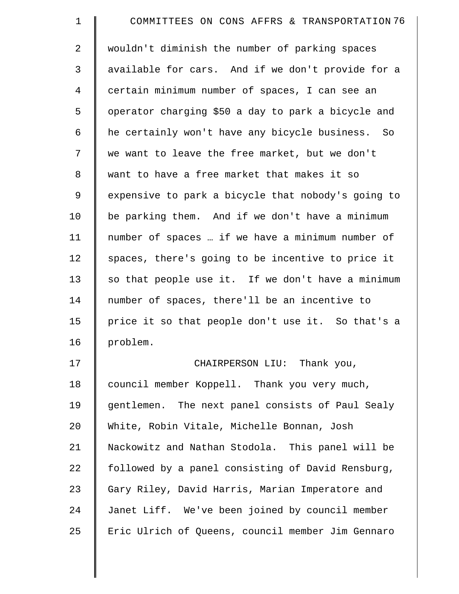| $\mathbf 1$ | COMMITTEES ON CONS AFFRS & TRANSPORTATION 76       |
|-------------|----------------------------------------------------|
| 2           | wouldn't diminish the number of parking spaces     |
| 3           | available for cars. And if we don't provide for a  |
| 4           | certain minimum number of spaces, I can see an     |
| 5           | operator charging \$50 a day to park a bicycle and |
| 6           | he certainly won't have any bicycle business. So   |
| 7           | we want to leave the free market, but we don't     |
| $\,8\,$     | want to have a free market that makes it so        |
| 9           | expensive to park a bicycle that nobody's going to |
| 10          | be parking them. And if we don't have a minimum    |
| 11          | number of spaces  if we have a minimum number of   |
| 12          | spaces, there's going to be incentive to price it  |
| 13          | so that people use it. If we don't have a minimum  |
| 14          | number of spaces, there'll be an incentive to      |
| 15          | price it so that people don't use it. So that's a  |
| 16          | problem.                                           |
| 17          | CHAIRPERSON LIU: Thank you,                        |
| 18          | council member Koppell. Thank you very much,       |
| 19          | gentlemen. The next panel consists of Paul Sealy   |
| 20          | White, Robin Vitale, Michelle Bonnan, Josh         |
| 21          | Nackowitz and Nathan Stodola. This panel will be   |
| 22          | followed by a panel consisting of David Rensburg,  |
| 23          | Gary Riley, David Harris, Marian Imperatore and    |
| 24          | Janet Liff. We've been joined by council member    |
| 25          | Eric Ulrich of Queens, council member Jim Gennaro  |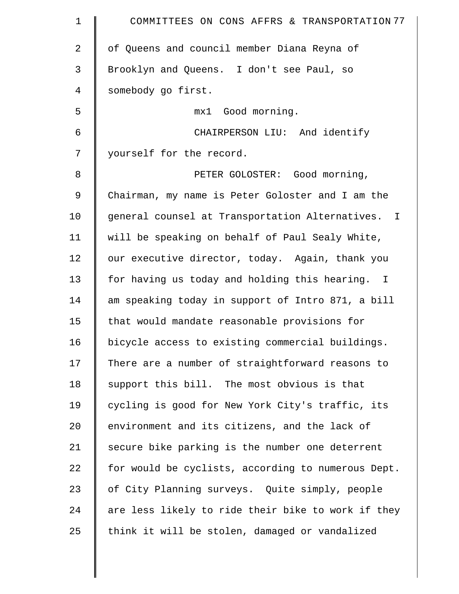| $\mathbf 1$    | COMMITTEES ON CONS AFFRS & TRANSPORTATION 77       |
|----------------|----------------------------------------------------|
| $\overline{a}$ | of Queens and council member Diana Reyna of        |
| 3              | Brooklyn and Queens. I don't see Paul, so          |
| $\overline{4}$ | somebody go first.                                 |
| 5              | mx1 Good morning.                                  |
| 6              | CHAIRPERSON LIU: And identify                      |
| 7              | yourself for the record.                           |
| 8              | PETER GOLOSTER: Good morning,                      |
| 9              | Chairman, my name is Peter Goloster and I am the   |
| 10             | general counsel at Transportation Alternatives. I  |
| 11             | will be speaking on behalf of Paul Sealy White,    |
| 12             | our executive director, today. Again, thank you    |
| 13             | for having us today and holding this hearing. I    |
| 14             | am speaking today in support of Intro 871, a bill  |
| 15             | that would mandate reasonable provisions for       |
| 16             | bicycle access to existing commercial buildings.   |
| 17             | There are a number of straightforward reasons to   |
| 18             | support this bill. The most obvious is that        |
| 19             | cycling is good for New York City's traffic, its   |
| 20             | environment and its citizens, and the lack of      |
| 21             | secure bike parking is the number one deterrent    |
| 22             | for would be cyclists, according to numerous Dept. |
| 23             | of City Planning surveys. Quite simply, people     |
| 24             | are less likely to ride their bike to work if they |
| 25             | think it will be stolen, damaged or vandalized     |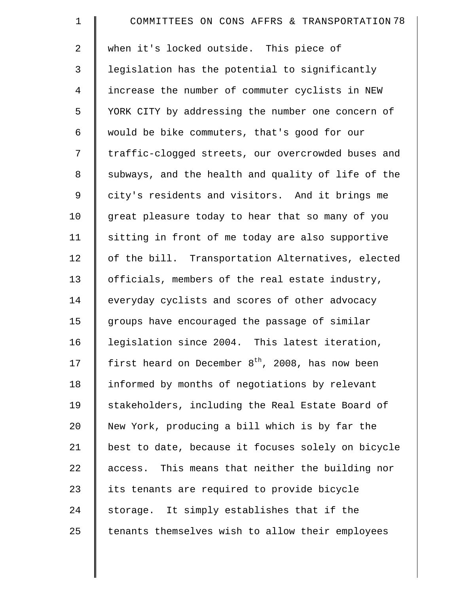| $\mathbf 1$    | COMMITTEES ON CONS AFFRS & TRANSPORTATION 78                 |
|----------------|--------------------------------------------------------------|
| $\overline{a}$ | when it's locked outside. This piece of                      |
| 3              | legislation has the potential to significantly               |
| $\overline{4}$ | increase the number of commuter cyclists in NEW              |
| 5              | YORK CITY by addressing the number one concern of            |
| 6              | would be bike commuters, that's good for our                 |
| 7              | traffic-clogged streets, our overcrowded buses and           |
| 8              | subways, and the health and quality of life of the           |
| 9              | city's residents and visitors. And it brings me              |
| 10             | great pleasure today to hear that so many of you             |
| 11             | sitting in front of me today are also supportive             |
| 12             | of the bill. Transportation Alternatives, elected            |
| 13             | officials, members of the real estate industry,              |
| 14             | everyday cyclists and scores of other advocacy               |
| 15             | groups have encouraged the passage of similar                |
| 16             | legislation since 2004. This latest iteration,               |
| 17             | first heard on December $8^{\text{th}}$ , 2008, has now been |
| 18             | informed by months of negotiations by relevant               |
| 19             | stakeholders, including the Real Estate Board of             |
| 20             | New York, producing a bill which is by far the               |
| 21             | best to date, because it focuses solely on bicycle           |
| 22             | access. This means that neither the building nor             |
| 23             | its tenants are required to provide bicycle                  |
| 24             | storage. It simply establishes that if the                   |
| 25             | tenants themselves wish to allow their employees             |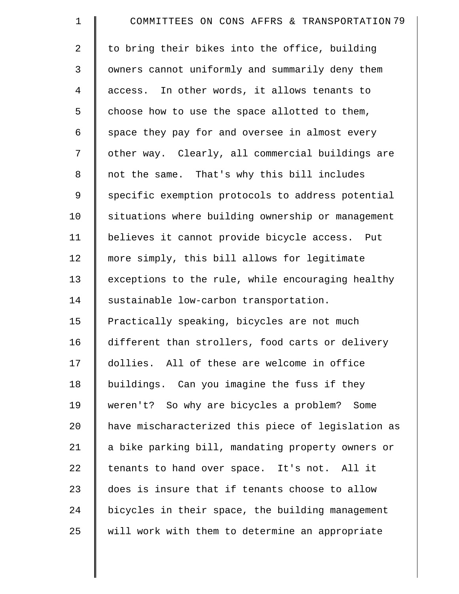| $\mathbf 1$    | COMMITTEES ON CONS AFFRS & TRANSPORTATION 79       |
|----------------|----------------------------------------------------|
| $\overline{a}$ | to bring their bikes into the office, building     |
| 3              | owners cannot uniformly and summarily deny them    |
| $\overline{4}$ | access. In other words, it allows tenants to       |
| 5              | choose how to use the space allotted to them,      |
| 6              | space they pay for and oversee in almost every     |
| 7              | other way. Clearly, all commercial buildings are   |
| $\,8\,$        | not the same. That's why this bill includes        |
| 9              | specific exemption protocols to address potential  |
| 10             | situations where building ownership or management  |
| 11             | believes it cannot provide bicycle access. Put     |
| 12             | more simply, this bill allows for legitimate       |
| 13             | exceptions to the rule, while encouraging healthy  |
| 14             | sustainable low-carbon transportation.             |
| 15             | Practically speaking, bicycles are not much        |
| 16             | different than strollers, food carts or delivery   |
| 17             | dollies. All of these are welcome in office        |
| 18             | buildings. Can you imagine the fuss if they        |
| 19             | weren't? So why are bicycles a problem? Some       |
| 20             | have mischaracterized this piece of legislation as |
| 21             | a bike parking bill, mandating property owners or  |
| 22             | tenants to hand over space. It's not. All it       |
| 23             | does is insure that if tenants choose to allow     |
| 24             | bicycles in their space, the building management   |
| 25             | will work with them to determine an appropriate    |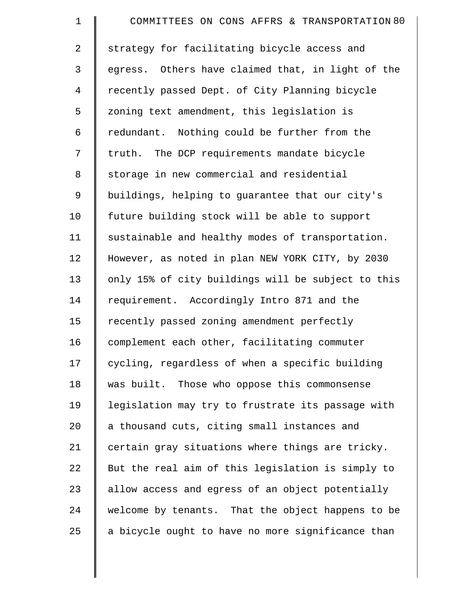| $\mathbf 1$    | COMMITTEES ON CONS AFFRS & TRANSPORTATION 80       |
|----------------|----------------------------------------------------|
| $\overline{2}$ | strategy for facilitating bicycle access and       |
| 3              | egress. Others have claimed that, in light of the  |
| $\overline{4}$ | recently passed Dept. of City Planning bicycle     |
| 5              | zoning text amendment, this legislation is         |
| 6              | redundant. Nothing could be further from the       |
| 7              | truth. The DCP requirements mandate bicycle        |
| 8              | storage in new commercial and residential          |
| $\mathsf 9$    | buildings, helping to guarantee that our city's    |
| 10             | future building stock will be able to support      |
| 11             | sustainable and healthy modes of transportation.   |
| 12             | However, as noted in plan NEW YORK CITY, by 2030   |
| 13             | only 15% of city buildings will be subject to this |
| 14             | requirement. Accordingly Intro 871 and the         |
| 15             | recently passed zoning amendment perfectly         |
| 16             | complement each other, facilitating commuter       |
| 17             | cycling, regardless of when a specific building    |
| 18             | was built. Those who oppose this commonsense       |
| 19             | legislation may try to frustrate its passage with  |
| 20             | a thousand cuts, citing small instances and        |
| 21             | certain gray situations where things are tricky.   |
| 22             | But the real aim of this legislation is simply to  |
| 23             | allow access and egress of an object potentially   |
| 24             | welcome by tenants. That the object happens to be  |
| 25             | a bicycle ought to have no more significance than  |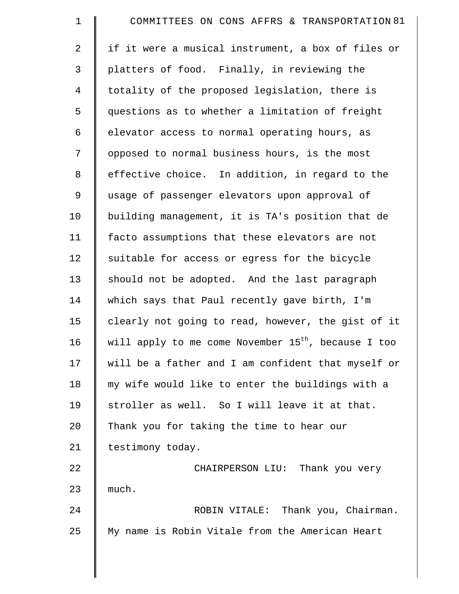| $\mathbf 1$ | COMMITTEES ON CONS AFFRS & TRANSPORTATION 81                    |
|-------------|-----------------------------------------------------------------|
| 2           | if it were a musical instrument, a box of files or              |
| 3           | platters of food. Finally, in reviewing the                     |
| 4           | totality of the proposed legislation, there is                  |
| 5           | questions as to whether a limitation of freight                 |
| 6           | elevator access to normal operating hours, as                   |
| 7           | opposed to normal business hours, is the most                   |
| 8           | effective choice. In addition, in regard to the                 |
| 9           | usage of passenger elevators upon approval of                   |
| 10          | building management, it is TA's position that de                |
| 11          | facto assumptions that these elevators are not                  |
| 12          | suitable for access or egress for the bicycle                   |
| 13          | should not be adopted. And the last paragraph                   |
| 14          | which says that Paul recently gave birth, I'm                   |
| 15          | clearly not going to read, however, the gist of it              |
| 16          | will apply to me come November 15 <sup>th</sup> , because I too |
| 17          | will be a father and I am confident that myself or              |
| 18          | my wife would like to enter the buildings with a                |
| 19          | stroller as well. So I will leave it at that.                   |
| 20          | Thank you for taking the time to hear our                       |
| 21          | testimony today.                                                |
| 22          | CHAIRPERSON LIU: Thank you very                                 |
| 23          | much.                                                           |
| 24          | ROBIN VITALE: Thank you, Chairman.                              |
| 25          | My name is Robin Vitale from the American Heart                 |
|             |                                                                 |

 $\parallel$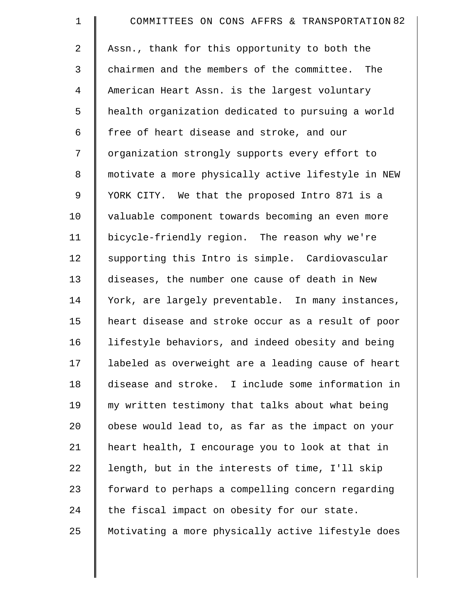| $\mathbf 1$    | COMMITTEES ON CONS AFFRS & TRANSPORTATION 82       |
|----------------|----------------------------------------------------|
| $\overline{2}$ | Assn., thank for this opportunity to both the      |
| $\mathfrak{Z}$ | chairmen and the members of the committee. The     |
| $\overline{4}$ | American Heart Assn. is the largest voluntary      |
| 5              | health organization dedicated to pursuing a world  |
| 6              | free of heart disease and stroke, and our          |
| 7              | organization strongly supports every effort to     |
| 8              | motivate a more physically active lifestyle in NEW |
| 9              | YORK CITY. We that the proposed Intro 871 is a     |
| 10             | valuable component towards becoming an even more   |
| 11             | bicycle-friendly region. The reason why we're      |
| 12             | supporting this Intro is simple. Cardiovascular    |
| 13             | diseases, the number one cause of death in New     |
| 14             | York, are largely preventable. In many instances,  |
| 15             | heart disease and stroke occur as a result of poor |
| 16             | lifestyle behaviors, and indeed obesity and being  |
| 17             | labeled as overweight are a leading cause of heart |
| 18             | disease and stroke. I include some information in  |
| 19             | my written testimony that talks about what being   |
| 20             | obese would lead to, as far as the impact on your  |
| 21             | heart health, I encourage you to look at that in   |
| 22             | length, but in the interests of time, I'll skip    |
| 23             | forward to perhaps a compelling concern regarding  |
| 24             | the fiscal impact on obesity for our state.        |
| 25             | Motivating a more physically active lifestyle does |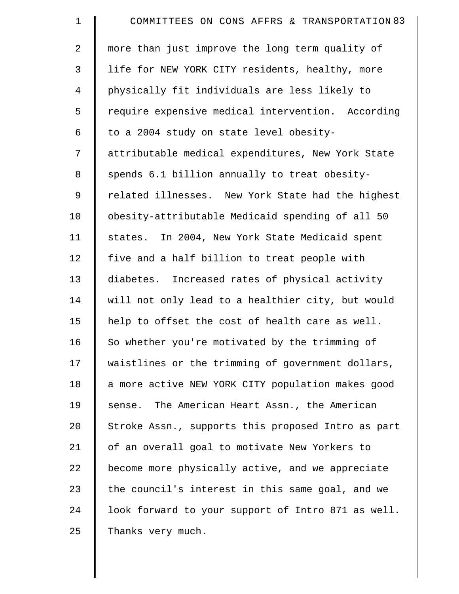| $\mathbf 1$    | COMMITTEES ON CONS AFFRS & TRANSPORTATION 83       |
|----------------|----------------------------------------------------|
| 2              | more than just improve the long term quality of    |
| $\mathfrak{Z}$ | life for NEW YORK CITY residents, healthy, more    |
| $\overline{4}$ | physically fit individuals are less likely to      |
| 5              | require expensive medical intervention. According  |
| 6              | to a 2004 study on state level obesity-            |
| 7              | attributable medical expenditures, New York State  |
| 8              | spends 6.1 billion annually to treat obesity-      |
| $\mathsf 9$    | related illnesses. New York State had the highest  |
| 10             | obesity-attributable Medicaid spending of all 50   |
| 11             | states. In 2004, New York State Medicaid spent     |
| 12             | five and a half billion to treat people with       |
| 13             | diabetes. Increased rates of physical activity     |
| 14             | will not only lead to a healthier city, but would  |
| 15             | help to offset the cost of health care as well.    |
| 16             | So whether you're motivated by the trimming of     |
| 17             | waistlines or the trimming of government dollars,  |
| 18             | a more active NEW YORK CITY population makes good  |
| 19             | sense. The American Heart Assn., the American      |
| 20             | Stroke Assn., supports this proposed Intro as part |
| 21             | of an overall goal to motivate New Yorkers to      |
| 22             | become more physically active, and we appreciate   |
| 23             | the council's interest in this same goal, and we   |
| 24             | look forward to your support of Intro 871 as well. |
| 25             | Thanks very much.                                  |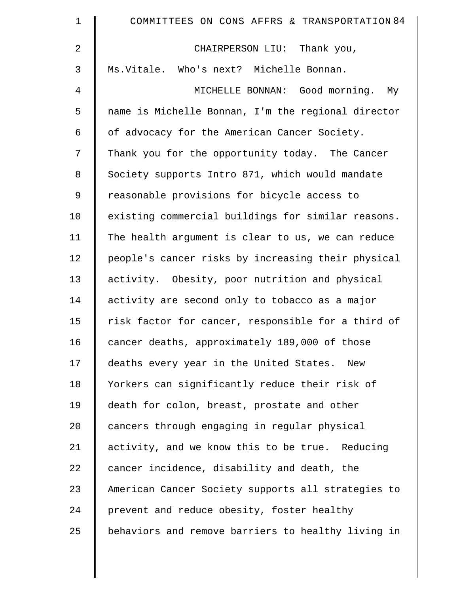| $\mathbf 1$    | COMMITTEES ON CONS AFFRS & TRANSPORTATION 84       |
|----------------|----------------------------------------------------|
| $\overline{2}$ | CHAIRPERSON LIU: Thank you,                        |
| 3              | Ms. Vitale. Who's next? Michelle Bonnan.           |
| 4              | MICHELLE BONNAN: Good morning.<br>Мy               |
| 5              | name is Michelle Bonnan, I'm the regional director |
| 6              | of advocacy for the American Cancer Society.       |
| 7              | Thank you for the opportunity today. The Cancer    |
| $\,8\,$        | Society supports Intro 871, which would mandate    |
| 9              | reasonable provisions for bicycle access to        |
| 10             | existing commercial buildings for similar reasons. |
| 11             | The health argument is clear to us, we can reduce  |
| 12             | people's cancer risks by increasing their physical |
| 13             | activity. Obesity, poor nutrition and physical     |
| 14             | activity are second only to tobacco as a major     |
| 15             | risk factor for cancer, responsible for a third of |
| 16             | cancer deaths, approximately 189,000 of those      |
| 17             | deaths every year in the United States. New        |
| 18             | Yorkers can significantly reduce their risk of     |
| 19             | death for colon, breast, prostate and other        |
| $20 \,$        | cancers through engaging in regular physical       |
| 21             | activity, and we know this to be true. Reducing    |
| 22             | cancer incidence, disability and death, the        |
| 23             | American Cancer Society supports all strategies to |
| 24             | prevent and reduce obesity, foster healthy         |
| 25             | behaviors and remove barriers to healthy living in |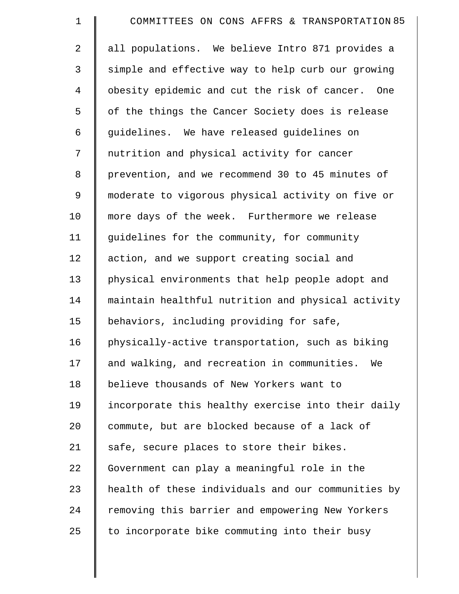| $\mathbf 1$    | COMMITTEES ON CONS AFFRS & TRANSPORTATION 85       |
|----------------|----------------------------------------------------|
| $\overline{2}$ | all populations. We believe Intro 871 provides a   |
| 3              | simple and effective way to help curb our growing  |
| 4              | obesity epidemic and cut the risk of cancer. One   |
| 5              | of the things the Cancer Society does is release   |
| 6              | guidelines. We have released guidelines on         |
| 7              | nutrition and physical activity for cancer         |
| 8              | prevention, and we recommend 30 to 45 minutes of   |
| 9              | moderate to vigorous physical activity on five or  |
| 10             | more days of the week. Furthermore we release      |
| 11             | guidelines for the community, for community        |
| 12             | action, and we support creating social and         |
| 13             | physical environments that help people adopt and   |
| 14             | maintain healthful nutrition and physical activity |
| 15             | behaviors, including providing for safe,           |
| 16             | physically-active transportation, such as biking   |
| 17             | and walking, and recreation in communities.<br>We  |
| 18             | believe thousands of New Yorkers want to           |
| 19             | incorporate this healthy exercise into their daily |
| 20             | commute, but are blocked because of a lack of      |
| 21             | safe, secure places to store their bikes.          |
| 22             | Government can play a meaningful role in the       |
| 23             | health of these individuals and our communities by |
| 24             | removing this barrier and empowering New Yorkers   |
| 25             | to incorporate bike commuting into their busy      |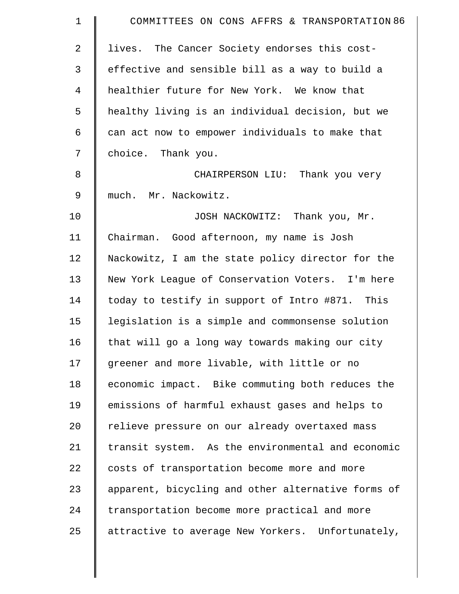| $\mathbf 1$    | COMMITTEES ON CONS AFFRS & TRANSPORTATION 86       |
|----------------|----------------------------------------------------|
| 2              | lives. The Cancer Society endorses this cost-      |
| 3              | effective and sensible bill as a way to build a    |
| $\overline{4}$ | healthier future for New York. We know that        |
| 5              | healthy living is an individual decision, but we   |
| 6              | can act now to empower individuals to make that    |
| 7              | choice. Thank you.                                 |
| 8              | CHAIRPERSON LIU: Thank you very                    |
| 9              | much. Mr. Nackowitz.                               |
| 10             | JOSH NACKOWITZ: Thank you, Mr.                     |
| 11             | Chairman. Good afternoon, my name is Josh          |
| 12             | Nackowitz, I am the state policy director for the  |
| 13             | New York League of Conservation Voters. I'm here   |
| 14             | today to testify in support of Intro #871. This    |
| 15             | legislation is a simple and commonsense solution   |
| 16             | that will go a long way towards making our city    |
| 17             | greener and more livable, with little or no        |
| 18             | economic impact. Bike commuting both reduces the   |
| 19             | emissions of harmful exhaust gases and helps to    |
| 20             | relieve pressure on our already overtaxed mass     |
| 21             | transit system. As the environmental and economic  |
| 22             | costs of transportation become more and more       |
| 23             | apparent, bicycling and other alternative forms of |
| 24             | transportation become more practical and more      |
| 25             | attractive to average New Yorkers. Unfortunately,  |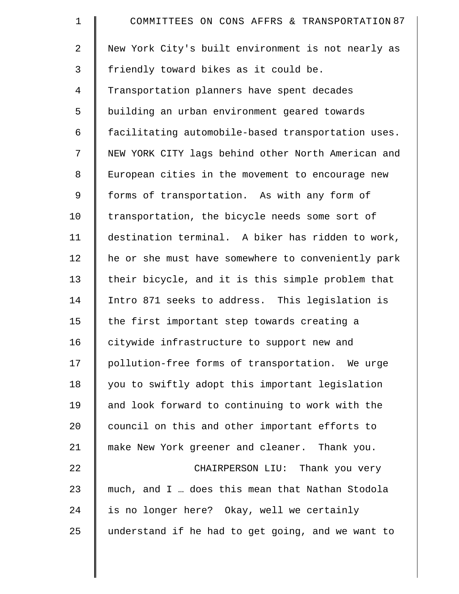| $\mathbf 1$    | COMMITTEES ON CONS AFFRS & TRANSPORTATION 87       |
|----------------|----------------------------------------------------|
| $\overline{a}$ | New York City's built environment is not nearly as |
| 3              | friendly toward bikes as it could be.              |
| 4              | Transportation planners have spent decades         |
| 5              | building an urban environment geared towards       |
| 6              | facilitating automobile-based transportation uses. |
| 7              | NEW YORK CITY lags behind other North American and |
| 8              | European cities in the movement to encourage new   |
| $\mathsf 9$    | forms of transportation. As with any form of       |
| 10             | transportation, the bicycle needs some sort of     |
| 11             | destination terminal. A biker has ridden to work,  |
| 12             | he or she must have somewhere to conveniently park |
| 13             | their bicycle, and it is this simple problem that  |
| 14             | Intro 871 seeks to address. This legislation is    |
| 15             | the first important step towards creating a        |
| 16             | citywide infrastructure to support new and         |
| 17             | pollution-free forms of transportation. We urge    |
| 18             | you to swiftly adopt this important legislation    |
| 19             | and look forward to continuing to work with the    |
| 20             | council on this and other important efforts to     |
| 21             | make New York greener and cleaner. Thank you.      |
| 22             | CHAIRPERSON LIU: Thank you very                    |
| 23             | much, and I  does this mean that Nathan Stodola    |
| 24             | is no longer here? Okay, well we certainly         |
| 25             | understand if he had to get going, and we want to  |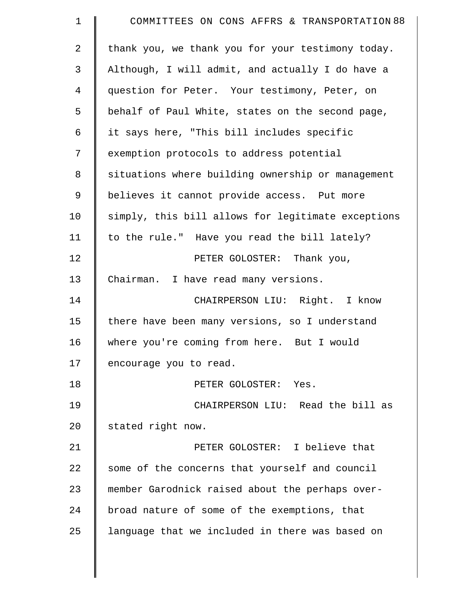| $\mathbf 1$    | COMMITTEES ON CONS AFFRS & TRANSPORTATION 88       |
|----------------|----------------------------------------------------|
| $\overline{2}$ | thank you, we thank you for your testimony today.  |
| 3              | Although, I will admit, and actually I do have a   |
| 4              | question for Peter. Your testimony, Peter, on      |
| 5              | behalf of Paul White, states on the second page,   |
| 6              | it says here, "This bill includes specific         |
| 7              | exemption protocols to address potential           |
| 8              | situations where building ownership or management  |
| 9              | believes it cannot provide access. Put more        |
| 10             | simply, this bill allows for legitimate exceptions |
| 11             | to the rule." Have you read the bill lately?       |
| 12             | PETER GOLOSTER: Thank you,                         |
| 13             | Chairman. I have read many versions.               |
| 14             | CHAIRPERSON LIU: Right. I know                     |
| 15             | there have been many versions, so I understand     |
| 16             | where you're coming from here. But I would         |
| 17             | encourage you to read.                             |
| 18             | PETER GOLOSTER: Yes.                               |
| 19             | CHAIRPERSON LIU: Read the bill as                  |
| 20             | stated right now.                                  |
| 21             | PETER GOLOSTER: I believe that                     |
| 22             | some of the concerns that yourself and council     |
| 23             | member Garodnick raised about the perhaps over-    |
| 24             | broad nature of some of the exemptions, that       |
| 25             | language that we included in there was based on    |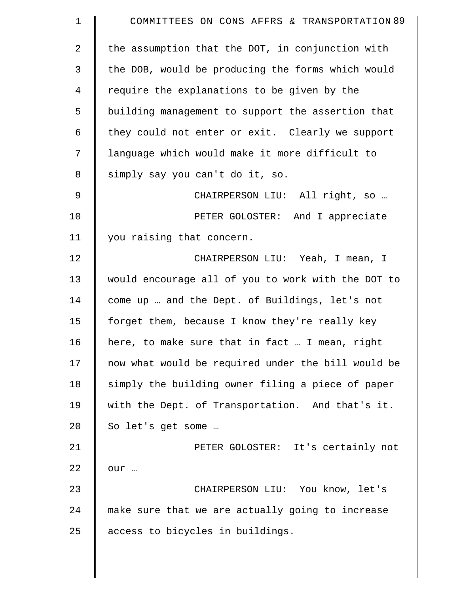| COMMITTEES ON CONS AFFRS & TRANSPORTATION 89       |
|----------------------------------------------------|
| the assumption that the DOT, in conjunction with   |
| the DOB, would be producing the forms which would  |
| require the explanations to be given by the        |
| building management to support the assertion that  |
| they could not enter or exit. Clearly we support   |
| language which would make it more difficult to     |
| simply say you can't do it, so.                    |
| CHAIRPERSON LIU: All right, so                     |
| PETER GOLOSTER: And I appreciate                   |
| you raising that concern.                          |
| CHAIRPERSON LIU: Yeah, I mean, I                   |
| would encourage all of you to work with the DOT to |
| come up  and the Dept. of Buildings, let's not     |
| forget them, because I know they're really key     |
| here, to make sure that in fact  I mean, right     |
| now what would be required under the bill would be |
| simply the building owner filing a piece of paper  |
| with the Dept. of Transportation. And that's it.   |
| So let's get some                                  |
| PETER GOLOSTER: It's certainly not                 |
| our                                                |
| CHAIRPERSON LIU: You know, let's                   |
| make sure that we are actually going to increase   |
| access to bicycles in buildings.                   |
|                                                    |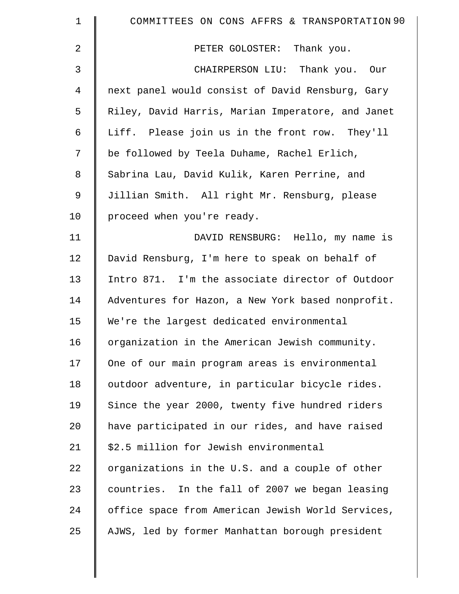| $\mathbf 1$    | COMMITTEES ON CONS AFFRS & TRANSPORTATION 90      |
|----------------|---------------------------------------------------|
| $\overline{2}$ | PETER GOLOSTER: Thank you.                        |
| 3              | CHAIRPERSON LIU: Thank you. Our                   |
| 4              | next panel would consist of David Rensburg, Gary  |
| 5              | Riley, David Harris, Marian Imperatore, and Janet |
| 6              | Liff. Please join us in the front row. They'll    |
| 7              | be followed by Teela Duhame, Rachel Erlich,       |
| 8              | Sabrina Lau, David Kulik, Karen Perrine, and      |
| $\mathsf 9$    | Jillian Smith. All right Mr. Rensburg, please     |
| 10             | proceed when you're ready.                        |
| 11             | DAVID RENSBURG: Hello, my name is                 |
| 12             | David Rensburg, I'm here to speak on behalf of    |
| 13             | Intro 871. I'm the associate director of Outdoor  |
| 14             | Adventures for Hazon, a New York based nonprofit. |
| 15             | We're the largest dedicated environmental         |
| 16             | organization in the American Jewish community.    |
| 17             | One of our main program areas is environmental    |
| 18             | outdoor adventure, in particular bicycle rides.   |
| 19             | Since the year 2000, twenty five hundred riders   |
| 20             | have participated in our rides, and have raised   |
| 21             | \$2.5 million for Jewish environmental            |
| 22             | organizations in the U.S. and a couple of other   |
| 23             | countries. In the fall of 2007 we began leasing   |
| 24             | office space from American Jewish World Services, |
| 25             | AJWS, led by former Manhattan borough president   |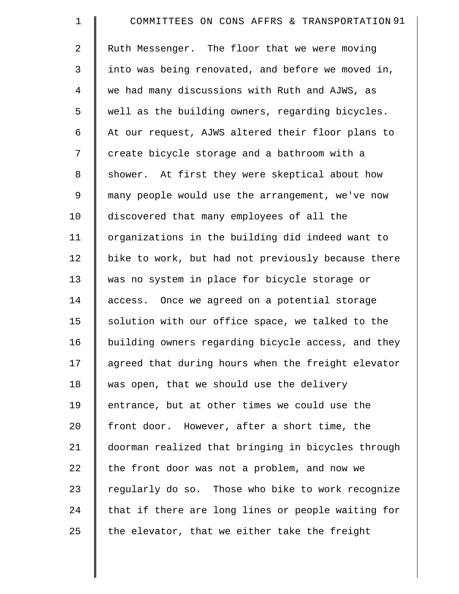| $\mathbf 1$    | COMMITTEES ON CONS AFFRS & TRANSPORTATION 91       |
|----------------|----------------------------------------------------|
| 2              | Ruth Messenger. The floor that we were moving      |
| $\mathfrak{Z}$ | into was being renovated, and before we moved in,  |
| 4              | we had many discussions with Ruth and AJWS, as     |
| 5              | well as the building owners, regarding bicycles.   |
| 6              | At our request, AJWS altered their floor plans to  |
| 7              | create bicycle storage and a bathroom with a       |
| 8              | shower. At first they were skeptical about how     |
| 9              | many people would use the arrangement, we've now   |
| 10             | discovered that many employees of all the          |
| 11             | organizations in the building did indeed want to   |
| 12             | bike to work, but had not previously because there |
| 13             | was no system in place for bicycle storage or      |
| 14             | access. Once we agreed on a potential storage      |
| 15             | solution with our office space, we talked to the   |
| 16             | building owners regarding bicycle access, and they |
| 17             | agreed that during hours when the freight elevator |
| 18             | was open, that we should use the delivery          |
| 19             | entrance, but at other times we could use the      |
| 20             | front door. However, after a short time, the       |
| 21             | doorman realized that bringing in bicycles through |
| 22             | the front door was not a problem, and now we       |
| 23             | regularly do so. Those who bike to work recognize  |
| 24             | that if there are long lines or people waiting for |
| 25             | the elevator, that we either take the freight      |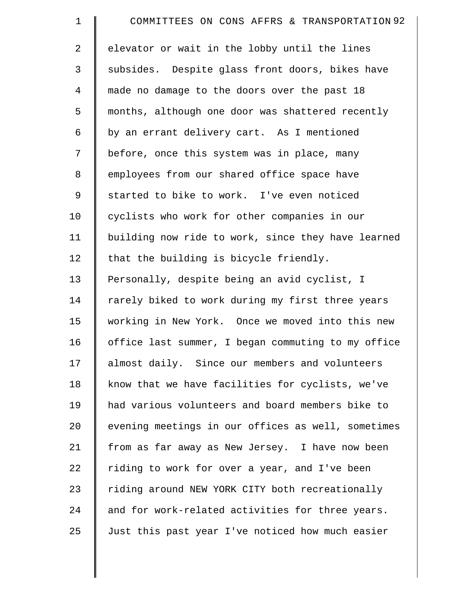| $\mathbf 1$    | COMMITTEES ON CONS AFFRS & TRANSPORTATION 92       |
|----------------|----------------------------------------------------|
| 2              | elevator or wait in the lobby until the lines      |
| 3              | subsides. Despite glass front doors, bikes have    |
| $\overline{4}$ | made no damage to the doors over the past 18       |
| 5              | months, although one door was shattered recently   |
| 6              | by an errant delivery cart. As I mentioned         |
| 7              | before, once this system was in place, many        |
| 8              | employees from our shared office space have        |
| 9              | started to bike to work. I've even noticed         |
| 10             | cyclists who work for other companies in our       |
| 11             | building now ride to work, since they have learned |
| 12             | that the building is bicycle friendly.             |
| 13             | Personally, despite being an avid cyclist, I       |
| 14             | rarely biked to work during my first three years   |
| 15             | working in New York. Once we moved into this new   |
| 16             | office last summer, I began commuting to my office |
| 17             | almost daily. Since our members and volunteers     |
| 18             | know that we have facilities for cyclists, we've   |
| 19             | had various volunteers and board members bike to   |
| 20             | evening meetings in our offices as well, sometimes |
| 21             | from as far away as New Jersey. I have now been    |
| 22             | riding to work for over a year, and I've been      |
| 23             | riding around NEW YORK CITY both recreationally    |
| 24             | and for work-related activities for three years.   |
| 25             | Just this past year I've noticed how much easier   |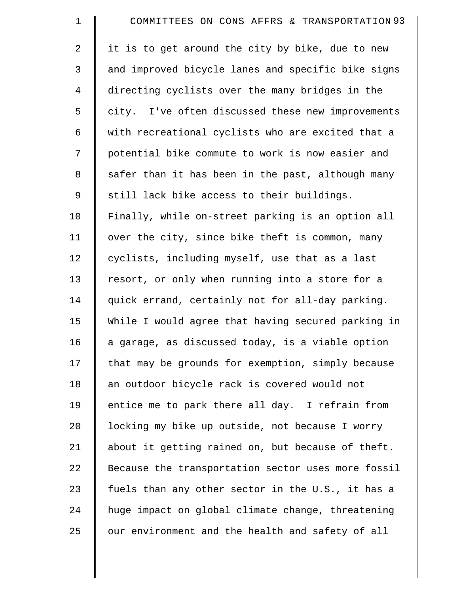| $\mathbf 1$ | COMMITTEES ON CONS AFFRS & TRANSPORTATION 93       |
|-------------|----------------------------------------------------|
| 2           | it is to get around the city by bike, due to new   |
| 3           | and improved bicycle lanes and specific bike signs |
| 4           | directing cyclists over the many bridges in the    |
| 5           | city. I've often discussed these new improvements  |
| 6           | with recreational cyclists who are excited that a  |
| 7           | potential bike commute to work is now easier and   |
| 8           | safer than it has been in the past, although many  |
| 9           | still lack bike access to their buildings.         |
| 10          | Finally, while on-street parking is an option all  |
| 11          | over the city, since bike theft is common, many    |
| 12          | cyclists, including myself, use that as a last     |
| 13          | resort, or only when running into a store for a    |
| 14          | quick errand, certainly not for all-day parking.   |
| 15          | While I would agree that having secured parking in |
| 16          | a garage, as discussed today, is a viable option   |
| 17          | that may be grounds for exemption, simply because  |
| 18          | an outdoor bicycle rack is covered would not       |
| 19          | entice me to park there all day. I refrain from    |
| 20          | locking my bike up outside, not because I worry    |
| 21          | about it getting rained on, but because of theft.  |
| 22          | Because the transportation sector uses more fossil |
| 23          | fuels than any other sector in the U.S., it has a  |
| 24          | huge impact on global climate change, threatening  |
| 25          | our environment and the health and safety of all   |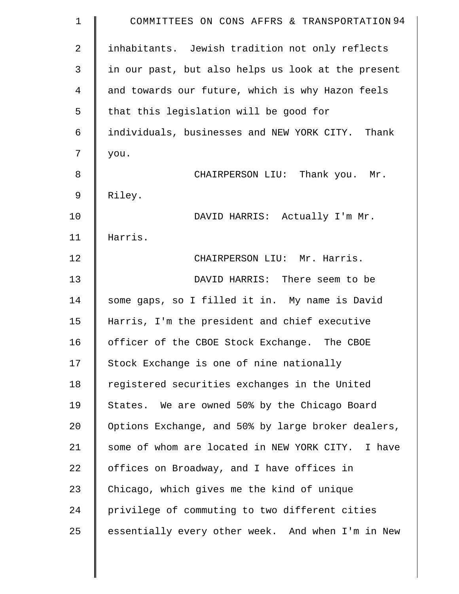| $\mathbf 1$    | COMMITTEES ON CONS AFFRS & TRANSPORTATION 94       |
|----------------|----------------------------------------------------|
| $\overline{2}$ | inhabitants. Jewish tradition not only reflects    |
| 3              | in our past, but also helps us look at the present |
| 4              | and towards our future, which is why Hazon feels   |
| 5              | that this legislation will be good for             |
| 6              | individuals, businesses and NEW YORK CITY. Thank   |
| 7              | you.                                               |
| 8              | CHAIRPERSON LIU: Thank you. Mr.                    |
| 9              | Riley.                                             |
| 10             | DAVID HARRIS: Actually I'm Mr.                     |
| 11             | Harris.                                            |
| 12             | CHAIRPERSON LIU: Mr. Harris.                       |
| 13             | DAVID HARRIS: There seem to be                     |
| 14             | some gaps, so I filled it in. My name is David     |
| 15             | Harris, I'm the president and chief executive      |
| 16             | officer of the CBOE Stock Exchange. The CBOE       |
| 17             | Stock Exchange is one of nine nationally           |
| 18             | registered securities exchanges in the United      |
| 19             | States. We are owned 50% by the Chicago Board      |
| 20             | Options Exchange, and 50% by large broker dealers, |
| 21             | some of whom are located in NEW YORK CITY. I have  |
| 22             | offices on Broadway, and I have offices in         |
| 23             | Chicago, which gives me the kind of unique         |
| 24             | privilege of commuting to two different cities     |
| 25             | essentially every other week. And when I'm in New  |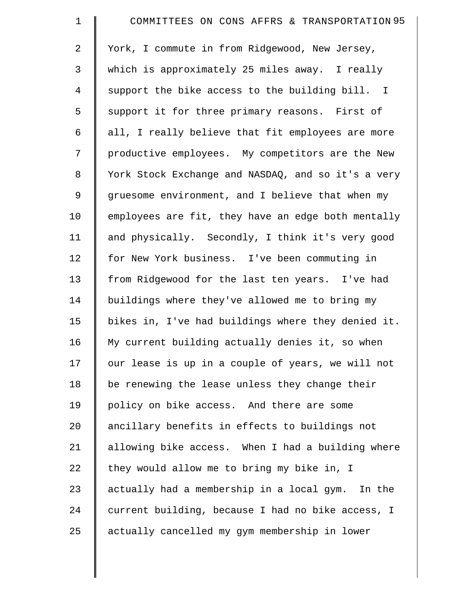| $\mathbf 1$    | COMMITTEES ON CONS AFFRS & TRANSPORTATION 95       |
|----------------|----------------------------------------------------|
| 2              | York, I commute in from Ridgewood, New Jersey,     |
| 3              | which is approximately 25 miles away. I really     |
| $\overline{4}$ | support the bike access to the building bill. I    |
| 5              | support it for three primary reasons. First of     |
| 6              | all, I really believe that fit employees are more  |
| 7              | productive employees. My competitors are the New   |
| 8              | York Stock Exchange and NASDAQ, and so it's a very |
| 9              | gruesome environment, and I believe that when my   |
| 10             | employees are fit, they have an edge both mentally |
| 11             | and physically. Secondly, I think it's very good   |
| 12             | for New York business. I've been commuting in      |
| 13             | from Ridgewood for the last ten years. I've had    |
| 14             | buildings where they've allowed me to bring my     |
| 15             | bikes in, I've had buildings where they denied it. |
| 16             | My current building actually denies it, so when    |
| 17             | our lease is up in a couple of years, we will not  |
| 18             | be renewing the lease unless they change their     |
| 19             | policy on bike access. And there are some          |
| 20             | ancillary benefits in effects to buildings not     |
| 21             | allowing bike access. When I had a building where  |
| 22             | they would allow me to bring my bike in, I         |
| 23             | actually had a membership in a local gym. In the   |
| 24             | current building, because I had no bike access, I  |
| 25             | actually cancelled my gym membership in lower      |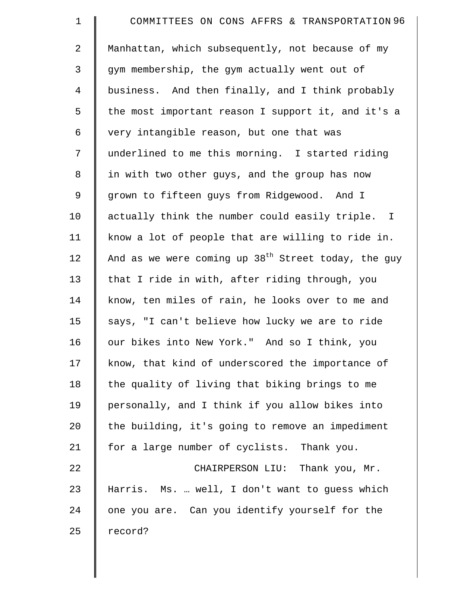| $\mathbf 1$ | COMMITTEES ON CONS AFFRS & TRANSPORTATION 96          |
|-------------|-------------------------------------------------------|
| 2           | Manhattan, which subsequently, not because of my      |
| 3           | gym membership, the gym actually went out of          |
| 4           | business. And then finally, and I think probably      |
| 5           | the most important reason I support it, and it's a    |
| 6           | very intangible reason, but one that was              |
| 7           | underlined to me this morning. I started riding       |
| 8           | in with two other guys, and the group has now         |
| 9           | grown to fifteen guys from Ridgewood. And I           |
| 10          | actually think the number could easily triple. I      |
| 11          | know a lot of people that are willing to ride in.     |
| 12          | And as we were coming up $38th$ Street today, the guy |
| 13          | that I ride in with, after riding through, you        |
| 14          | know, ten miles of rain, he looks over to me and      |
| 15          | says, "I can't believe how lucky we are to ride       |
| 16          | our bikes into New York." And so I think, you         |
| 17          | know, that kind of underscored the importance of      |
| 18          | the quality of living that biking brings to me        |
| 19          | personally, and I think if you allow bikes into       |
| 20          | the building, it's going to remove an impediment      |
| 21          | for a large number of cyclists. Thank you.            |
| 22          | CHAIRPERSON LIU: Thank you, Mr.                       |
| 23          | Harris. Ms.  well, I don't want to guess which        |
| 24          | one you are. Can you identify yourself for the        |
| 25          | record?                                               |
|             |                                                       |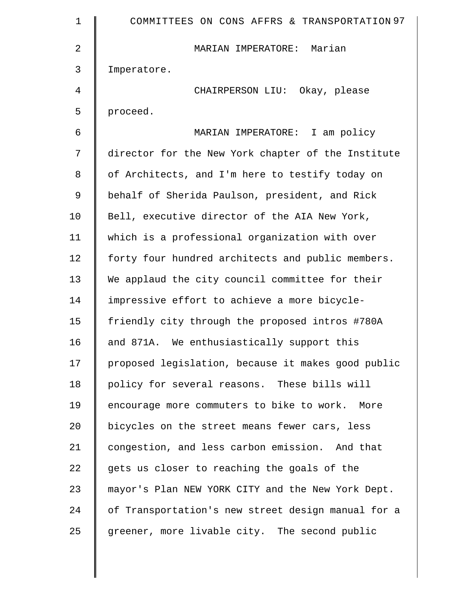| 1  | COMMITTEES ON CONS AFFRS & TRANSPORTATION 97       |
|----|----------------------------------------------------|
| 2  | MARIAN IMPERATORE: Marian                          |
| 3  | Imperatore.                                        |
| 4  | CHAIRPERSON LIU: Okay, please                      |
| 5  | proceed.                                           |
| 6  | MARIAN IMPERATORE: I am policy                     |
| 7  | director for the New York chapter of the Institute |
| 8  | of Architects, and I'm here to testify today on    |
| 9  | behalf of Sherida Paulson, president, and Rick     |
| 10 | Bell, executive director of the AIA New York,      |
| 11 | which is a professional organization with over     |
| 12 | forty four hundred architects and public members.  |
| 13 | We applaud the city council committee for their    |
| 14 | impressive effort to achieve a more bicycle-       |
| 15 | friendly city through the proposed intros #780A    |
| 16 | and 871A. We enthusiastically support this         |
| 17 | proposed legislation, because it makes good public |
| 18 | policy for several reasons. These bills will       |
| 19 | encourage more commuters to bike to work. More     |
| 20 | bicycles on the street means fewer cars, less      |
| 21 | congestion, and less carbon emission. And that     |
| 22 | gets us closer to reaching the goals of the        |
| 23 | mayor's Plan NEW YORK CITY and the New York Dept.  |
| 24 | of Transportation's new street design manual for a |
| 25 | greener, more livable city. The second public      |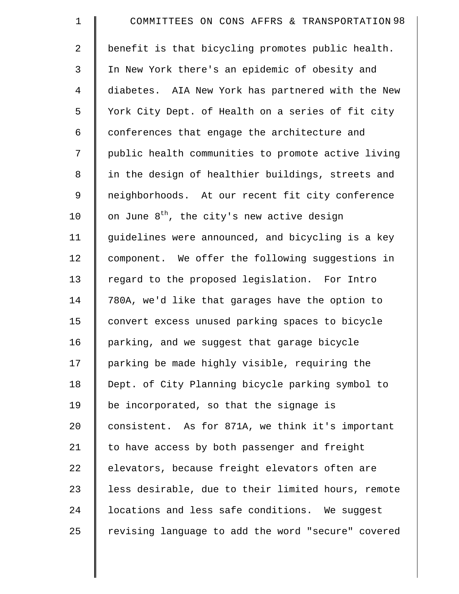| $\mathbf 1$ | COMMITTEES ON CONS AFFRS & TRANSPORTATION 98           |
|-------------|--------------------------------------------------------|
| 2           | benefit is that bicycling promotes public health.      |
| 3           | In New York there's an epidemic of obesity and         |
| 4           | diabetes. AIA New York has partnered with the New      |
| 5           | York City Dept. of Health on a series of fit city      |
| 6           | conferences that engage the architecture and           |
| 7           | public health communities to promote active living     |
| $\,8\,$     | in the design of healthier buildings, streets and      |
| 9           | neighborhoods. At our recent fit city conference       |
| 10          | on June 8 <sup>th</sup> , the city's new active design |
| 11          | guidelines were announced, and bicycling is a key      |
| 12          | component. We offer the following suggestions in       |
| 13          | regard to the proposed legislation. For Intro          |
| 14          | 780A, we'd like that garages have the option to        |
| 15          | convert excess unused parking spaces to bicycle        |
| 16          | parking, and we suggest that garage bicycle            |
| 17          | parking be made highly visible, requiring the          |
| 18          | Dept. of City Planning bicycle parking symbol to       |
| 19          | be incorporated, so that the signage is                |
| 20          | consistent. As for 871A, we think it's important       |
| 21          | to have access by both passenger and freight           |
| 22          | elevators, because freight elevators often are         |
| 23          | less desirable, due to their limited hours, remote     |
| 24          | locations and less safe conditions. We suggest         |
| 25          | revising language to add the word "secure" covered     |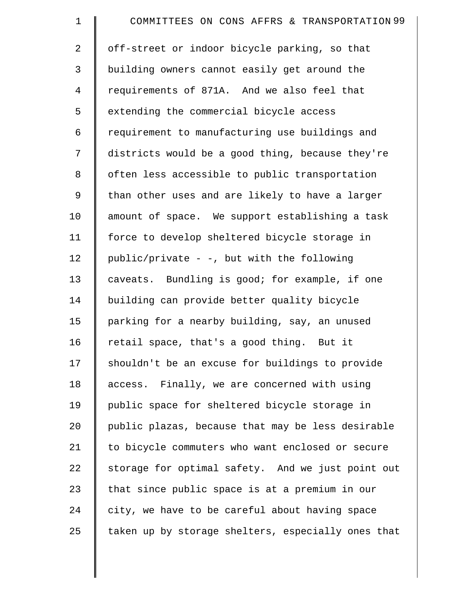| $\mathbf 1$    | COMMITTEES ON CONS AFFRS & TRANSPORTATION 99       |
|----------------|----------------------------------------------------|
| 2              | off-street or indoor bicycle parking, so that      |
| 3              | building owners cannot easily get around the       |
| $\overline{4}$ | requirements of 871A. And we also feel that        |
| 5              | extending the commercial bicycle access            |
| 6              | requirement to manufacturing use buildings and     |
| 7              | districts would be a good thing, because they're   |
| 8              | often less accessible to public transportation     |
| 9              | than other uses and are likely to have a larger    |
| 10             | amount of space. We support establishing a task    |
| 11             | force to develop sheltered bicycle storage in      |
| 12             | public/private - -, but with the following         |
| 13             | caveats. Bundling is good; for example, if one     |
| 14             | building can provide better quality bicycle        |
| 15             | parking for a nearby building, say, an unused      |
| 16             | retail space, that's a good thing. But it          |
| 17             | shouldn't be an excuse for buildings to provide    |
| 18             | access. Finally, we are concerned with using       |
| 19             | public space for sheltered bicycle storage in      |
| 20             | public plazas, because that may be less desirable  |
| 21             | to bicycle commuters who want enclosed or secure   |
| 22             | storage for optimal safety. And we just point out  |
| 23             | that since public space is at a premium in our     |
| 24             | city, we have to be careful about having space     |
| 25             | taken up by storage shelters, especially ones that |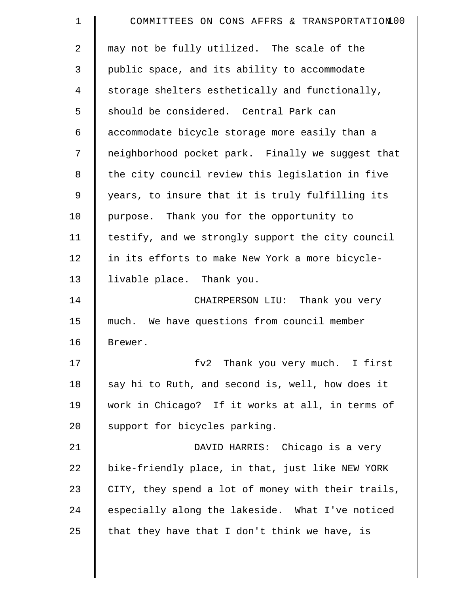| $\mathbf 1$    | COMMITTEES ON CONS AFFRS & TRANSPORTATION 00       |
|----------------|----------------------------------------------------|
| $\overline{a}$ | may not be fully utilized. The scale of the        |
| 3              | public space, and its ability to accommodate       |
| $\overline{4}$ | storage shelters esthetically and functionally,    |
| 5              | should be considered. Central Park can             |
| 6              | accommodate bicycle storage more easily than a     |
| 7              | neighborhood pocket park. Finally we suggest that  |
| 8              | the city council review this legislation in five   |
| 9              | years, to insure that it is truly fulfilling its   |
| 10             | purpose. Thank you for the opportunity to          |
| 11             | testify, and we strongly support the city council  |
| 12             | in its efforts to make New York a more bicycle-    |
| 13             | livable place. Thank you.                          |
| 14             | CHAIRPERSON LIU: Thank you very                    |
| 15             | much. We have questions from council member        |
| 16             | Brewer.                                            |
| 17             | fv2 Thank you very much. I first                   |
| 18             | say hi to Ruth, and second is, well, how does it   |
| 19             | work in Chicago? If it works at all, in terms of   |
| 20             | support for bicycles parking.                      |
| 21             | DAVID HARRIS: Chicago is a very                    |
| 22             | bike-friendly place, in that, just like NEW YORK   |
| 23             | CITY, they spend a lot of money with their trails, |
| 24             | especially along the lakeside. What I've noticed   |
| 25             | that they have that I don't think we have, is      |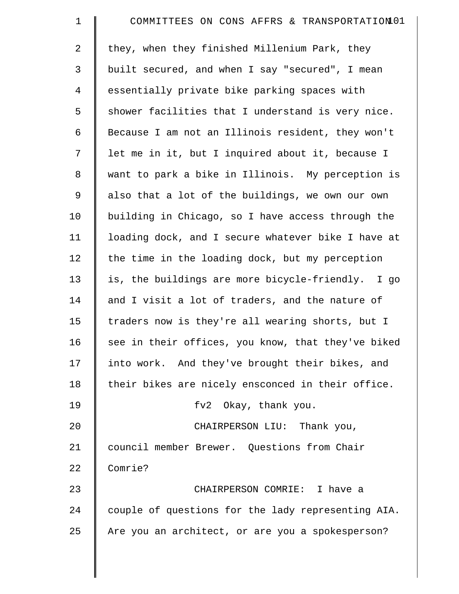| $\mathbf 1$    | COMMITTEES ON CONS AFFRS & TRANSPORTATION 01       |
|----------------|----------------------------------------------------|
| 2              | they, when they finished Millenium Park, they      |
| 3              | built secured, and when I say "secured", I mean    |
| $\overline{4}$ | essentially private bike parking spaces with       |
| 5              | shower facilities that I understand is very nice.  |
| 6              | Because I am not an Illinois resident, they won't  |
| 7              | let me in it, but I inquired about it, because I   |
| 8              | want to park a bike in Illinois. My perception is  |
| 9              | also that a lot of the buildings, we own our own   |
| 10             | building in Chicago, so I have access through the  |
| 11             | loading dock, and I secure whatever bike I have at |
| 12             | the time in the loading dock, but my perception    |
| 13             | is, the buildings are more bicycle-friendly. I go  |
| 14             | and I visit a lot of traders, and the nature of    |
| 15             | traders now is they're all wearing shorts, but I   |
| 16             | see in their offices, you know, that they've biked |
| 17             | into work. And they've brought their bikes, and    |
| 18             | their bikes are nicely ensconced in their office.  |
| 19             | fv2 Okay, thank you.                               |
| 20             | CHAIRPERSON LIU: Thank you,                        |
| 21             | council member Brewer. Questions from Chair        |
| 22             | Comrie?                                            |
| 23             | CHAIRPERSON COMRIE: I have a                       |
| 24             | couple of questions for the lady representing AIA. |
| 25             | Are you an architect, or are you a spokesperson?   |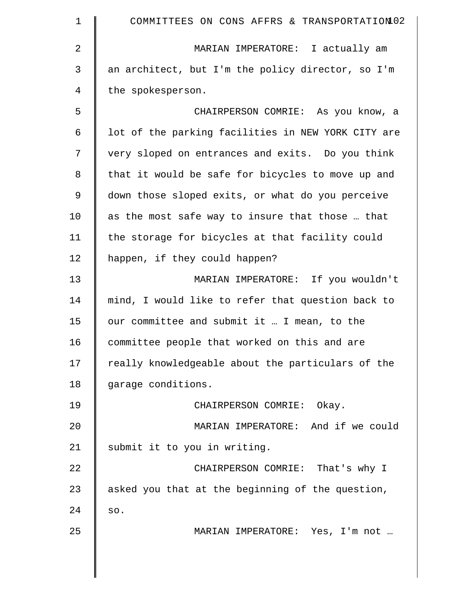| 1  | COMMITTEES ON CONS AFFRS & TRANSPORTATION02        |
|----|----------------------------------------------------|
| 2  | MARIAN IMPERATORE: I actually am                   |
| 3  | an architect, but I'm the policy director, so I'm  |
| 4  | the spokesperson.                                  |
| 5  | CHAIRPERSON COMRIE: As you know, a                 |
| 6  | lot of the parking facilities in NEW YORK CITY are |
| 7  | very sloped on entrances and exits. Do you think   |
| 8  | that it would be safe for bicycles to move up and  |
| 9  | down those sloped exits, or what do you perceive   |
| 10 | as the most safe way to insure that those  that    |
| 11 | the storage for bicycles at that facility could    |
| 12 | happen, if they could happen?                      |
| 13 | MARIAN IMPERATORE: If you wouldn't                 |
| 14 | mind, I would like to refer that question back to  |
| 15 | our committee and submit it  I mean, to the        |
| 16 | committee people that worked on this and are       |
| 17 | really knowledgeable about the particulars of the  |
| 18 | garage conditions.                                 |
| 19 | CHAIRPERSON COMRIE: Okay.                          |
| 20 | MARIAN IMPERATORE: And if we could                 |
| 21 | submit it to you in writing.                       |
| 22 | CHAIRPERSON COMRIE: That's why I                   |
| 23 | asked you that at the beginning of the question,   |
| 24 | SO.                                                |
| 25 | MARIAN IMPERATORE: Yes, I'm not                    |
|    |                                                    |
|    |                                                    |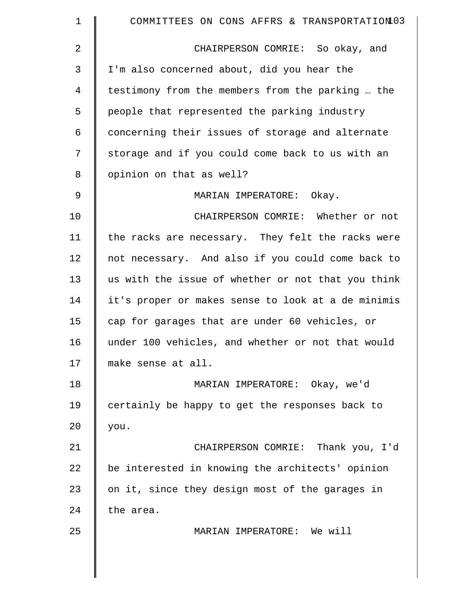| 1           | COMMITTEES ON CONS AFFRS & TRANSPORTATION03        |
|-------------|----------------------------------------------------|
| 2           | CHAIRPERSON COMRIE: So okay, and                   |
| 3           | I'm also concerned about, did you hear the         |
| 4           | testimony from the members from the parking  the   |
| 5           | people that represented the parking industry       |
| 6           | concerning their issues of storage and alternate   |
| 7           | storage and if you could come back to us with an   |
| 8           | opinion on that as well?                           |
| $\mathsf 9$ | MARIAN IMPERATORE: Okay.                           |
| 10          | CHAIRPERSON COMRIE: Whether or not                 |
| 11          | the racks are necessary. They felt the racks were  |
| 12          | not necessary. And also if you could come back to  |
| 13          | us with the issue of whether or not that you think |
| 14          | it's proper or makes sense to look at a de minimis |
| 15          | cap for garages that are under 60 vehicles, or     |
| 16          | under 100 vehicles, and whether or not that would  |
| 17          | make sense at all.                                 |
| 18          | MARIAN IMPERATORE: Okay, we'd                      |
| 19          | certainly be happy to get the responses back to    |
| 20          | you.                                               |
| 21          | CHAIRPERSON COMRIE: Thank you, I'd                 |
| 22          | be interested in knowing the architects' opinion   |
| 23          | on it, since they design most of the garages in    |
| 24          | the area.                                          |
| 25          | MARIAN IMPERATORE: We will                         |
|             |                                                    |
|             |                                                    |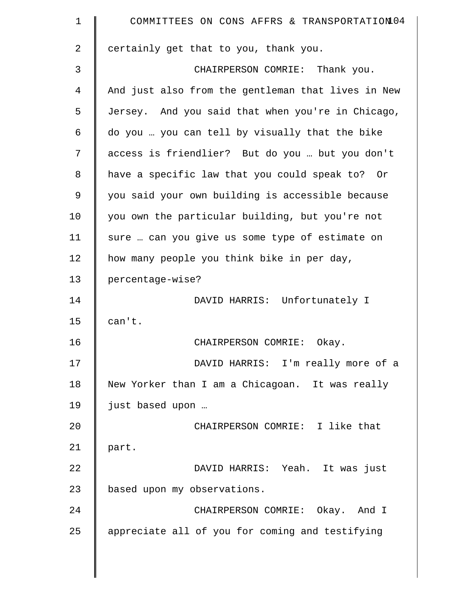| $\mathbf 1$    | COMMITTEES ON CONS AFFRS & TRANSPORTATION 04       |
|----------------|----------------------------------------------------|
| $\overline{a}$ | certainly get that to you, thank you.              |
| 3              | CHAIRPERSON COMRIE: Thank you.                     |
| 4              | And just also from the gentleman that lives in New |
| 5              | Jersey. And you said that when you're in Chicago,  |
| 6              | do you  you can tell by visually that the bike     |
| 7              | access is friendlier? But do you  but you don't    |
| 8              | have a specific law that you could speak to? Or    |
| 9              | you said your own building is accessible because   |
| 10             | you own the particular building, but you're not    |
| 11             | sure  can you give us some type of estimate on     |
| 12             | how many people you think bike in per day,         |
| 13             | percentage-wise?                                   |
| 14             | DAVID HARRIS: Unfortunately I                      |
| 15             | can't.                                             |
| 16             | CHAIRPERSON COMRIE:<br>Okay.                       |
| 17             | DAVID HARRIS: I'm really more of a                 |
| 18             | New Yorker than I am a Chicagoan. It was really    |
| 19             | just based upon                                    |
| 20             | CHAIRPERSON COMRIE: I like that                    |
| 21             | part.                                              |
| 22             | DAVID HARRIS: Yeah. It was just                    |
| 23             | based upon my observations.                        |
| 24             | CHAIRPERSON COMRIE: Okay. And I                    |
| 25             | appreciate all of you for coming and testifying    |

║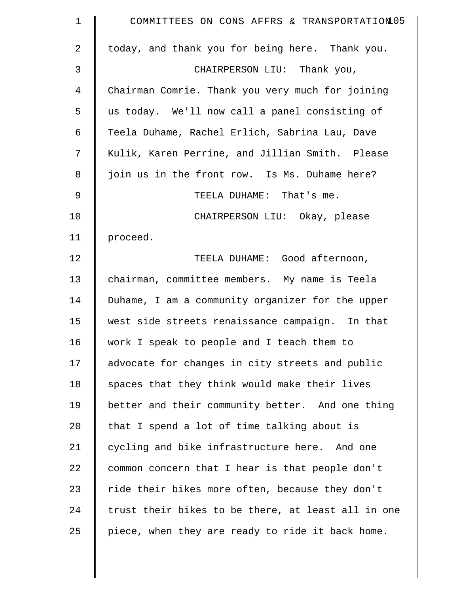| $\mathbf 1$ | COMMITTEES ON CONS AFFRS & TRANSPORTATION 05       |
|-------------|----------------------------------------------------|
| 2           | today, and thank you for being here. Thank you.    |
| 3           | CHAIRPERSON LIU: Thank you,                        |
| 4           | Chairman Comrie. Thank you very much for joining   |
| 5           | us today. We'll now call a panel consisting of     |
| 6           | Teela Duhame, Rachel Erlich, Sabrina Lau, Dave     |
| 7           | Kulik, Karen Perrine, and Jillian Smith. Please    |
| 8           | join us in the front row. Is Ms. Duhame here?      |
| 9           | TEELA DUHAME: That's me.                           |
| 10          | CHAIRPERSON LIU: Okay, please                      |
| 11          | proceed.                                           |
| 12          | TEELA DUHAME: Good afternoon,                      |
| 13          | chairman, committee members. My name is Teela      |
| 14          | Duhame, I am a community organizer for the upper   |
| 15          | west side streets renaissance campaign. In that    |
| 16          | work I speak to people and I teach them to         |
| 17          | advocate for changes in city streets and public    |
| 18          | spaces that they think would make their lives      |
| 19          | better and their community better. And one thing   |
| 20          | that I spend a lot of time talking about is        |
| 21          | cycling and bike infrastructure here. And one      |
| 22          | common concern that I hear is that people don't    |
| 23          | ride their bikes more often, because they don't    |
| 24          | trust their bikes to be there, at least all in one |
| 25          | piece, when they are ready to ride it back home.   |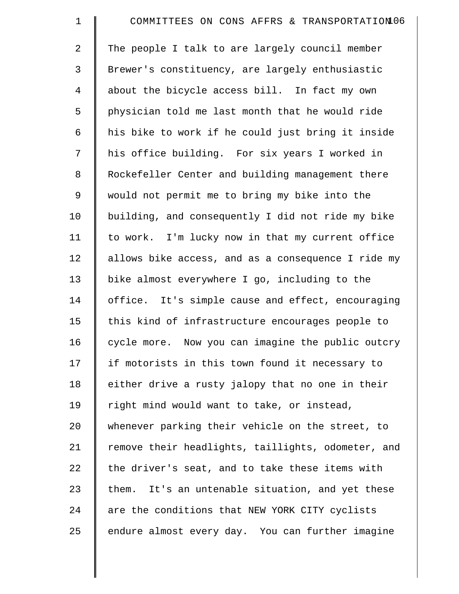| $\mathbf 1$    | COMMITTEES ON CONS AFFRS & TRANSPORTATION06         |
|----------------|-----------------------------------------------------|
| $\overline{2}$ | The people I talk to are largely council member     |
| 3              | Brewer's constituency, are largely enthusiastic     |
| $\overline{4}$ | about the bicycle access bill. In fact my own       |
| 5              | physician told me last month that he would ride     |
| 6              | his bike to work if he could just bring it inside   |
| 7              | his office building. For six years I worked in      |
| 8              | Rockefeller Center and building management there    |
| 9              | would not permit me to bring my bike into the       |
| 10             | building, and consequently I did not ride my bike   |
| 11             | to work. I'm lucky now in that my current office    |
| 12             | allows bike access, and as a consequence I ride my  |
| 13             | bike almost everywhere I go, including to the       |
| 14             | office. It's simple cause and effect, encouraging   |
| 15             | this kind of infrastructure encourages people to    |
| 16             | cycle more. Now you can imagine the public outcry   |
| 17             | if motorists in this town found it necessary to     |
| 18             | either drive a rusty jalopy that no one in their    |
| 19             | right mind would want to take, or instead,          |
| 20             | whenever parking their vehicle on the street, to    |
| 21             | remove their headlights, taillights, odometer, and  |
| 22             | the driver's seat, and to take these items with     |
| 23             | It's an untenable situation, and yet these<br>them. |
| 24             | are the conditions that NEW YORK CITY cyclists      |
| 25             | endure almost every day. You can further imagine    |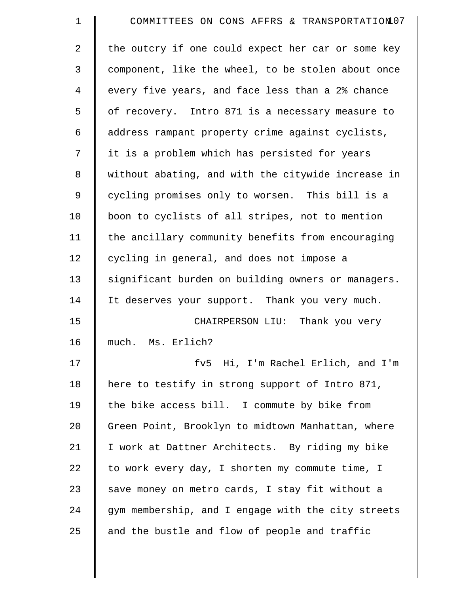| $\mathbf 1$    | COMMITTEES ON CONS AFFRS & TRANSPORTATION 07       |
|----------------|----------------------------------------------------|
| $\overline{2}$ | the outcry if one could expect her car or some key |
| 3              | component, like the wheel, to be stolen about once |
| 4              | every five years, and face less than a 2% chance   |
| 5              | of recovery. Intro 871 is a necessary measure to   |
| 6              | address rampant property crime against cyclists,   |
| 7              | it is a problem which has persisted for years      |
| 8              | without abating, and with the citywide increase in |
| 9              | cycling promises only to worsen. This bill is a    |
| 10             | boon to cyclists of all stripes, not to mention    |
| 11             | the ancillary community benefits from encouraging  |
| 12             | cycling in general, and does not impose a          |
| 13             | significant burden on building owners or managers. |
| 14             | It deserves your support. Thank you very much.     |
| 15             | CHAIRPERSON LIU: Thank you very                    |
| 16             | much. Ms. Erlich?                                  |
| 17             | fv5 Hi, I'm Rachel Erlich, and I'm                 |
| 18             | here to testify in strong support of Intro 871,    |
| 19             | the bike access bill. I commute by bike from       |
| 20             | Green Point, Brooklyn to midtown Manhattan, where  |
| 21             | I work at Dattner Architects. By riding my bike    |
| 22             | to work every day, I shorten my commute time, I    |
| 23             | save money on metro cards, I stay fit without a    |
| 24             | gym membership, and I engage with the city streets |
| 25             | and the bustle and flow of people and traffic      |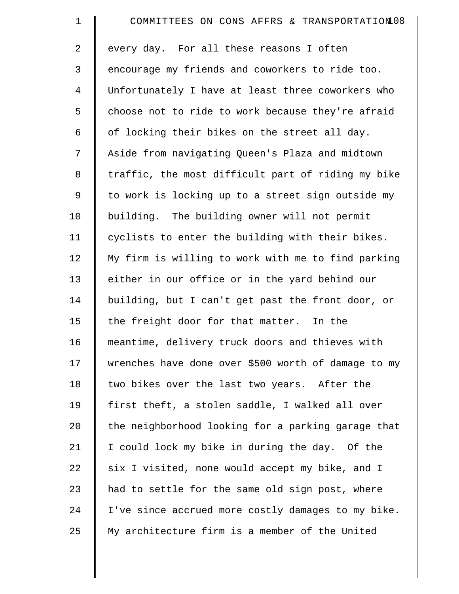| $\mathbf 1$    | COMMITTEES ON CONS AFFRS & TRANSPORTATION 08        |
|----------------|-----------------------------------------------------|
| 2              | every day. For all these reasons I often            |
| 3              | encourage my friends and coworkers to ride too.     |
| $\overline{4}$ | Unfortunately I have at least three coworkers who   |
| 5              | choose not to ride to work because they're afraid   |
| 6              | of locking their bikes on the street all day.       |
| 7              | Aside from navigating Queen's Plaza and midtown     |
| 8              | traffic, the most difficult part of riding my bike  |
| 9              | to work is locking up to a street sign outside my   |
| 10             | building. The building owner will not permit        |
| 11             | cyclists to enter the building with their bikes.    |
| 12             | My firm is willing to work with me to find parking  |
| 13             | either in our office or in the yard behind our      |
| 14             | building, but I can't get past the front door, or   |
| 15             | the freight door for that matter. In the            |
| 16             | meantime, delivery truck doors and thieves with     |
| 17             | wrenches have done over \$500 worth of damage to my |
| 18             | two bikes over the last two years. After the        |
| 19             | first theft, a stolen saddle, I walked all over     |
| 20             | the neighborhood looking for a parking garage that  |
| 21             | I could lock my bike in during the day. Of the      |
| 22             | six I visited, none would accept my bike, and I     |
| 23             | had to settle for the same old sign post, where     |
| 24             | I've since accrued more costly damages to my bike.  |
| 25             | My architecture firm is a member of the United      |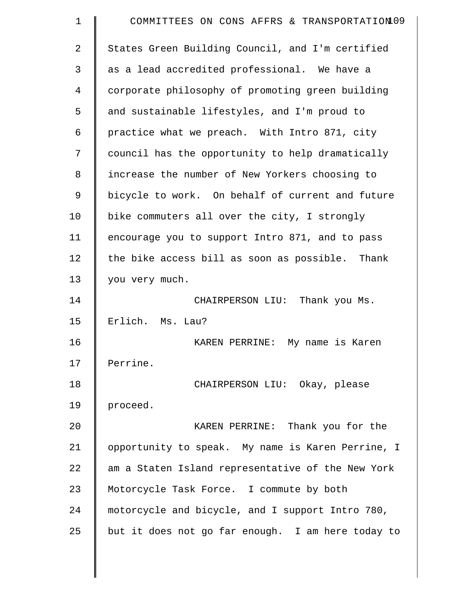| 1  | COMMITTEES ON CONS AFFRS & TRANSPORTATION09       |
|----|---------------------------------------------------|
| 2  | States Green Building Council, and I'm certified  |
| 3  | as a lead accredited professional. We have a      |
| 4  | corporate philosophy of promoting green building  |
| 5  | and sustainable lifestyles, and I'm proud to      |
| 6  | practice what we preach. With Intro 871, city     |
| 7  | council has the opportunity to help dramatically  |
| 8  | increase the number of New Yorkers choosing to    |
| 9  | bicycle to work. On behalf of current and future  |
| 10 | bike commuters all over the city, I strongly      |
| 11 | encourage you to support Intro 871, and to pass   |
| 12 | the bike access bill as soon as possible. Thank   |
| 13 | you very much.                                    |
| 14 | CHAIRPERSON LIU: Thank you Ms.                    |
| 15 | Erlich. Ms. Lau?                                  |
| 16 | KAREN PERRINE: My name is Karen                   |
| 17 | Perrine.                                          |
| 18 | CHAIRPERSON LIU: Okay, please                     |
| 19 | proceed.                                          |
| 20 | KAREN PERRINE: Thank you for the                  |
| 21 | opportunity to speak. My name is Karen Perrine, I |
| 22 | am a Staten Island representative of the New York |
| 23 | Motorcycle Task Force. I commute by both          |
| 24 | motorcycle and bicycle, and I support Intro 780,  |
| 25 | but it does not go far enough. I am here today to |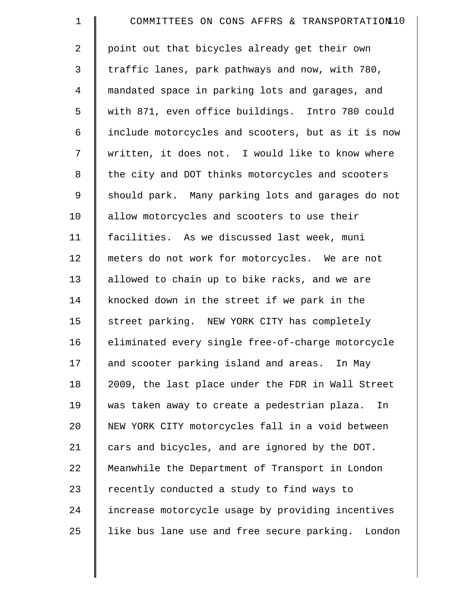| $\mathbf 1$ | COMMITTEES ON CONS AFFRS & TRANSPORTATION10        |
|-------------|----------------------------------------------------|
| 2           | point out that bicycles already get their own      |
| 3           | traffic lanes, park pathways and now, with 780,    |
| 4           | mandated space in parking lots and garages, and    |
| 5           | with 871, even office buildings. Intro 780 could   |
| 6           | include motorcycles and scooters, but as it is now |
| 7           | written, it does not. I would like to know where   |
| 8           | the city and DOT thinks motorcycles and scooters   |
| 9           | should park. Many parking lots and garages do not  |
| 10          | allow motorcycles and scooters to use their        |
| 11          | facilities. As we discussed last week, muni        |
| 12          | meters do not work for motorcycles. We are not     |
| 13          | allowed to chain up to bike racks, and we are      |
| 14          | knocked down in the street if we park in the       |
| 15          | street parking. NEW YORK CITY has completely       |
| 16          | eliminated every single free-of-charge motorcycle  |
| 17          | and scooter parking island and areas. In May       |
| 18          | 2009, the last place under the FDR in Wall Street  |
| 19          | was taken away to create a pedestrian plaza.<br>In |
| 20          | NEW YORK CITY motorcycles fall in a void between   |
| 21          | cars and bicycles, and are ignored by the DOT.     |
| 22          | Meanwhile the Department of Transport in London    |
| 23          | recently conducted a study to find ways to         |
| 24          | increase motorcycle usage by providing incentives  |
| 25          | like bus lane use and free secure parking. London  |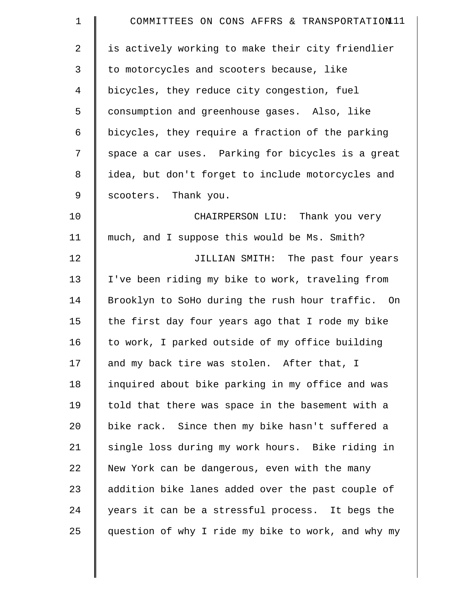| $\mathbf 1$    | COMMITTEES ON CONS AFFRS & TRANSPORTATION11        |
|----------------|----------------------------------------------------|
| $\overline{2}$ | is actively working to make their city friendlier  |
| $\mathfrak{Z}$ | to motorcycles and scooters because, like          |
| $\overline{4}$ | bicycles, they reduce city congestion, fuel        |
| 5              | consumption and greenhouse gases. Also, like       |
| 6              | bicycles, they require a fraction of the parking   |
| 7              | space a car uses. Parking for bicycles is a great  |
| $\,8\,$        | idea, but don't forget to include motorcycles and  |
| 9              | scooters. Thank you.                               |
| 10             | CHAIRPERSON LIU: Thank you very                    |
| 11             | much, and I suppose this would be Ms. Smith?       |
| 12             | JILLIAN SMITH: The past four years                 |
| 13             | I've been riding my bike to work, traveling from   |
| 14             | Brooklyn to SoHo during the rush hour traffic. On  |
| 15             | the first day four years ago that I rode my bike   |
| 16             | to work, I parked outside of my office building    |
| 17             | and my back tire was stolen. After that, I         |
| 18             | inquired about bike parking in my office and was   |
| 19             | told that there was space in the basement with a   |
| 20             | bike rack. Since then my bike hasn't suffered a    |
| 21             | single loss during my work hours. Bike riding in   |
| 22             | New York can be dangerous, even with the many      |
| 23             | addition bike lanes added over the past couple of  |
| 24             | years it can be a stressful process. It begs the   |
| 25             | question of why I ride my bike to work, and why my |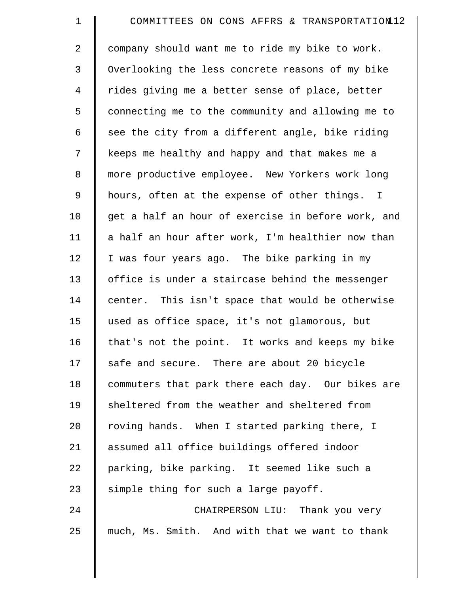| $\mathbf 1$    | COMMITTEES ON CONS AFFRS & TRANSPORTATION12        |
|----------------|----------------------------------------------------|
| 2              | company should want me to ride my bike to work.    |
| 3              | Overlooking the less concrete reasons of my bike   |
| $\overline{4}$ | rides giving me a better sense of place, better    |
| 5              | connecting me to the community and allowing me to  |
| 6              | see the city from a different angle, bike riding   |
| 7              | keeps me healthy and happy and that makes me a     |
| 8              | more productive employee. New Yorkers work long    |
| 9              | hours, often at the expense of other things. I     |
| 10             | get a half an hour of exercise in before work, and |
| 11             | a half an hour after work, I'm healthier now than  |
| 12             | I was four years ago. The bike parking in my       |
| 13             | office is under a staircase behind the messenger   |
| 14             | center. This isn't space that would be otherwise   |
| 15             | used as office space, it's not glamorous, but      |
| 16             | that's not the point. It works and keeps my bike   |
| 17             | safe and secure. There are about 20 bicycle        |
| 18             | commuters that park there each day. Our bikes are  |
| 19             | sheltered from the weather and sheltered from      |
| 20             | roving hands. When I started parking there, I      |
| 21             | assumed all office buildings offered indoor        |
| 22             | parking, bike parking. It seemed like such a       |
| 23             | simple thing for such a large payoff.              |
| 24             | CHAIRPERSON LIU: Thank you very                    |
| 25             | much, Ms. Smith. And with that we want to thank    |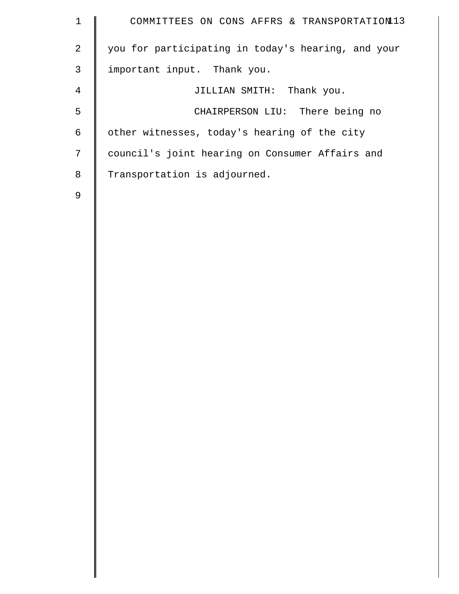| $\mathbf 1$    | COMMITTEES ON CONS AFFRS & TRANSPORTATION13        |
|----------------|----------------------------------------------------|
| $\overline{2}$ | you for participating in today's hearing, and your |
| $\mathsf 3$    | important input. Thank you.                        |
| $\overline{4}$ | JILLIAN SMITH: Thank you.                          |
| 5              | CHAIRPERSON LIU: There being no                    |
| 6              | other witnesses, today's hearing of the city       |
| 7              | council's joint hearing on Consumer Affairs and    |
| 8              | Transportation is adjourned.                       |
| $\mathsf 9$    |                                                    |
|                |                                                    |
|                |                                                    |
|                |                                                    |
|                |                                                    |
|                |                                                    |
|                |                                                    |
|                |                                                    |
|                |                                                    |
|                |                                                    |
|                |                                                    |
|                |                                                    |
|                |                                                    |
|                |                                                    |
|                |                                                    |
|                |                                                    |
|                |                                                    |
|                |                                                    |
|                |                                                    |